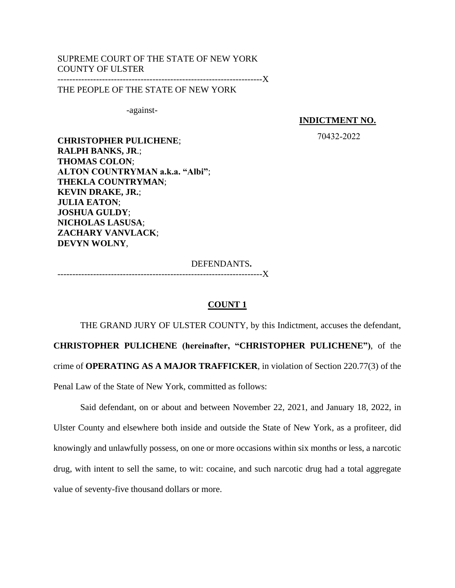# SUPREME COURT OF THE STATE OF NEW YORK COUNTY OF ULSTER

---------------------------------------------------------------------X

THE PEOPLE OF THE STATE OF NEW YORK

-against-

**INDICTMENT NO.**

70432-2022

**CHRISTOPHER PULICHENE**; **RALPH BANKS, JR**.; **THOMAS COLON**; **ALTON COUNTRYMAN a.k.a. "Albi"**; **THEKLA COUNTRYMAN**; **KEVIN DRAKE, JR.**; **JULIA EATON**; **JOSHUA GULDY**; **NICHOLAS LASUSA**; **ZACHARY VANVLACK**; **DEVYN WOLNY**,

DEFENDANTS**.**

---------------------------------------------------------------------X

# **COUNT 1**

THE GRAND JURY OF ULSTER COUNTY, by this Indictment, accuses the defendant, **CHRISTOPHER PULICHENE (hereinafter, "CHRISTOPHER PULICHENE")**, of the crime of **OPERATING AS A MAJOR TRAFFICKER**, in violation of Section 220.77(3) of the Penal Law of the State of New York, committed as follows:

Said defendant, on or about and between November 22, 2021, and January 18, 2022, in Ulster County and elsewhere both inside and outside the State of New York, as a profiteer, did knowingly and unlawfully possess, on one or more occasions within six months or less, a narcotic drug, with intent to sell the same, to wit: cocaine, and such narcotic drug had a total aggregate value of seventy-five thousand dollars or more.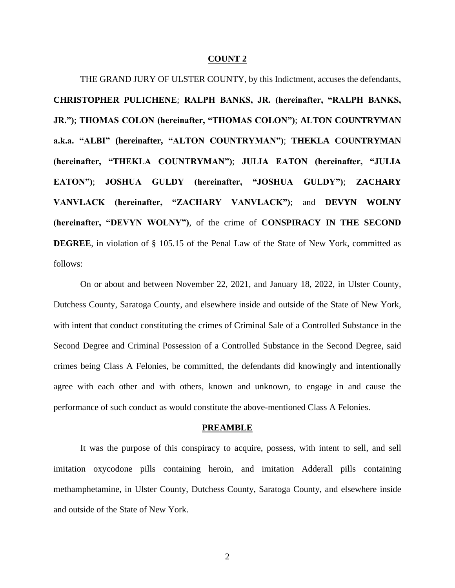THE GRAND JURY OF ULSTER COUNTY, by this Indictment, accuses the defendants, **CHRISTOPHER PULICHENE**; **RALPH BANKS, JR. (hereinafter, "RALPH BANKS, JR.")**; **THOMAS COLON (hereinafter, "THOMAS COLON")**; **ALTON COUNTRYMAN a.k.a. "ALBI" (hereinafter, "ALTON COUNTRYMAN")**; **THEKLA COUNTRYMAN (hereinafter, "THEKLA COUNTRYMAN")**; **JULIA EATON (hereinafter, "JULIA EATON")**; **JOSHUA GULDY (hereinafter, "JOSHUA GULDY")**; **ZACHARY VANVLACK (hereinafter, "ZACHARY VANVLACK")**; and **DEVYN WOLNY (hereinafter, "DEVYN WOLNY")**, of the crime of **CONSPIRACY IN THE SECOND DEGREE**, in violation of § 105.15 of the Penal Law of the State of New York, committed as follows:

On or about and between November 22, 2021, and January 18, 2022, in Ulster County, Dutchess County, Saratoga County, and elsewhere inside and outside of the State of New York, with intent that conduct constituting the crimes of Criminal Sale of a Controlled Substance in the Second Degree and Criminal Possession of a Controlled Substance in the Second Degree, said crimes being Class A Felonies, be committed, the defendants did knowingly and intentionally agree with each other and with others, known and unknown, to engage in and cause the performance of such conduct as would constitute the above-mentioned Class A Felonies.

#### **PREAMBLE**

It was the purpose of this conspiracy to acquire, possess, with intent to sell, and sell imitation oxycodone pills containing heroin, and imitation Adderall pills containing methamphetamine, in Ulster County, Dutchess County, Saratoga County, and elsewhere inside and outside of the State of New York.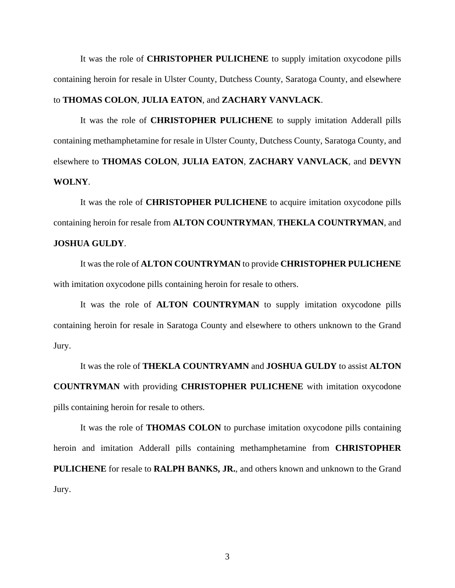It was the role of **CHRISTOPHER PULICHENE** to supply imitation oxycodone pills containing heroin for resale in Ulster County, Dutchess County, Saratoga County, and elsewhere

# to **THOMAS COLON**, **JULIA EATON**, and **ZACHARY VANVLACK**.

It was the role of **CHRISTOPHER PULICHENE** to supply imitation Adderall pills containing methamphetamine for resale in Ulster County, Dutchess County, Saratoga County, and elsewhere to **THOMAS COLON**, **JULIA EATON**, **ZACHARY VANVLACK**, and **DEVYN WOLNY**.

It was the role of **CHRISTOPHER PULICHENE** to acquire imitation oxycodone pills containing heroin for resale from **ALTON COUNTRYMAN**, **THEKLA COUNTRYMAN**, and **JOSHUA GULDY**.

It was the role of **ALTON COUNTRYMAN** to provide **CHRISTOPHER PULICHENE** with imitation oxycodone pills containing heroin for resale to others.

It was the role of **ALTON COUNTRYMAN** to supply imitation oxycodone pills containing heroin for resale in Saratoga County and elsewhere to others unknown to the Grand Jury.

It was the role of **THEKLA COUNTRYAMN** and **JOSHUA GULDY** to assist **ALTON COUNTRYMAN** with providing **CHRISTOPHER PULICHENE** with imitation oxycodone pills containing heroin for resale to others.

It was the role of **THOMAS COLON** to purchase imitation oxycodone pills containing heroin and imitation Adderall pills containing methamphetamine from **CHRISTOPHER PULICHENE** for resale to **RALPH BANKS, JR.**, and others known and unknown to the Grand Jury.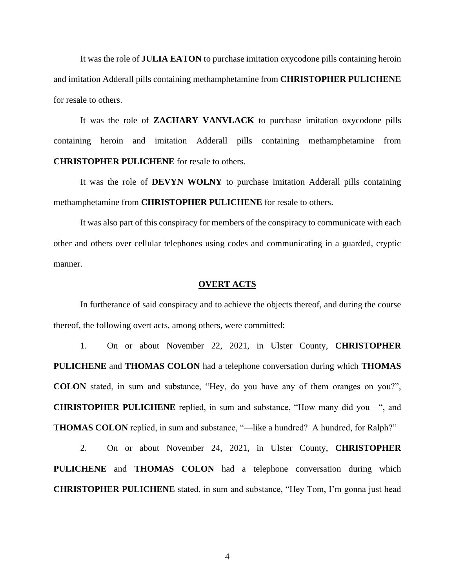It was the role of **JULIA EATON** to purchase imitation oxycodone pills containing heroin and imitation Adderall pills containing methamphetamine from **CHRISTOPHER PULICHENE** for resale to others.

It was the role of **ZACHARY VANVLACK** to purchase imitation oxycodone pills containing heroin and imitation Adderall pills containing methamphetamine from **CHRISTOPHER PULICHENE** for resale to others.

It was the role of **DEVYN WOLNY** to purchase imitation Adderall pills containing methamphetamine from **CHRISTOPHER PULICHENE** for resale to others.

It was also part of this conspiracy for members of the conspiracy to communicate with each other and others over cellular telephones using codes and communicating in a guarded, cryptic manner.

### **OVERT ACTS**

In furtherance of said conspiracy and to achieve the objects thereof, and during the course thereof, the following overt acts, among others, were committed:

1. On or about November 22, 2021, in Ulster County, **CHRISTOPHER PULICHENE** and **THOMAS COLON** had a telephone conversation during which **THOMAS COLON** stated, in sum and substance, "Hey, do you have any of them oranges on you?", **CHRISTOPHER PULICHENE** replied, in sum and substance, "How many did you—", and **THOMAS COLON** replied, in sum and substance, "—like a hundred? A hundred, for Ralph?"

2. On or about November 24, 2021, in Ulster County, **CHRISTOPHER PULICHENE** and **THOMAS COLON** had a telephone conversation during which **CHRISTOPHER PULICHENE** stated, in sum and substance, "Hey Tom, I'm gonna just head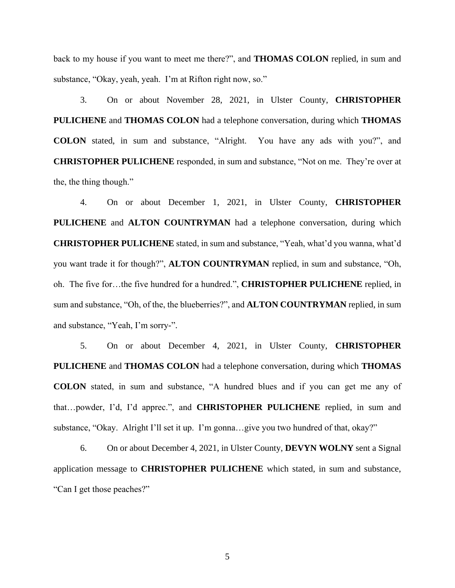back to my house if you want to meet me there?", and **THOMAS COLON** replied, in sum and substance, "Okay, yeah, yeah. I'm at Rifton right now, so."

3. On or about November 28, 2021, in Ulster County, **CHRISTOPHER PULICHENE** and **THOMAS COLON** had a telephone conversation, during which **THOMAS COLON** stated, in sum and substance, "Alright. You have any ads with you?", and **CHRISTOPHER PULICHENE** responded, in sum and substance, "Not on me. They're over at the, the thing though."

4. On or about December 1, 2021, in Ulster County, **CHRISTOPHER PULICHENE** and **ALTON COUNTRYMAN** had a telephone conversation, during which **CHRISTOPHER PULICHENE** stated, in sum and substance, "Yeah, what'd you wanna, what'd you want trade it for though?", **ALTON COUNTRYMAN** replied, in sum and substance, "Oh, oh. The five for…the five hundred for a hundred.", **CHRISTOPHER PULICHENE** replied, in sum and substance, "Oh, of the, the blueberries?", and **ALTON COUNTRYMAN** replied, in sum and substance, "Yeah, I'm sorry-".

5. On or about December 4, 2021, in Ulster County, **CHRISTOPHER PULICHENE** and **THOMAS COLON** had a telephone conversation, during which **THOMAS COLON** stated, in sum and substance, "A hundred blues and if you can get me any of that…powder, I'd, I'd apprec.", and **CHRISTOPHER PULICHENE** replied, in sum and substance, "Okay. Alright I'll set it up. I'm gonna…give you two hundred of that, okay?"

6. On or about December 4, 2021, in Ulster County, **DEVYN WOLNY** sent a Signal application message to **CHRISTOPHER PULICHENE** which stated, in sum and substance, "Can I get those peaches?"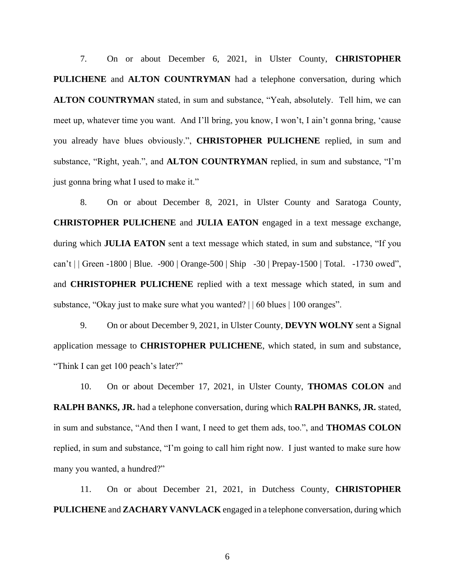7. On or about December 6, 2021, in Ulster County, **CHRISTOPHER PULICHENE** and **ALTON COUNTRYMAN** had a telephone conversation, during which **ALTON COUNTRYMAN** stated, in sum and substance, "Yeah, absolutely. Tell him, we can meet up, whatever time you want. And I'll bring, you know, I won't, I ain't gonna bring, 'cause you already have blues obviously.", **CHRISTOPHER PULICHENE** replied, in sum and substance, "Right, yeah.", and **ALTON COUNTRYMAN** replied, in sum and substance, "I'm just gonna bring what I used to make it."

8. On or about December 8, 2021, in Ulster County and Saratoga County, **CHRISTOPHER PULICHENE** and **JULIA EATON** engaged in a text message exchange, during which **JULIA EATON** sent a text message which stated, in sum and substance, "If you can't | | Green -1800 | Blue. -900 | Orange-500 | Ship -30 | Prepay-1500 | Total. -1730 owed", and **CHRISTOPHER PULICHENE** replied with a text message which stated, in sum and substance, "Okay just to make sure what you wanted? | | 60 blues | 100 oranges".

9. On or about December 9, 2021, in Ulster County, **DEVYN WOLNY** sent a Signal application message to **CHRISTOPHER PULICHENE**, which stated, in sum and substance, "Think I can get 100 peach's later?"

10. On or about December 17, 2021, in Ulster County, **THOMAS COLON** and **RALPH BANKS, JR.** had a telephone conversation, during which **RALPH BANKS, JR.** stated, in sum and substance, "And then I want, I need to get them ads, too.", and **THOMAS COLON**  replied, in sum and substance, "I'm going to call him right now. I just wanted to make sure how many you wanted, a hundred?"

11. On or about December 21, 2021, in Dutchess County, **CHRISTOPHER PULICHENE** and **ZACHARY VANVLACK** engaged in a telephone conversation, during which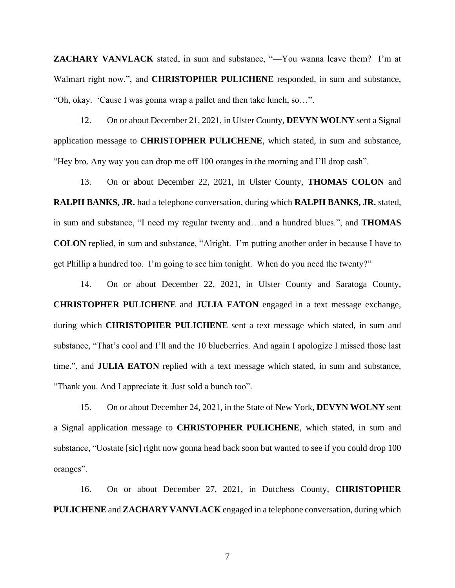**ZACHARY VANVLACK** stated, in sum and substance, "—You wanna leave them? I'm at Walmart right now.", and **CHRISTOPHER PULICHENE** responded, in sum and substance, "Oh, okay. 'Cause I was gonna wrap a pallet and then take lunch, so…".

12. On or about December 21, 2021, in Ulster County, **DEVYN WOLNY** sent a Signal application message to **CHRISTOPHER PULICHENE**, which stated, in sum and substance, "Hey bro. Any way you can drop me off 100 oranges in the morning and I'll drop cash".

13. On or about December 22, 2021, in Ulster County, **THOMAS COLON** and **RALPH BANKS, JR.** had a telephone conversation, during which **RALPH BANKS, JR.** stated, in sum and substance, "I need my regular twenty and…and a hundred blues.", and **THOMAS COLON** replied, in sum and substance, "Alright. I'm putting another order in because I have to get Phillip a hundred too. I'm going to see him tonight. When do you need the twenty?"

14. On or about December 22, 2021, in Ulster County and Saratoga County, **CHRISTOPHER PULICHENE** and **JULIA EATON** engaged in a text message exchange, during which **CHRISTOPHER PULICHENE** sent a text message which stated, in sum and substance, "That's cool and I'll and the 10 blueberries. And again I apologize I missed those last time.", and **JULIA EATON** replied with a text message which stated, in sum and substance, "Thank you. And I appreciate it. Just sold a bunch too".

15. On or about December 24, 2021, in the State of New York, **DEVYN WOLNY** sent a Signal application message to **CHRISTOPHER PULICHENE**, which stated, in sum and substance, "Uostate [sic] right now gonna head back soon but wanted to see if you could drop 100 oranges".

16. On or about December 27, 2021, in Dutchess County, **CHRISTOPHER PULICHENE** and **ZACHARY VANVLACK** engaged in a telephone conversation, during which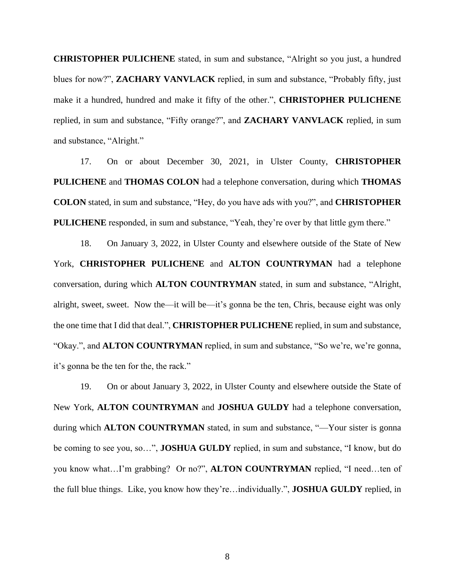**CHRISTOPHER PULICHENE** stated, in sum and substance, "Alright so you just, a hundred blues for now?", **ZACHARY VANVLACK** replied, in sum and substance, "Probably fifty, just make it a hundred, hundred and make it fifty of the other.", **CHRISTOPHER PULICHENE** replied, in sum and substance, "Fifty orange?", and **ZACHARY VANVLACK** replied, in sum and substance, "Alright."

17. On or about December 30, 2021, in Ulster County, **CHRISTOPHER PULICHENE** and **THOMAS COLON** had a telephone conversation, during which **THOMAS COLON** stated, in sum and substance, "Hey, do you have ads with you?", and **CHRISTOPHER PULICHENE** responded, in sum and substance, "Yeah, they're over by that little gym there."

18. On January 3, 2022, in Ulster County and elsewhere outside of the State of New York, **CHRISTOPHER PULICHENE** and **ALTON COUNTRYMAN** had a telephone conversation, during which **ALTON COUNTRYMAN** stated, in sum and substance, "Alright, alright, sweet, sweet. Now the—it will be—it's gonna be the ten, Chris, because eight was only the one time that I did that deal.", **CHRISTOPHER PULICHENE** replied, in sum and substance, "Okay.", and **ALTON COUNTRYMAN** replied, in sum and substance, "So we're, we're gonna, it's gonna be the ten for the, the rack."

19. On or about January 3, 2022, in Ulster County and elsewhere outside the State of New York, **ALTON COUNTRYMAN** and **JOSHUA GULDY** had a telephone conversation, during which **ALTON COUNTRYMAN** stated, in sum and substance, "—Your sister is gonna be coming to see you, so…", **JOSHUA GULDY** replied, in sum and substance, "I know, but do you know what…I'm grabbing? Or no?", **ALTON COUNTRYMAN** replied, "I need…ten of the full blue things. Like, you know how they're…individually.", **JOSHUA GULDY** replied, in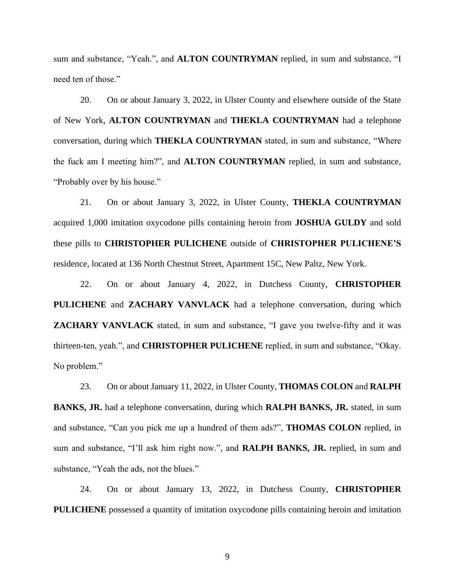sum and substance, "Yeah.", and **ALTON COUNTRYMAN** replied, in sum and substance, "I need ten of those."

20. On or about January 3, 2022, in Ulster County and elsewhere outside of the State of New York, **ALTON COUNTRYMAN** and **THEKLA COUNTRYMAN** had a telephone conversation, during which **THEKLA COUNTRYMAN** stated, in sum and substance, "Where the fuck am I meeting him?", and **ALTON COUNTRYMAN** replied, in sum and substance, "Probably over by his house."

21. On or about January 3, 2022, in Ulster County, **THEKLA COUNTRYMAN**  acquired 1,000 imitation oxycodone pills containing heroin from **JOSHUA GULDY** and sold these pills to **CHRISTOPHER PULICHENE** outside of **CHRISTOPHER PULICHENE'S**  residence, located at 136 North Chestnut Street, Apartment 15C, New Paltz, New York.

22. On or about January 4, 2022, in Dutchess County, **CHRISTOPHER PULICHENE** and **ZACHARY VANVLACK** had a telephone conversation, during which **ZACHARY VANVLACK** stated, in sum and substance, "I gave you twelve-fifty and it was thirteen-ten, yeah.", and **CHRISTOPHER PULICHENE** replied, in sum and substance, "Okay. No problem."

23. On or about January 11, 2022, in Ulster County, **THOMAS COLON** and **RALPH BANKS, JR.** had a telephone conversation, during which **RALPH BANKS, JR.** stated, in sum and substance, "Can you pick me up a hundred of them ads?", **THOMAS COLON** replied, in sum and substance, "I'll ask him right now.", and **RALPH BANKS, JR.** replied, in sum and substance, "Yeah the ads, not the blues."

24. On or about January 13, 2022, in Dutchess County, **CHRISTOPHER PULICHENE** possessed a quantity of imitation oxycodone pills containing heroin and imitation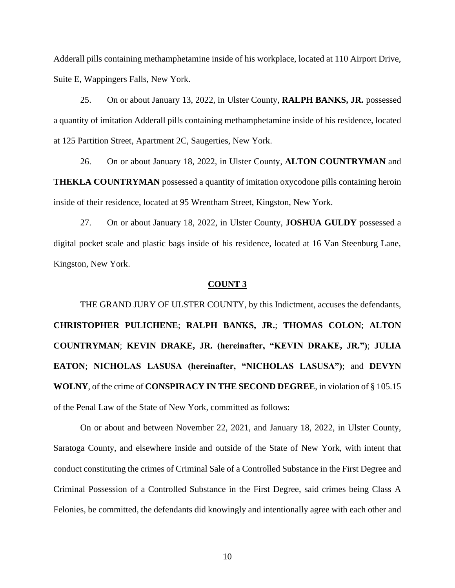Adderall pills containing methamphetamine inside of his workplace, located at 110 Airport Drive, Suite E, Wappingers Falls, New York.

25. On or about January 13, 2022, in Ulster County, **RALPH BANKS, JR.** possessed a quantity of imitation Adderall pills containing methamphetamine inside of his residence, located at 125 Partition Street, Apartment 2C, Saugerties, New York.

26. On or about January 18, 2022, in Ulster County, **ALTON COUNTRYMAN** and **THEKLA COUNTRYMAN** possessed a quantity of imitation oxycodone pills containing heroin inside of their residence, located at 95 Wrentham Street, Kingston, New York.

27. On or about January 18, 2022, in Ulster County, **JOSHUA GULDY** possessed a digital pocket scale and plastic bags inside of his residence, located at 16 Van Steenburg Lane, Kingston, New York.

# **COUNT 3**

THE GRAND JURY OF ULSTER COUNTY, by this Indictment, accuses the defendants, **CHRISTOPHER PULICHENE**; **RALPH BANKS, JR.**; **THOMAS COLON**; **ALTON COUNTRYMAN**; **KEVIN DRAKE, JR. (hereinafter, "KEVIN DRAKE, JR.")**; **JULIA EATON**; **NICHOLAS LASUSA (hereinafter, "NICHOLAS LASUSA")**; and **DEVYN WOLNY**, of the crime of **CONSPIRACY IN THE SECOND DEGREE**, in violation of § 105.15 of the Penal Law of the State of New York, committed as follows:

On or about and between November 22, 2021, and January 18, 2022, in Ulster County, Saratoga County, and elsewhere inside and outside of the State of New York, with intent that conduct constituting the crimes of Criminal Sale of a Controlled Substance in the First Degree and Criminal Possession of a Controlled Substance in the First Degree, said crimes being Class A Felonies, be committed, the defendants did knowingly and intentionally agree with each other and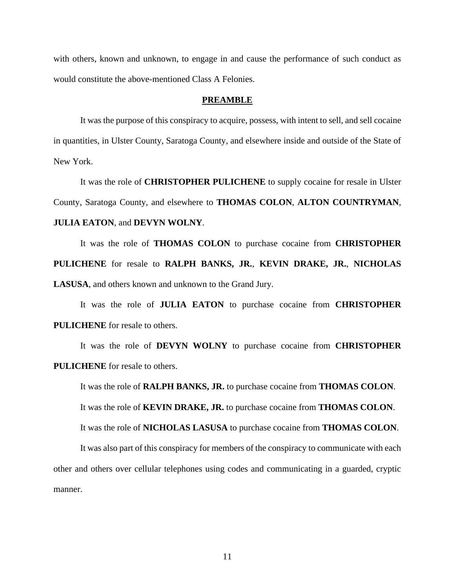with others, known and unknown, to engage in and cause the performance of such conduct as would constitute the above-mentioned Class A Felonies.

### **PREAMBLE**

It was the purpose of this conspiracy to acquire, possess, with intent to sell, and sell cocaine in quantities, in Ulster County, Saratoga County, and elsewhere inside and outside of the State of New York.

It was the role of **CHRISTOPHER PULICHENE** to supply cocaine for resale in Ulster County, Saratoga County, and elsewhere to **THOMAS COLON**, **ALTON COUNTRYMAN**, **JULIA EATON**, and **DEVYN WOLNY**.

It was the role of **THOMAS COLON** to purchase cocaine from **CHRISTOPHER PULICHENE** for resale to **RALPH BANKS, JR.**, **KEVIN DRAKE, JR.**, **NICHOLAS LASUSA**, and others known and unknown to the Grand Jury.

It was the role of **JULIA EATON** to purchase cocaine from **CHRISTOPHER PULICHENE** for resale to others.

It was the role of **DEVYN WOLNY** to purchase cocaine from **CHRISTOPHER PULICHENE** for resale to others.

It was the role of **RALPH BANKS, JR.** to purchase cocaine from **THOMAS COLON**. It was the role of **KEVIN DRAKE, JR.** to purchase cocaine from **THOMAS COLON**. It was the role of **NICHOLAS LASUSA** to purchase cocaine from **THOMAS COLON**.

It was also part of this conspiracy for members of the conspiracy to communicate with each other and others over cellular telephones using codes and communicating in a guarded, cryptic manner.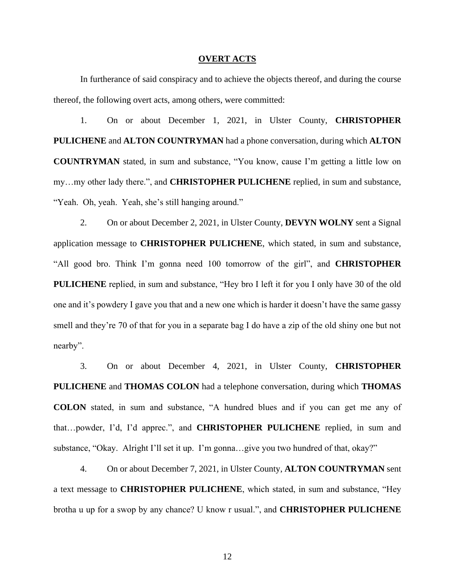### **OVERT ACTS**

In furtherance of said conspiracy and to achieve the objects thereof, and during the course thereof, the following overt acts, among others, were committed:

1. On or about December 1, 2021, in Ulster County, **CHRISTOPHER PULICHENE** and **ALTON COUNTRYMAN** had a phone conversation, during which **ALTON COUNTRYMAN** stated, in sum and substance, "You know, cause I'm getting a little low on my…my other lady there.", and **CHRISTOPHER PULICHENE** replied, in sum and substance, "Yeah. Oh, yeah. Yeah, she's still hanging around."

2. On or about December 2, 2021, in Ulster County, **DEVYN WOLNY** sent a Signal application message to **CHRISTOPHER PULICHENE**, which stated, in sum and substance, "All good bro. Think I'm gonna need 100 tomorrow of the girl", and **CHRISTOPHER PULICHENE** replied, in sum and substance, "Hey bro I left it for you I only have 30 of the old one and it's powdery I gave you that and a new one which is harder it doesn't have the same gassy smell and they're 70 of that for you in a separate bag I do have a zip of the old shiny one but not nearby".

3. On or about December 4, 2021, in Ulster County, **CHRISTOPHER PULICHENE** and **THOMAS COLON** had a telephone conversation, during which **THOMAS COLON** stated, in sum and substance, "A hundred blues and if you can get me any of that…powder, I'd, I'd apprec.", and **CHRISTOPHER PULICHENE** replied, in sum and substance, "Okay. Alright I'll set it up. I'm gonna…give you two hundred of that, okay?"

4. On or about December 7, 2021, in Ulster County, **ALTON COUNTRYMAN** sent a text message to **CHRISTOPHER PULICHENE**, which stated, in sum and substance, "Hey brotha u up for a swop by any chance? U know r usual.", and **CHRISTOPHER PULICHENE**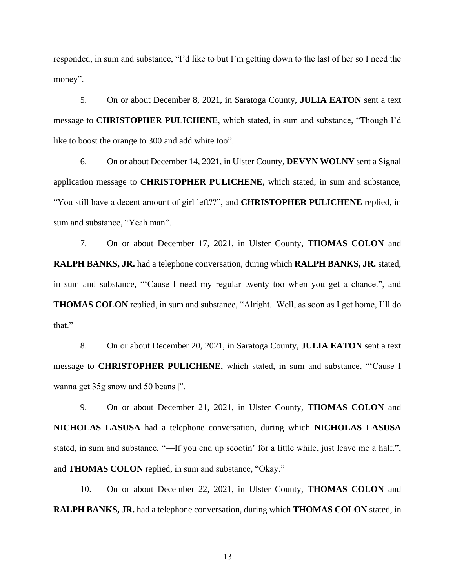responded, in sum and substance, "I'd like to but I'm getting down to the last of her so I need the money".

5. On or about December 8, 2021, in Saratoga County, **JULIA EATON** sent a text message to **CHRISTOPHER PULICHENE**, which stated, in sum and substance, "Though I'd like to boost the orange to 300 and add white too".

6. On or about December 14, 2021, in Ulster County, **DEVYN WOLNY** sent a Signal application message to **CHRISTOPHER PULICHENE**, which stated, in sum and substance, "You still have a decent amount of girl left??", and **CHRISTOPHER PULICHENE** replied, in sum and substance, "Yeah man".

7. On or about December 17, 2021, in Ulster County, **THOMAS COLON** and **RALPH BANKS, JR.** had a telephone conversation, during which **RALPH BANKS, JR.** stated, in sum and substance, "'Cause I need my regular twenty too when you get a chance.", and **THOMAS COLON** replied, in sum and substance, "Alright. Well, as soon as I get home, I'll do that."

8. On or about December 20, 2021, in Saratoga County, **JULIA EATON** sent a text message to **CHRISTOPHER PULICHENE**, which stated, in sum and substance, "'Cause I wanna get 35g snow and 50 beans |".

9. On or about December 21, 2021, in Ulster County, **THOMAS COLON** and **NICHOLAS LASUSA** had a telephone conversation, during which **NICHOLAS LASUSA**  stated, in sum and substance, "—If you end up scootin' for a little while, just leave me a half.", and **THOMAS COLON** replied, in sum and substance, "Okay."

10. On or about December 22, 2021, in Ulster County, **THOMAS COLON** and **RALPH BANKS, JR.** had a telephone conversation, during which **THOMAS COLON** stated, in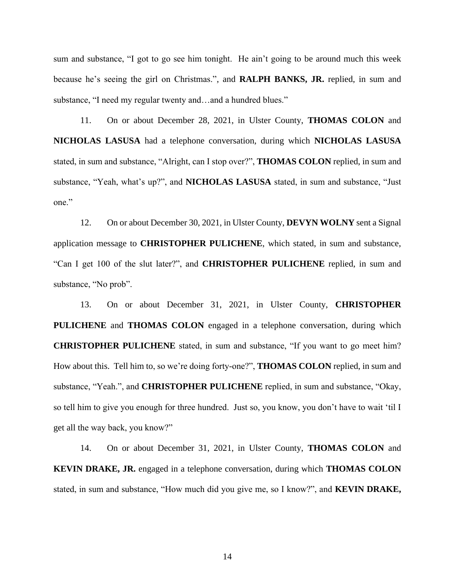sum and substance, "I got to go see him tonight. He ain't going to be around much this week because he's seeing the girl on Christmas.", and **RALPH BANKS, JR.** replied, in sum and substance, "I need my regular twenty and…and a hundred blues."

11. On or about December 28, 2021, in Ulster County, **THOMAS COLON** and **NICHOLAS LASUSA** had a telephone conversation, during which **NICHOLAS LASUSA**  stated, in sum and substance, "Alright, can I stop over?", **THOMAS COLON** replied, in sum and substance, "Yeah, what's up?", and **NICHOLAS LASUSA** stated, in sum and substance, "Just one."

12. On or about December 30, 2021, in Ulster County, **DEVYN WOLNY** sent a Signal application message to **CHRISTOPHER PULICHENE**, which stated, in sum and substance, "Can I get 100 of the slut later?", and **CHRISTOPHER PULICHENE** replied, in sum and substance, "No prob".

13. On or about December 31, 2021, in Ulster County, **CHRISTOPHER PULICHENE** and **THOMAS COLON** engaged in a telephone conversation, during which **CHRISTOPHER PULICHENE** stated, in sum and substance, "If you want to go meet him? How about this. Tell him to, so we're doing forty-one?", **THOMAS COLON** replied, in sum and substance, "Yeah.", and **CHRISTOPHER PULICHENE** replied, in sum and substance, "Okay, so tell him to give you enough for three hundred. Just so, you know, you don't have to wait 'til I get all the way back, you know?"

14. On or about December 31, 2021, in Ulster County, **THOMAS COLON** and **KEVIN DRAKE, JR.** engaged in a telephone conversation, during which **THOMAS COLON**  stated, in sum and substance, "How much did you give me, so I know?", and **KEVIN DRAKE,**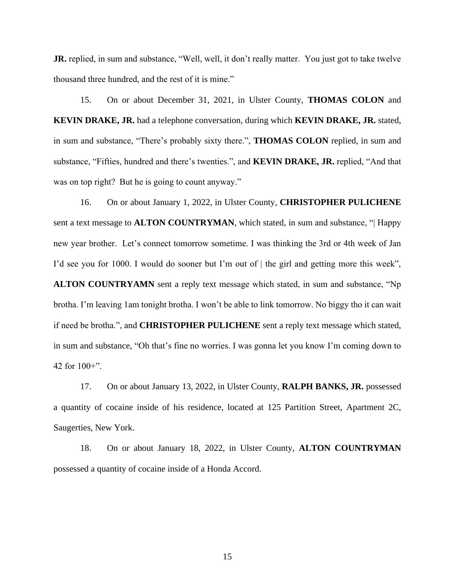**JR.** replied, in sum and substance, "Well, well, it don't really matter. You just got to take twelve thousand three hundred, and the rest of it is mine."

15. On or about December 31, 2021, in Ulster County, **THOMAS COLON** and **KEVIN DRAKE, JR.** had a telephone conversation, during which **KEVIN DRAKE, JR.** stated, in sum and substance, "There's probably sixty there.", **THOMAS COLON** replied, in sum and substance, "Fifties, hundred and there's twenties.", and **KEVIN DRAKE, JR.** replied, "And that was on top right? But he is going to count anyway."

16. On or about January 1, 2022, in Ulster County, **CHRISTOPHER PULICHENE**  sent a text message to **ALTON COUNTRYMAN**, which stated, in sum and substance, "| Happy new year brother. Let's connect tomorrow sometime. I was thinking the 3rd or 4th week of Jan I'd see you for 1000. I would do sooner but I'm out of  $\vert$  the girl and getting more this week", **ALTON COUNTRYAMN** sent a reply text message which stated, in sum and substance, "Np brotha. I'm leaving 1am tonight brotha. I won't be able to link tomorrow. No biggy tho it can wait if need be brotha.", and **CHRISTOPHER PULICHENE** sent a reply text message which stated, in sum and substance, "Oh that's fine no worries. I was gonna let you know I'm coming down to 42 for 100+".

17. On or about January 13, 2022, in Ulster County, **RALPH BANKS, JR.** possessed a quantity of cocaine inside of his residence, located at 125 Partition Street, Apartment 2C, Saugerties, New York.

18. On or about January 18, 2022, in Ulster County, **ALTON COUNTRYMAN**  possessed a quantity of cocaine inside of a Honda Accord.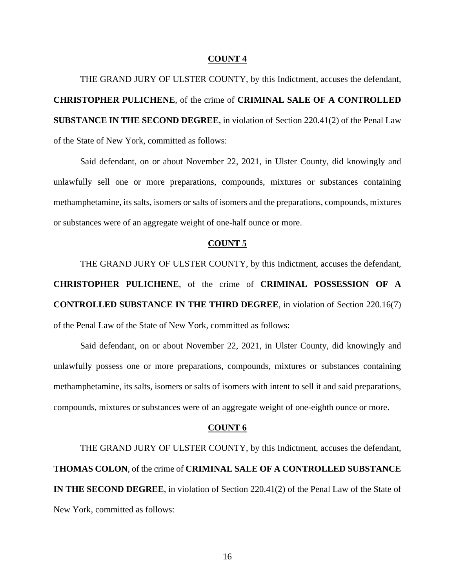THE GRAND JURY OF ULSTER COUNTY, by this Indictment, accuses the defendant, **CHRISTOPHER PULICHENE**, of the crime of **CRIMINAL SALE OF A CONTROLLED SUBSTANCE IN THE SECOND DEGREE**, in violation of Section 220.41(2) of the Penal Law of the State of New York, committed as follows:

Said defendant, on or about November 22, 2021, in Ulster County, did knowingly and unlawfully sell one or more preparations, compounds, mixtures or substances containing methamphetamine, its salts, isomers or salts of isomers and the preparations, compounds, mixtures or substances were of an aggregate weight of one-half ounce or more.

# **COUNT 5**

THE GRAND JURY OF ULSTER COUNTY, by this Indictment, accuses the defendant, **CHRISTOPHER PULICHENE**, of the crime of **CRIMINAL POSSESSION OF A CONTROLLED SUBSTANCE IN THE THIRD DEGREE**, in violation of Section 220.16(7) of the Penal Law of the State of New York, committed as follows:

Said defendant, on or about November 22, 2021, in Ulster County, did knowingly and unlawfully possess one or more preparations, compounds, mixtures or substances containing methamphetamine, its salts, isomers or salts of isomers with intent to sell it and said preparations, compounds, mixtures or substances were of an aggregate weight of one-eighth ounce or more.

#### **COUNT 6**

THE GRAND JURY OF ULSTER COUNTY, by this Indictment, accuses the defendant, **THOMAS COLON**, of the crime of **CRIMINAL SALE OF A CONTROLLED SUBSTANCE IN THE SECOND DEGREE**, in violation of Section 220.41(2) of the Penal Law of the State of New York, committed as follows: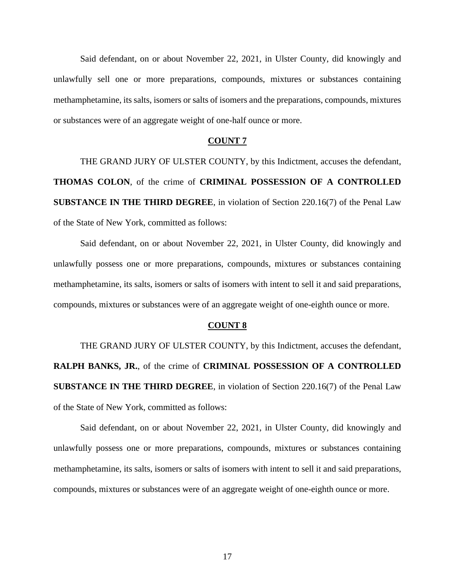Said defendant, on or about November 22, 2021, in Ulster County, did knowingly and unlawfully sell one or more preparations, compounds, mixtures or substances containing methamphetamine, its salts, isomers or salts of isomers and the preparations, compounds, mixtures or substances were of an aggregate weight of one-half ounce or more.

# **COUNT 7**

THE GRAND JURY OF ULSTER COUNTY, by this Indictment, accuses the defendant, **THOMAS COLON**, of the crime of **CRIMINAL POSSESSION OF A CONTROLLED SUBSTANCE IN THE THIRD DEGREE**, in violation of Section 220.16(7) of the Penal Law of the State of New York, committed as follows:

Said defendant, on or about November 22, 2021, in Ulster County, did knowingly and unlawfully possess one or more preparations, compounds, mixtures or substances containing methamphetamine, its salts, isomers or salts of isomers with intent to sell it and said preparations, compounds, mixtures or substances were of an aggregate weight of one-eighth ounce or more.

#### **COUNT 8**

THE GRAND JURY OF ULSTER COUNTY, by this Indictment, accuses the defendant, **RALPH BANKS, JR.**, of the crime of **CRIMINAL POSSESSION OF A CONTROLLED SUBSTANCE IN THE THIRD DEGREE**, in violation of Section 220.16(7) of the Penal Law of the State of New York, committed as follows:

Said defendant, on or about November 22, 2021, in Ulster County, did knowingly and unlawfully possess one or more preparations, compounds, mixtures or substances containing methamphetamine, its salts, isomers or salts of isomers with intent to sell it and said preparations, compounds, mixtures or substances were of an aggregate weight of one-eighth ounce or more.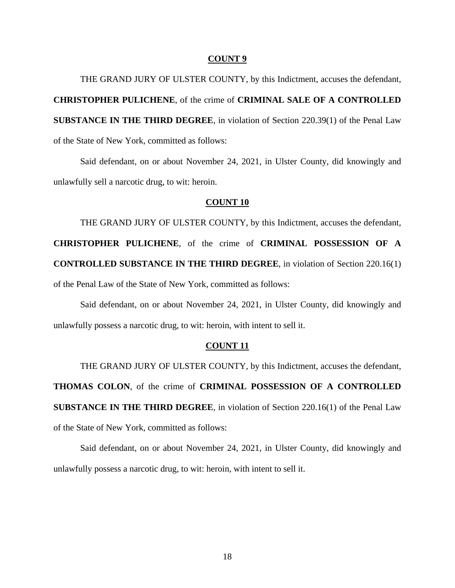THE GRAND JURY OF ULSTER COUNTY, by this Indictment, accuses the defendant, **CHRISTOPHER PULICHENE**, of the crime of **CRIMINAL SALE OF A CONTROLLED SUBSTANCE IN THE THIRD DEGREE**, in violation of Section 220.39(1) of the Penal Law of the State of New York, committed as follows:

Said defendant, on or about November 24, 2021, in Ulster County, did knowingly and unlawfully sell a narcotic drug, to wit: heroin.

### **COUNT 10**

THE GRAND JURY OF ULSTER COUNTY, by this Indictment, accuses the defendant, **CHRISTOPHER PULICHENE**, of the crime of **CRIMINAL POSSESSION OF A CONTROLLED SUBSTANCE IN THE THIRD DEGREE**, in violation of Section 220.16(1) of the Penal Law of the State of New York, committed as follows:

Said defendant, on or about November 24, 2021, in Ulster County, did knowingly and unlawfully possess a narcotic drug, to wit: heroin, with intent to sell it.

# **COUNT 11**

THE GRAND JURY OF ULSTER COUNTY, by this Indictment, accuses the defendant, **THOMAS COLON**, of the crime of **CRIMINAL POSSESSION OF A CONTROLLED SUBSTANCE IN THE THIRD DEGREE**, in violation of Section 220.16(1) of the Penal Law of the State of New York, committed as follows:

Said defendant, on or about November 24, 2021, in Ulster County, did knowingly and unlawfully possess a narcotic drug, to wit: heroin, with intent to sell it.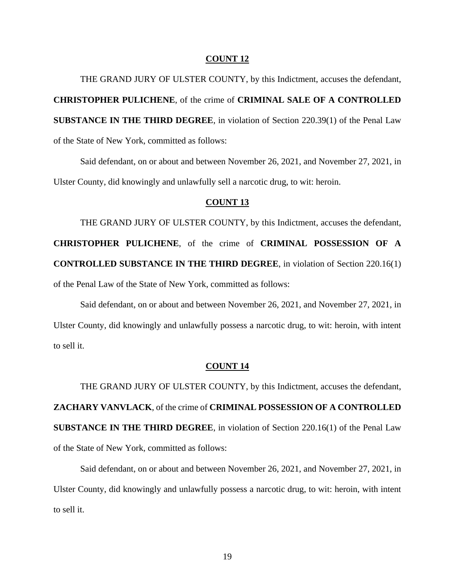THE GRAND JURY OF ULSTER COUNTY, by this Indictment, accuses the defendant, **CHRISTOPHER PULICHENE**, of the crime of **CRIMINAL SALE OF A CONTROLLED SUBSTANCE IN THE THIRD DEGREE**, in violation of Section 220.39(1) of the Penal Law of the State of New York, committed as follows:

Said defendant, on or about and between November 26, 2021, and November 27, 2021, in Ulster County, did knowingly and unlawfully sell a narcotic drug, to wit: heroin.

# **COUNT 13**

THE GRAND JURY OF ULSTER COUNTY, by this Indictment, accuses the defendant, **CHRISTOPHER PULICHENE**, of the crime of **CRIMINAL POSSESSION OF A CONTROLLED SUBSTANCE IN THE THIRD DEGREE**, in violation of Section 220.16(1) of the Penal Law of the State of New York, committed as follows:

Said defendant, on or about and between November 26, 2021, and November 27, 2021, in Ulster County, did knowingly and unlawfully possess a narcotic drug, to wit: heroin, with intent to sell it.

### **COUNT 14**

THE GRAND JURY OF ULSTER COUNTY, by this Indictment, accuses the defendant, **ZACHARY VANVLACK**, of the crime of **CRIMINAL POSSESSION OF A CONTROLLED SUBSTANCE IN THE THIRD DEGREE**, in violation of Section 220.16(1) of the Penal Law of the State of New York, committed as follows:

Said defendant, on or about and between November 26, 2021, and November 27, 2021, in Ulster County, did knowingly and unlawfully possess a narcotic drug, to wit: heroin, with intent to sell it.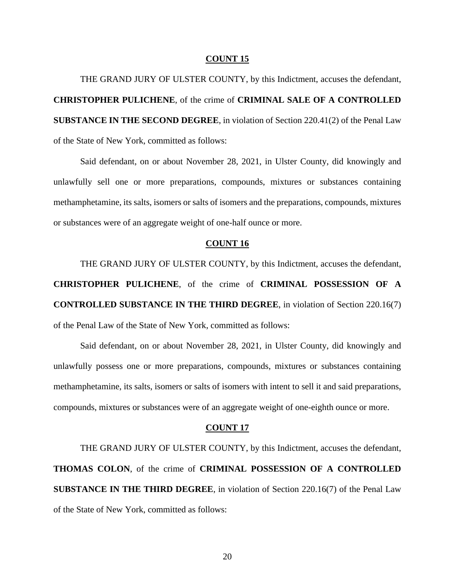THE GRAND JURY OF ULSTER COUNTY, by this Indictment, accuses the defendant, **CHRISTOPHER PULICHENE**, of the crime of **CRIMINAL SALE OF A CONTROLLED SUBSTANCE IN THE SECOND DEGREE**, in violation of Section 220.41(2) of the Penal Law of the State of New York, committed as follows:

Said defendant, on or about November 28, 2021, in Ulster County, did knowingly and unlawfully sell one or more preparations, compounds, mixtures or substances containing methamphetamine, its salts, isomers or salts of isomers and the preparations, compounds, mixtures or substances were of an aggregate weight of one-half ounce or more.

# **COUNT 16**

THE GRAND JURY OF ULSTER COUNTY, by this Indictment, accuses the defendant, **CHRISTOPHER PULICHENE**, of the crime of **CRIMINAL POSSESSION OF A CONTROLLED SUBSTANCE IN THE THIRD DEGREE**, in violation of Section 220.16(7) of the Penal Law of the State of New York, committed as follows:

Said defendant, on or about November 28, 2021, in Ulster County, did knowingly and unlawfully possess one or more preparations, compounds, mixtures or substances containing methamphetamine, its salts, isomers or salts of isomers with intent to sell it and said preparations, compounds, mixtures or substances were of an aggregate weight of one-eighth ounce or more.

#### **COUNT 17**

THE GRAND JURY OF ULSTER COUNTY, by this Indictment, accuses the defendant, **THOMAS COLON**, of the crime of **CRIMINAL POSSESSION OF A CONTROLLED SUBSTANCE IN THE THIRD DEGREE**, in violation of Section 220.16(7) of the Penal Law of the State of New York, committed as follows: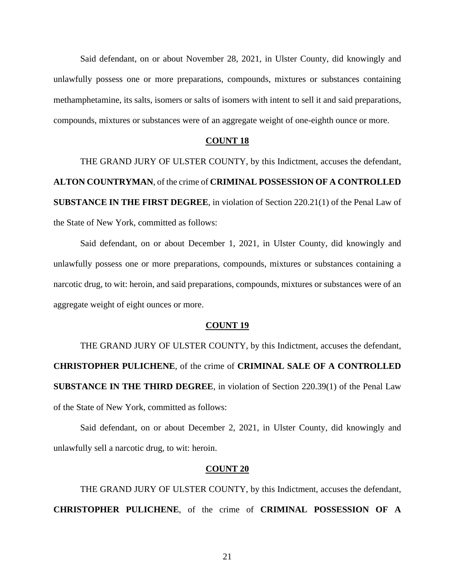Said defendant, on or about November 28, 2021, in Ulster County, did knowingly and unlawfully possess one or more preparations, compounds, mixtures or substances containing methamphetamine, its salts, isomers or salts of isomers with intent to sell it and said preparations, compounds, mixtures or substances were of an aggregate weight of one-eighth ounce or more.

# **COUNT 18**

THE GRAND JURY OF ULSTER COUNTY, by this Indictment, accuses the defendant, **ALTON COUNTRYMAN**, of the crime of **CRIMINAL POSSESSION OF A CONTROLLED SUBSTANCE IN THE FIRST DEGREE**, in violation of Section 220.21(1) of the Penal Law of the State of New York, committed as follows:

Said defendant, on or about December 1, 2021, in Ulster County, did knowingly and unlawfully possess one or more preparations, compounds, mixtures or substances containing a narcotic drug, to wit: heroin, and said preparations, compounds, mixtures or substances were of an aggregate weight of eight ounces or more.

# **COUNT 19**

THE GRAND JURY OF ULSTER COUNTY, by this Indictment, accuses the defendant, **CHRISTOPHER PULICHENE**, of the crime of **CRIMINAL SALE OF A CONTROLLED SUBSTANCE IN THE THIRD DEGREE**, in violation of Section 220.39(1) of the Penal Law of the State of New York, committed as follows:

Said defendant, on or about December 2, 2021, in Ulster County, did knowingly and unlawfully sell a narcotic drug, to wit: heroin.

### **COUNT 20**

THE GRAND JURY OF ULSTER COUNTY, by this Indictment, accuses the defendant, **CHRISTOPHER PULICHENE**, of the crime of **CRIMINAL POSSESSION OF A**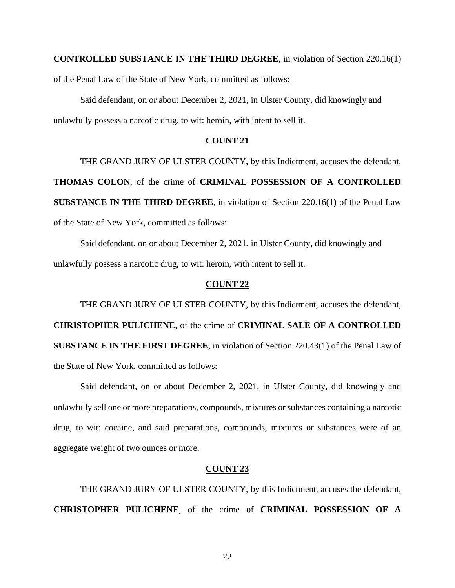**CONTROLLED SUBSTANCE IN THE THIRD DEGREE**, in violation of Section 220.16(1)

of the Penal Law of the State of New York, committed as follows:

Said defendant, on or about December 2, 2021, in Ulster County, did knowingly and unlawfully possess a narcotic drug, to wit: heroin, with intent to sell it.

# **COUNT 21**

THE GRAND JURY OF ULSTER COUNTY, by this Indictment, accuses the defendant,

**THOMAS COLON**, of the crime of **CRIMINAL POSSESSION OF A CONTROLLED SUBSTANCE IN THE THIRD DEGREE**, in violation of Section 220.16(1) of the Penal Law of the State of New York, committed as follows:

Said defendant, on or about December 2, 2021, in Ulster County, did knowingly and unlawfully possess a narcotic drug, to wit: heroin, with intent to sell it.

# **COUNT 22**

THE GRAND JURY OF ULSTER COUNTY, by this Indictment, accuses the defendant, **CHRISTOPHER PULICHENE**, of the crime of **CRIMINAL SALE OF A CONTROLLED SUBSTANCE IN THE FIRST DEGREE**, in violation of Section 220.43(1) of the Penal Law of the State of New York, committed as follows:

Said defendant, on or about December 2, 2021, in Ulster County, did knowingly and unlawfully sell one or more preparations, compounds, mixtures or substances containing a narcotic drug, to wit: cocaine, and said preparations, compounds, mixtures or substances were of an aggregate weight of two ounces or more.

# **COUNT 23**

THE GRAND JURY OF ULSTER COUNTY, by this Indictment, accuses the defendant, **CHRISTOPHER PULICHENE**, of the crime of **CRIMINAL POSSESSION OF A**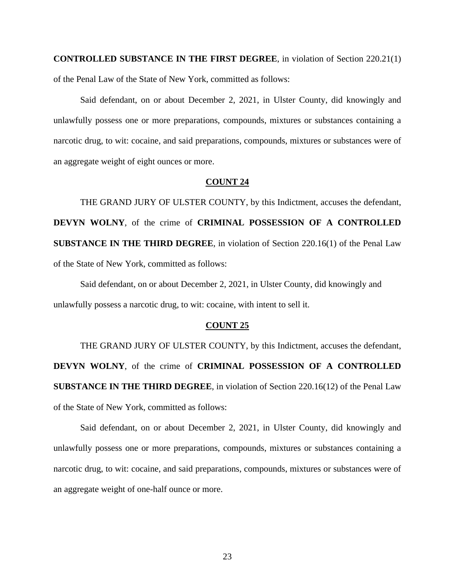**CONTROLLED SUBSTANCE IN THE FIRST DEGREE**, in violation of Section 220.21(1) of the Penal Law of the State of New York, committed as follows:

Said defendant, on or about December 2, 2021, in Ulster County, did knowingly and unlawfully possess one or more preparations, compounds, mixtures or substances containing a narcotic drug, to wit: cocaine, and said preparations, compounds, mixtures or substances were of an aggregate weight of eight ounces or more.

### **COUNT 24**

THE GRAND JURY OF ULSTER COUNTY, by this Indictment, accuses the defendant, **DEVYN WOLNY**, of the crime of **CRIMINAL POSSESSION OF A CONTROLLED SUBSTANCE IN THE THIRD DEGREE**, in violation of Section 220.16(1) of the Penal Law of the State of New York, committed as follows:

Said defendant, on or about December 2, 2021, in Ulster County, did knowingly and unlawfully possess a narcotic drug, to wit: cocaine, with intent to sell it.

# **COUNT 25**

THE GRAND JURY OF ULSTER COUNTY, by this Indictment, accuses the defendant, **DEVYN WOLNY**, of the crime of **CRIMINAL POSSESSION OF A CONTROLLED SUBSTANCE IN THE THIRD DEGREE**, in violation of Section 220.16(12) of the Penal Law of the State of New York, committed as follows:

Said defendant, on or about December 2, 2021, in Ulster County, did knowingly and unlawfully possess one or more preparations, compounds, mixtures or substances containing a narcotic drug, to wit: cocaine, and said preparations, compounds, mixtures or substances were of an aggregate weight of one-half ounce or more.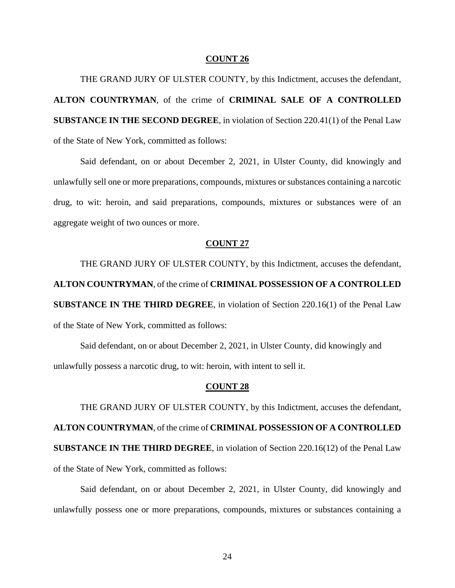THE GRAND JURY OF ULSTER COUNTY, by this Indictment, accuses the defendant, **ALTON COUNTRYMAN**, of the crime of **CRIMINAL SALE OF A CONTROLLED SUBSTANCE IN THE SECOND DEGREE**, in violation of Section 220.41(1) of the Penal Law of the State of New York, committed as follows:

Said defendant, on or about December 2, 2021, in Ulster County, did knowingly and unlawfully sell one or more preparations, compounds, mixtures or substances containing a narcotic drug, to wit: heroin, and said preparations, compounds, mixtures or substances were of an aggregate weight of two ounces or more.

### **COUNT 27**

THE GRAND JURY OF ULSTER COUNTY, by this Indictment, accuses the defendant, **ALTON COUNTRYMAN**, of the crime of **CRIMINAL POSSESSION OF A CONTROLLED SUBSTANCE IN THE THIRD DEGREE**, in violation of Section 220.16(1) of the Penal Law of the State of New York, committed as follows:

Said defendant, on or about December 2, 2021, in Ulster County, did knowingly and unlawfully possess a narcotic drug, to wit: heroin, with intent to sell it.

# **COUNT 28**

THE GRAND JURY OF ULSTER COUNTY, by this Indictment, accuses the defendant, **ALTON COUNTRYMAN**, of the crime of **CRIMINAL POSSESSION OF A CONTROLLED SUBSTANCE IN THE THIRD DEGREE**, in violation of Section 220.16(12) of the Penal Law of the State of New York, committed as follows:

Said defendant, on or about December 2, 2021, in Ulster County, did knowingly and unlawfully possess one or more preparations, compounds, mixtures or substances containing a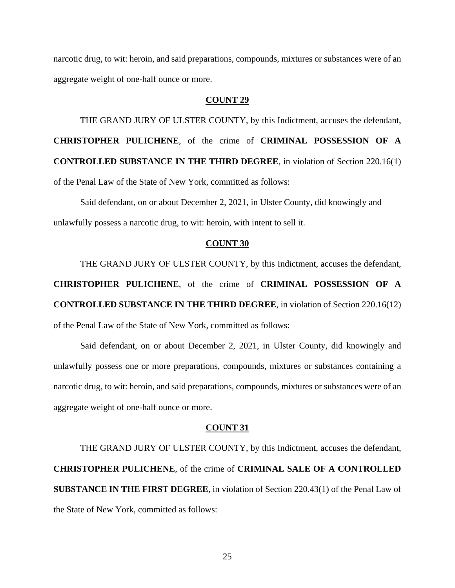narcotic drug, to wit: heroin, and said preparations, compounds, mixtures or substances were of an aggregate weight of one-half ounce or more.

# **COUNT 29**

THE GRAND JURY OF ULSTER COUNTY, by this Indictment, accuses the defendant, **CHRISTOPHER PULICHENE**, of the crime of **CRIMINAL POSSESSION OF A CONTROLLED SUBSTANCE IN THE THIRD DEGREE**, in violation of Section 220.16(1) of the Penal Law of the State of New York, committed as follows:

Said defendant, on or about December 2, 2021, in Ulster County, did knowingly and unlawfully possess a narcotic drug, to wit: heroin, with intent to sell it.

# **COUNT 30**

THE GRAND JURY OF ULSTER COUNTY, by this Indictment, accuses the defendant,

**CHRISTOPHER PULICHENE**, of the crime of **CRIMINAL POSSESSION OF A CONTROLLED SUBSTANCE IN THE THIRD DEGREE**, in violation of Section 220.16(12) of the Penal Law of the State of New York, committed as follows:

Said defendant, on or about December 2, 2021, in Ulster County, did knowingly and unlawfully possess one or more preparations, compounds, mixtures or substances containing a narcotic drug, to wit: heroin, and said preparations, compounds, mixtures or substances were of an aggregate weight of one-half ounce or more.

#### **COUNT 31**

THE GRAND JURY OF ULSTER COUNTY, by this Indictment, accuses the defendant, **CHRISTOPHER PULICHENE**, of the crime of **CRIMINAL SALE OF A CONTROLLED SUBSTANCE IN THE FIRST DEGREE**, in violation of Section 220.43(1) of the Penal Law of the State of New York, committed as follows: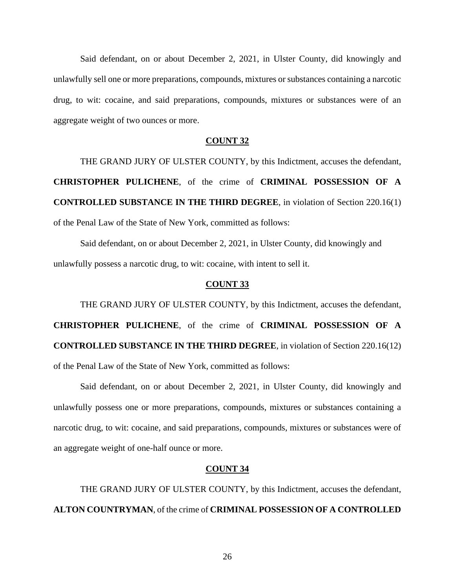Said defendant, on or about December 2, 2021, in Ulster County, did knowingly and unlawfully sell one or more preparations, compounds, mixtures or substances containing a narcotic drug, to wit: cocaine, and said preparations, compounds, mixtures or substances were of an aggregate weight of two ounces or more.

# **COUNT 32**

THE GRAND JURY OF ULSTER COUNTY, by this Indictment, accuses the defendant, **CHRISTOPHER PULICHENE**, of the crime of **CRIMINAL POSSESSION OF A CONTROLLED SUBSTANCE IN THE THIRD DEGREE**, in violation of Section 220.16(1) of the Penal Law of the State of New York, committed as follows:

Said defendant, on or about December 2, 2021, in Ulster County, did knowingly and unlawfully possess a narcotic drug, to wit: cocaine, with intent to sell it.

# **COUNT 33**

THE GRAND JURY OF ULSTER COUNTY, by this Indictment, accuses the defendant, **CHRISTOPHER PULICHENE**, of the crime of **CRIMINAL POSSESSION OF A CONTROLLED SUBSTANCE IN THE THIRD DEGREE**, in violation of Section 220.16(12) of the Penal Law of the State of New York, committed as follows:

Said defendant, on or about December 2, 2021, in Ulster County, did knowingly and unlawfully possess one or more preparations, compounds, mixtures or substances containing a narcotic drug, to wit: cocaine, and said preparations, compounds, mixtures or substances were of an aggregate weight of one-half ounce or more.

# **COUNT 34**

THE GRAND JURY OF ULSTER COUNTY, by this Indictment, accuses the defendant, **ALTON COUNTRYMAN**, of the crime of **CRIMINAL POSSESSION OF A CONTROLLED**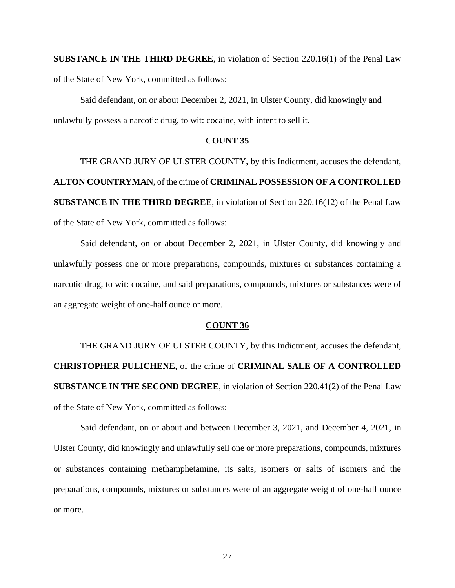**SUBSTANCE IN THE THIRD DEGREE**, in violation of Section 220.16(1) of the Penal Law of the State of New York, committed as follows:

Said defendant, on or about December 2, 2021, in Ulster County, did knowingly and unlawfully possess a narcotic drug, to wit: cocaine, with intent to sell it.

# **COUNT 35**

THE GRAND JURY OF ULSTER COUNTY, by this Indictment, accuses the defendant, **ALTON COUNTRYMAN**, of the crime of **CRIMINAL POSSESSION OF A CONTROLLED SUBSTANCE IN THE THIRD DEGREE**, in violation of Section 220.16(12) of the Penal Law of the State of New York, committed as follows:

Said defendant, on or about December 2, 2021, in Ulster County, did knowingly and unlawfully possess one or more preparations, compounds, mixtures or substances containing a narcotic drug, to wit: cocaine, and said preparations, compounds, mixtures or substances were of an aggregate weight of one-half ounce or more.

# **COUNT 36**

THE GRAND JURY OF ULSTER COUNTY, by this Indictment, accuses the defendant, **CHRISTOPHER PULICHENE**, of the crime of **CRIMINAL SALE OF A CONTROLLED SUBSTANCE IN THE SECOND DEGREE**, in violation of Section 220.41(2) of the Penal Law of the State of New York, committed as follows:

Said defendant, on or about and between December 3, 2021, and December 4, 2021, in Ulster County, did knowingly and unlawfully sell one or more preparations, compounds, mixtures or substances containing methamphetamine, its salts, isomers or salts of isomers and the preparations, compounds, mixtures or substances were of an aggregate weight of one-half ounce or more.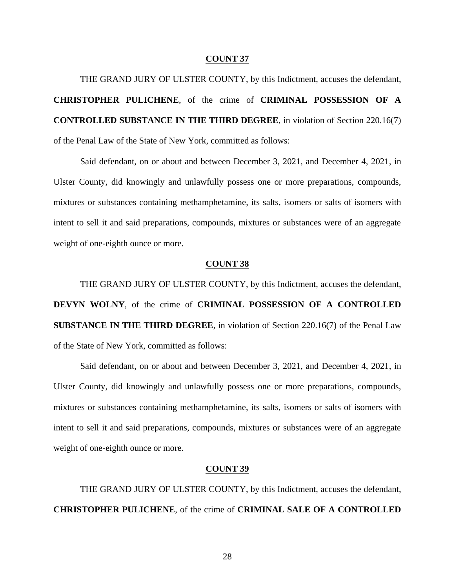THE GRAND JURY OF ULSTER COUNTY, by this Indictment, accuses the defendant, **CHRISTOPHER PULICHENE**, of the crime of **CRIMINAL POSSESSION OF A CONTROLLED SUBSTANCE IN THE THIRD DEGREE**, in violation of Section 220.16(7) of the Penal Law of the State of New York, committed as follows:

Said defendant, on or about and between December 3, 2021, and December 4, 2021, in Ulster County, did knowingly and unlawfully possess one or more preparations, compounds, mixtures or substances containing methamphetamine, its salts, isomers or salts of isomers with intent to sell it and said preparations, compounds, mixtures or substances were of an aggregate weight of one-eighth ounce or more.

## **COUNT 38**

THE GRAND JURY OF ULSTER COUNTY, by this Indictment, accuses the defendant, **DEVYN WOLNY**, of the crime of **CRIMINAL POSSESSION OF A CONTROLLED SUBSTANCE IN THE THIRD DEGREE**, in violation of Section 220.16(7) of the Penal Law of the State of New York, committed as follows:

Said defendant, on or about and between December 3, 2021, and December 4, 2021, in Ulster County, did knowingly and unlawfully possess one or more preparations, compounds, mixtures or substances containing methamphetamine, its salts, isomers or salts of isomers with intent to sell it and said preparations, compounds, mixtures or substances were of an aggregate weight of one-eighth ounce or more.

### **COUNT 39**

THE GRAND JURY OF ULSTER COUNTY, by this Indictment, accuses the defendant, **CHRISTOPHER PULICHENE**, of the crime of **CRIMINAL SALE OF A CONTROLLED**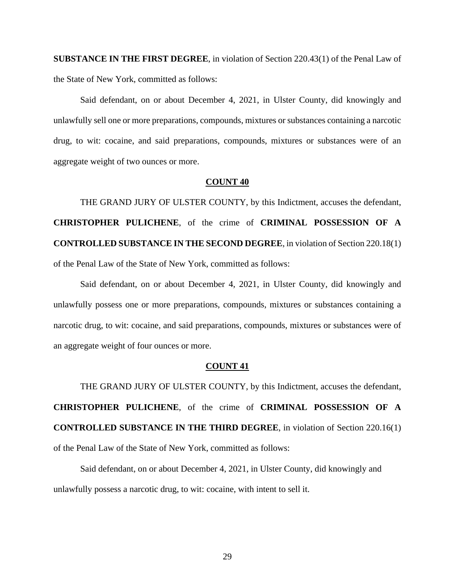**SUBSTANCE IN THE FIRST DEGREE**, in violation of Section 220.43(1) of the Penal Law of the State of New York, committed as follows:

Said defendant, on or about December 4, 2021, in Ulster County, did knowingly and unlawfully sell one or more preparations, compounds, mixtures or substances containing a narcotic drug, to wit: cocaine, and said preparations, compounds, mixtures or substances were of an aggregate weight of two ounces or more.

### **COUNT 40**

THE GRAND JURY OF ULSTER COUNTY, by this Indictment, accuses the defendant, **CHRISTOPHER PULICHENE**, of the crime of **CRIMINAL POSSESSION OF A CONTROLLED SUBSTANCE IN THE SECOND DEGREE**, in violation of Section 220.18(1) of the Penal Law of the State of New York, committed as follows:

Said defendant, on or about December 4, 2021, in Ulster County, did knowingly and unlawfully possess one or more preparations, compounds, mixtures or substances containing a narcotic drug, to wit: cocaine, and said preparations, compounds, mixtures or substances were of an aggregate weight of four ounces or more.

### **COUNT 41**

THE GRAND JURY OF ULSTER COUNTY, by this Indictment, accuses the defendant, **CHRISTOPHER PULICHENE**, of the crime of **CRIMINAL POSSESSION OF A CONTROLLED SUBSTANCE IN THE THIRD DEGREE**, in violation of Section 220.16(1) of the Penal Law of the State of New York, committed as follows:

Said defendant, on or about December 4, 2021, in Ulster County, did knowingly and unlawfully possess a narcotic drug, to wit: cocaine, with intent to sell it.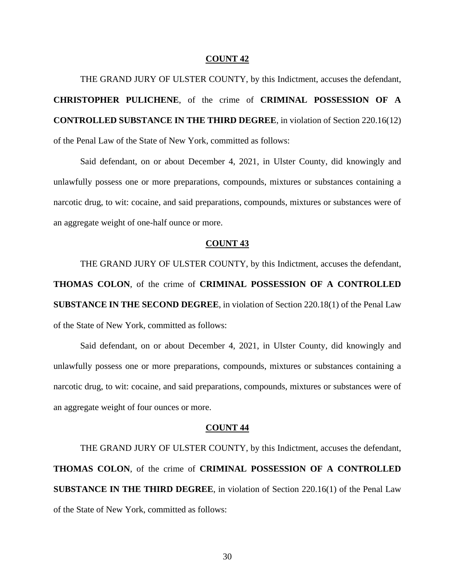THE GRAND JURY OF ULSTER COUNTY, by this Indictment, accuses the defendant, **CHRISTOPHER PULICHENE**, of the crime of **CRIMINAL POSSESSION OF A CONTROLLED SUBSTANCE IN THE THIRD DEGREE**, in violation of Section 220.16(12) of the Penal Law of the State of New York, committed as follows:

Said defendant, on or about December 4, 2021, in Ulster County, did knowingly and unlawfully possess one or more preparations, compounds, mixtures or substances containing a narcotic drug, to wit: cocaine, and said preparations, compounds, mixtures or substances were of an aggregate weight of one-half ounce or more.

### **COUNT 43**

THE GRAND JURY OF ULSTER COUNTY, by this Indictment, accuses the defendant, **THOMAS COLON**, of the crime of **CRIMINAL POSSESSION OF A CONTROLLED SUBSTANCE IN THE SECOND DEGREE**, in violation of Section 220.18(1) of the Penal Law of the State of New York, committed as follows:

Said defendant, on or about December 4, 2021, in Ulster County, did knowingly and unlawfully possess one or more preparations, compounds, mixtures or substances containing a narcotic drug, to wit: cocaine, and said preparations, compounds, mixtures or substances were of an aggregate weight of four ounces or more.

#### **COUNT 44**

THE GRAND JURY OF ULSTER COUNTY, by this Indictment, accuses the defendant, **THOMAS COLON**, of the crime of **CRIMINAL POSSESSION OF A CONTROLLED SUBSTANCE IN THE THIRD DEGREE**, in violation of Section 220.16(1) of the Penal Law of the State of New York, committed as follows: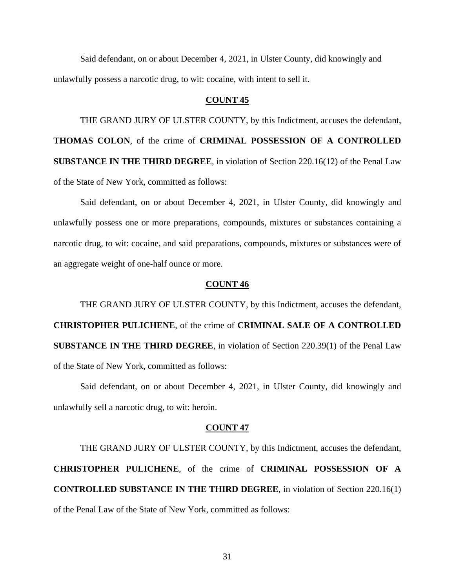Said defendant, on or about December 4, 2021, in Ulster County, did knowingly and unlawfully possess a narcotic drug, to wit: cocaine, with intent to sell it.

# **COUNT 45**

THE GRAND JURY OF ULSTER COUNTY, by this Indictment, accuses the defendant, **THOMAS COLON**, of the crime of **CRIMINAL POSSESSION OF A CONTROLLED SUBSTANCE IN THE THIRD DEGREE**, in violation of Section 220.16(12) of the Penal Law of the State of New York, committed as follows:

Said defendant, on or about December 4, 2021, in Ulster County, did knowingly and unlawfully possess one or more preparations, compounds, mixtures or substances containing a narcotic drug, to wit: cocaine, and said preparations, compounds, mixtures or substances were of an aggregate weight of one-half ounce or more.

### **COUNT 46**

THE GRAND JURY OF ULSTER COUNTY, by this Indictment, accuses the defendant, **CHRISTOPHER PULICHENE**, of the crime of **CRIMINAL SALE OF A CONTROLLED SUBSTANCE IN THE THIRD DEGREE**, in violation of Section 220.39(1) of the Penal Law of the State of New York, committed as follows:

Said defendant, on or about December 4, 2021, in Ulster County, did knowingly and unlawfully sell a narcotic drug, to wit: heroin.

#### **COUNT 47**

THE GRAND JURY OF ULSTER COUNTY, by this Indictment, accuses the defendant, **CHRISTOPHER PULICHENE**, of the crime of **CRIMINAL POSSESSION OF A CONTROLLED SUBSTANCE IN THE THIRD DEGREE**, in violation of Section 220.16(1) of the Penal Law of the State of New York, committed as follows: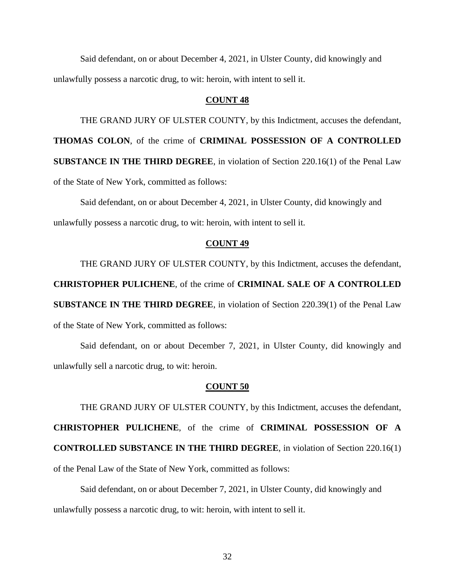Said defendant, on or about December 4, 2021, in Ulster County, did knowingly and unlawfully possess a narcotic drug, to wit: heroin, with intent to sell it.

# **COUNT 48**

THE GRAND JURY OF ULSTER COUNTY, by this Indictment, accuses the defendant,

**THOMAS COLON**, of the crime of **CRIMINAL POSSESSION OF A CONTROLLED** 

**SUBSTANCE IN THE THIRD DEGREE**, in violation of Section 220.16(1) of the Penal Law

of the State of New York, committed as follows:

Said defendant, on or about December 4, 2021, in Ulster County, did knowingly and unlawfully possess a narcotic drug, to wit: heroin, with intent to sell it.

# **COUNT 49**

THE GRAND JURY OF ULSTER COUNTY, by this Indictment, accuses the defendant,

**CHRISTOPHER PULICHENE**, of the crime of **CRIMINAL SALE OF A CONTROLLED** 

**SUBSTANCE IN THE THIRD DEGREE**, in violation of Section 220.39(1) of the Penal Law of the State of New York, committed as follows:

Said defendant, on or about December 7, 2021, in Ulster County, did knowingly and unlawfully sell a narcotic drug, to wit: heroin.

### **COUNT 50**

THE GRAND JURY OF ULSTER COUNTY, by this Indictment, accuses the defendant, **CHRISTOPHER PULICHENE**, of the crime of **CRIMINAL POSSESSION OF A CONTROLLED SUBSTANCE IN THE THIRD DEGREE**, in violation of Section 220.16(1) of the Penal Law of the State of New York, committed as follows:

Said defendant, on or about December 7, 2021, in Ulster County, did knowingly and unlawfully possess a narcotic drug, to wit: heroin, with intent to sell it.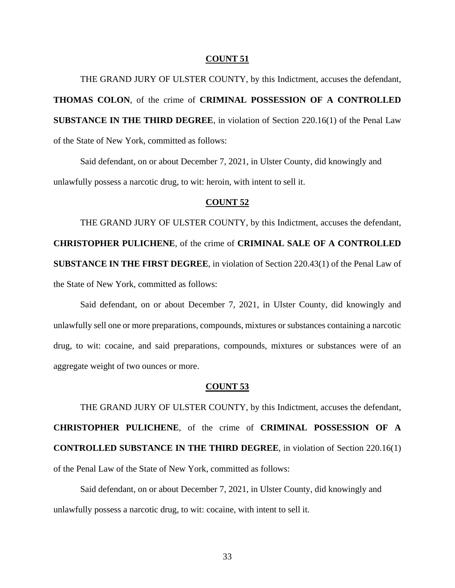THE GRAND JURY OF ULSTER COUNTY, by this Indictment, accuses the defendant, **THOMAS COLON**, of the crime of **CRIMINAL POSSESSION OF A CONTROLLED SUBSTANCE IN THE THIRD DEGREE**, in violation of Section 220.16(1) of the Penal Law of the State of New York, committed as follows:

Said defendant, on or about December 7, 2021, in Ulster County, did knowingly and unlawfully possess a narcotic drug, to wit: heroin, with intent to sell it.

# **COUNT 52**

THE GRAND JURY OF ULSTER COUNTY, by this Indictment, accuses the defendant, **CHRISTOPHER PULICHENE**, of the crime of **CRIMINAL SALE OF A CONTROLLED SUBSTANCE IN THE FIRST DEGREE**, in violation of Section 220.43(1) of the Penal Law of the State of New York, committed as follows:

Said defendant, on or about December 7, 2021, in Ulster County, did knowingly and unlawfully sell one or more preparations, compounds, mixtures or substances containing a narcotic drug, to wit: cocaine, and said preparations, compounds, mixtures or substances were of an aggregate weight of two ounces or more.

### **COUNT 53**

THE GRAND JURY OF ULSTER COUNTY, by this Indictment, accuses the defendant, **CHRISTOPHER PULICHENE**, of the crime of **CRIMINAL POSSESSION OF A CONTROLLED SUBSTANCE IN THE THIRD DEGREE**, in violation of Section 220.16(1) of the Penal Law of the State of New York, committed as follows:

Said defendant, on or about December 7, 2021, in Ulster County, did knowingly and unlawfully possess a narcotic drug, to wit: cocaine, with intent to sell it.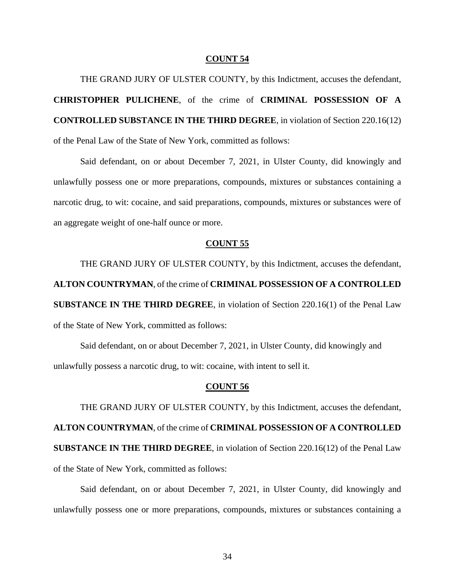THE GRAND JURY OF ULSTER COUNTY, by this Indictment, accuses the defendant, **CHRISTOPHER PULICHENE**, of the crime of **CRIMINAL POSSESSION OF A CONTROLLED SUBSTANCE IN THE THIRD DEGREE**, in violation of Section 220.16(12) of the Penal Law of the State of New York, committed as follows:

Said defendant, on or about December 7, 2021, in Ulster County, did knowingly and unlawfully possess one or more preparations, compounds, mixtures or substances containing a narcotic drug, to wit: cocaine, and said preparations, compounds, mixtures or substances were of an aggregate weight of one-half ounce or more.

### **COUNT 55**

THE GRAND JURY OF ULSTER COUNTY, by this Indictment, accuses the defendant, **ALTON COUNTRYMAN**, of the crime of **CRIMINAL POSSESSION OF A CONTROLLED SUBSTANCE IN THE THIRD DEGREE**, in violation of Section 220.16(1) of the Penal Law of the State of New York, committed as follows:

Said defendant, on or about December 7, 2021, in Ulster County, did knowingly and unlawfully possess a narcotic drug, to wit: cocaine, with intent to sell it.

# **COUNT 56**

THE GRAND JURY OF ULSTER COUNTY, by this Indictment, accuses the defendant, **ALTON COUNTRYMAN**, of the crime of **CRIMINAL POSSESSION OF A CONTROLLED SUBSTANCE IN THE THIRD DEGREE**, in violation of Section 220.16(12) of the Penal Law of the State of New York, committed as follows:

Said defendant, on or about December 7, 2021, in Ulster County, did knowingly and unlawfully possess one or more preparations, compounds, mixtures or substances containing a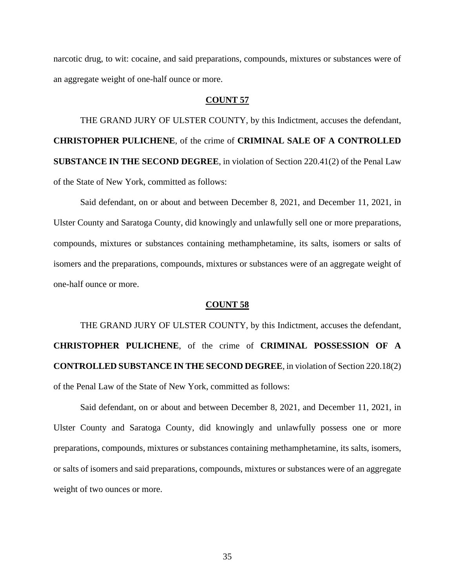narcotic drug, to wit: cocaine, and said preparations, compounds, mixtures or substances were of an aggregate weight of one-half ounce or more.

### **COUNT 57**

THE GRAND JURY OF ULSTER COUNTY, by this Indictment, accuses the defendant, **CHRISTOPHER PULICHENE**, of the crime of **CRIMINAL SALE OF A CONTROLLED SUBSTANCE IN THE SECOND DEGREE**, in violation of Section 220.41(2) of the Penal Law of the State of New York, committed as follows:

Said defendant, on or about and between December 8, 2021, and December 11, 2021, in Ulster County and Saratoga County, did knowingly and unlawfully sell one or more preparations, compounds, mixtures or substances containing methamphetamine, its salts, isomers or salts of isomers and the preparations, compounds, mixtures or substances were of an aggregate weight of one-half ounce or more.

#### **COUNT 58**

THE GRAND JURY OF ULSTER COUNTY, by this Indictment, accuses the defendant, **CHRISTOPHER PULICHENE**, of the crime of **CRIMINAL POSSESSION OF A CONTROLLED SUBSTANCE IN THE SECOND DEGREE**, in violation of Section 220.18(2) of the Penal Law of the State of New York, committed as follows:

Said defendant, on or about and between December 8, 2021, and December 11, 2021, in Ulster County and Saratoga County, did knowingly and unlawfully possess one or more preparations, compounds, mixtures or substances containing methamphetamine, its salts, isomers, or salts of isomers and said preparations, compounds, mixtures or substances were of an aggregate weight of two ounces or more.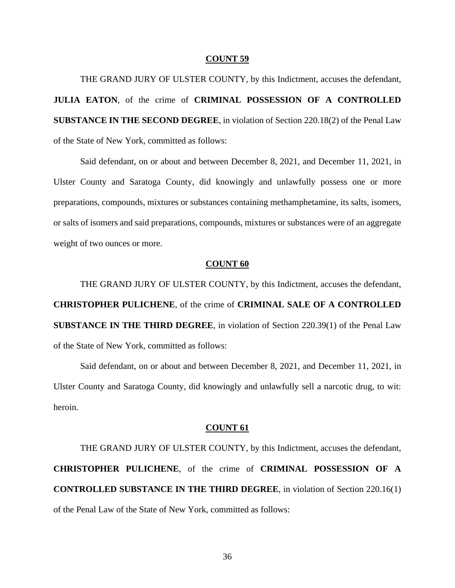THE GRAND JURY OF ULSTER COUNTY, by this Indictment, accuses the defendant, **JULIA EATON**, of the crime of **CRIMINAL POSSESSION OF A CONTROLLED SUBSTANCE IN THE SECOND DEGREE**, in violation of Section 220.18(2) of the Penal Law of the State of New York, committed as follows:

Said defendant, on or about and between December 8, 2021, and December 11, 2021, in Ulster County and Saratoga County, did knowingly and unlawfully possess one or more preparations, compounds, mixtures or substances containing methamphetamine, its salts, isomers, or salts of isomers and said preparations, compounds, mixtures or substances were of an aggregate weight of two ounces or more.

# **COUNT 60**

THE GRAND JURY OF ULSTER COUNTY, by this Indictment, accuses the defendant, **CHRISTOPHER PULICHENE**, of the crime of **CRIMINAL SALE OF A CONTROLLED SUBSTANCE IN THE THIRD DEGREE**, in violation of Section 220.39(1) of the Penal Law of the State of New York, committed as follows:

Said defendant, on or about and between December 8, 2021, and December 11, 2021, in Ulster County and Saratoga County, did knowingly and unlawfully sell a narcotic drug, to wit: heroin.

#### **COUNT 61**

THE GRAND JURY OF ULSTER COUNTY, by this Indictment, accuses the defendant, **CHRISTOPHER PULICHENE**, of the crime of **CRIMINAL POSSESSION OF A CONTROLLED SUBSTANCE IN THE THIRD DEGREE**, in violation of Section 220.16(1) of the Penal Law of the State of New York, committed as follows: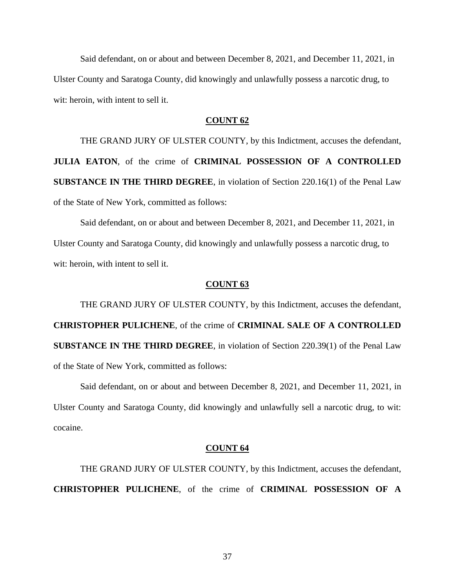Said defendant, on or about and between December 8, 2021, and December 11, 2021, in Ulster County and Saratoga County, did knowingly and unlawfully possess a narcotic drug, to wit: heroin, with intent to sell it.

# **COUNT 62**

THE GRAND JURY OF ULSTER COUNTY, by this Indictment, accuses the defendant, **JULIA EATON**, of the crime of **CRIMINAL POSSESSION OF A CONTROLLED SUBSTANCE IN THE THIRD DEGREE**, in violation of Section 220.16(1) of the Penal Law of the State of New York, committed as follows:

Said defendant, on or about and between December 8, 2021, and December 11, 2021, in Ulster County and Saratoga County, did knowingly and unlawfully possess a narcotic drug, to wit: heroin, with intent to sell it.

## **COUNT 63**

THE GRAND JURY OF ULSTER COUNTY, by this Indictment, accuses the defendant, **CHRISTOPHER PULICHENE**, of the crime of **CRIMINAL SALE OF A CONTROLLED SUBSTANCE IN THE THIRD DEGREE**, in violation of Section 220.39(1) of the Penal Law of the State of New York, committed as follows:

Said defendant, on or about and between December 8, 2021, and December 11, 2021, in Ulster County and Saratoga County, did knowingly and unlawfully sell a narcotic drug, to wit: cocaine.

#### **COUNT 64**

THE GRAND JURY OF ULSTER COUNTY, by this Indictment, accuses the defendant, **CHRISTOPHER PULICHENE**, of the crime of **CRIMINAL POSSESSION OF A**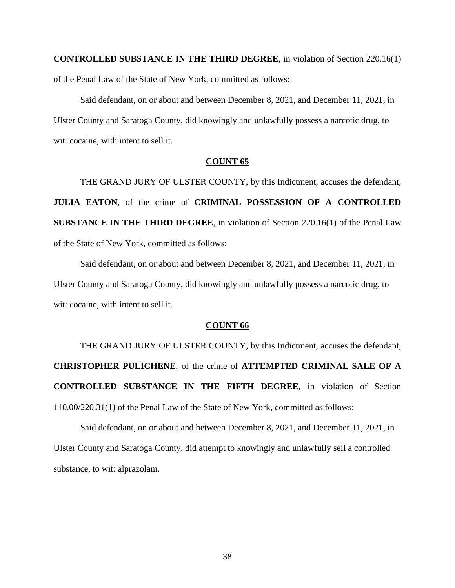**CONTROLLED SUBSTANCE IN THE THIRD DEGREE**, in violation of Section 220.16(1) of the Penal Law of the State of New York, committed as follows:

Said defendant, on or about and between December 8, 2021, and December 11, 2021, in Ulster County and Saratoga County, did knowingly and unlawfully possess a narcotic drug, to wit: cocaine, with intent to sell it.

# **COUNT 65**

THE GRAND JURY OF ULSTER COUNTY, by this Indictment, accuses the defendant, **JULIA EATON**, of the crime of **CRIMINAL POSSESSION OF A CONTROLLED SUBSTANCE IN THE THIRD DEGREE**, in violation of Section 220.16(1) of the Penal Law of the State of New York, committed as follows:

Said defendant, on or about and between December 8, 2021, and December 11, 2021, in Ulster County and Saratoga County, did knowingly and unlawfully possess a narcotic drug, to wit: cocaine, with intent to sell it.

## **COUNT 66**

THE GRAND JURY OF ULSTER COUNTY, by this Indictment, accuses the defendant, **CHRISTOPHER PULICHENE**, of the crime of **ATTEMPTED CRIMINAL SALE OF A CONTROLLED SUBSTANCE IN THE FIFTH DEGREE**, in violation of Section 110.00/220.31(1) of the Penal Law of the State of New York, committed as follows:

Said defendant, on or about and between December 8, 2021, and December 11, 2021, in Ulster County and Saratoga County, did attempt to knowingly and unlawfully sell a controlled substance, to wit: alprazolam.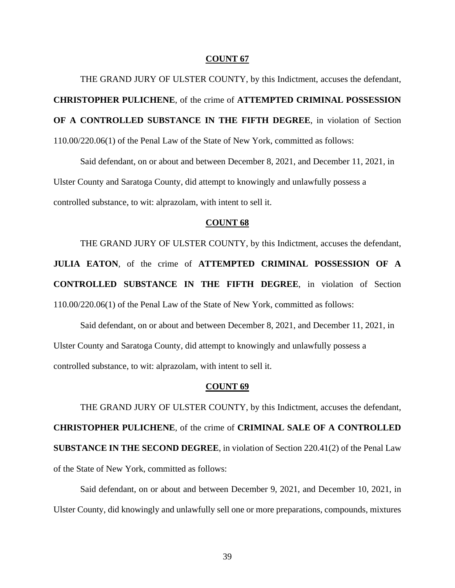THE GRAND JURY OF ULSTER COUNTY, by this Indictment, accuses the defendant, **CHRISTOPHER PULICHENE**, of the crime of **ATTEMPTED CRIMINAL POSSESSION OF A CONTROLLED SUBSTANCE IN THE FIFTH DEGREE**, in violation of Section 110.00/220.06(1) of the Penal Law of the State of New York, committed as follows:

Said defendant, on or about and between December 8, 2021, and December 11, 2021, in Ulster County and Saratoga County, did attempt to knowingly and unlawfully possess a controlled substance, to wit: alprazolam, with intent to sell it.

## **COUNT 68**

THE GRAND JURY OF ULSTER COUNTY, by this Indictment, accuses the defendant, **JULIA EATON**, of the crime of **ATTEMPTED CRIMINAL POSSESSION OF A CONTROLLED SUBSTANCE IN THE FIFTH DEGREE**, in violation of Section 110.00/220.06(1) of the Penal Law of the State of New York, committed as follows:

Said defendant, on or about and between December 8, 2021, and December 11, 2021, in Ulster County and Saratoga County, did attempt to knowingly and unlawfully possess a controlled substance, to wit: alprazolam, with intent to sell it.

## **COUNT 69**

THE GRAND JURY OF ULSTER COUNTY, by this Indictment, accuses the defendant, **CHRISTOPHER PULICHENE**, of the crime of **CRIMINAL SALE OF A CONTROLLED SUBSTANCE IN THE SECOND DEGREE**, in violation of Section 220.41(2) of the Penal Law of the State of New York, committed as follows:

Said defendant, on or about and between December 9, 2021, and December 10, 2021, in Ulster County, did knowingly and unlawfully sell one or more preparations, compounds, mixtures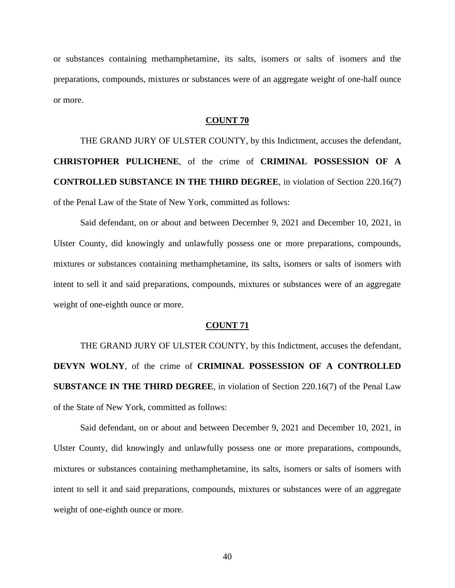or substances containing methamphetamine, its salts, isomers or salts of isomers and the preparations, compounds, mixtures or substances were of an aggregate weight of one-half ounce or more.

## **COUNT 70**

THE GRAND JURY OF ULSTER COUNTY, by this Indictment, accuses the defendant, **CHRISTOPHER PULICHENE**, of the crime of **CRIMINAL POSSESSION OF A CONTROLLED SUBSTANCE IN THE THIRD DEGREE**, in violation of Section 220.16(7) of the Penal Law of the State of New York, committed as follows:

Said defendant, on or about and between December 9, 2021 and December 10, 2021, in Ulster County, did knowingly and unlawfully possess one or more preparations, compounds, mixtures or substances containing methamphetamine, its salts, isomers or salts of isomers with intent to sell it and said preparations, compounds, mixtures or substances were of an aggregate weight of one-eighth ounce or more.

## **COUNT 71**

THE GRAND JURY OF ULSTER COUNTY, by this Indictment, accuses the defendant, **DEVYN WOLNY**, of the crime of **CRIMINAL POSSESSION OF A CONTROLLED SUBSTANCE IN THE THIRD DEGREE**, in violation of Section 220.16(7) of the Penal Law of the State of New York, committed as follows:

Said defendant, on or about and between December 9, 2021 and December 10, 2021, in Ulster County, did knowingly and unlawfully possess one or more preparations, compounds, mixtures or substances containing methamphetamine, its salts, isomers or salts of isomers with intent to sell it and said preparations, compounds, mixtures or substances were of an aggregate weight of one-eighth ounce or more.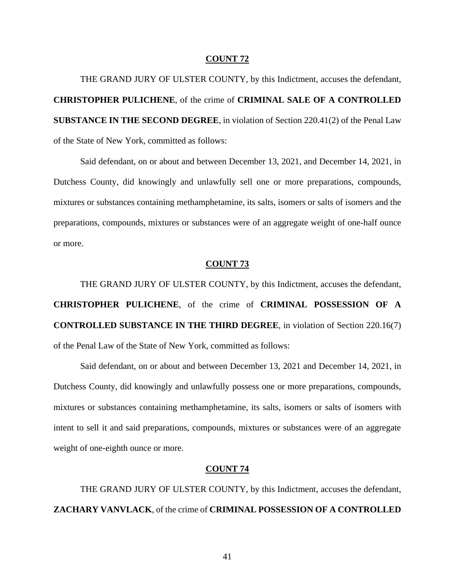THE GRAND JURY OF ULSTER COUNTY, by this Indictment, accuses the defendant, **CHRISTOPHER PULICHENE**, of the crime of **CRIMINAL SALE OF A CONTROLLED SUBSTANCE IN THE SECOND DEGREE**, in violation of Section 220.41(2) of the Penal Law of the State of New York, committed as follows:

Said defendant, on or about and between December 13, 2021, and December 14, 2021, in Dutchess County, did knowingly and unlawfully sell one or more preparations, compounds, mixtures or substances containing methamphetamine, its salts, isomers or salts of isomers and the preparations, compounds, mixtures or substances were of an aggregate weight of one-half ounce or more.

# **COUNT 73**

THE GRAND JURY OF ULSTER COUNTY, by this Indictment, accuses the defendant, **CHRISTOPHER PULICHENE**, of the crime of **CRIMINAL POSSESSION OF A CONTROLLED SUBSTANCE IN THE THIRD DEGREE**, in violation of Section 220.16(7) of the Penal Law of the State of New York, committed as follows:

Said defendant, on or about and between December 13, 2021 and December 14, 2021, in Dutchess County, did knowingly and unlawfully possess one or more preparations, compounds, mixtures or substances containing methamphetamine, its salts, isomers or salts of isomers with intent to sell it and said preparations, compounds, mixtures or substances were of an aggregate weight of one-eighth ounce or more.

## **COUNT 74**

THE GRAND JURY OF ULSTER COUNTY, by this Indictment, accuses the defendant, **ZACHARY VANVLACK**, of the crime of **CRIMINAL POSSESSION OF A CONTROLLED**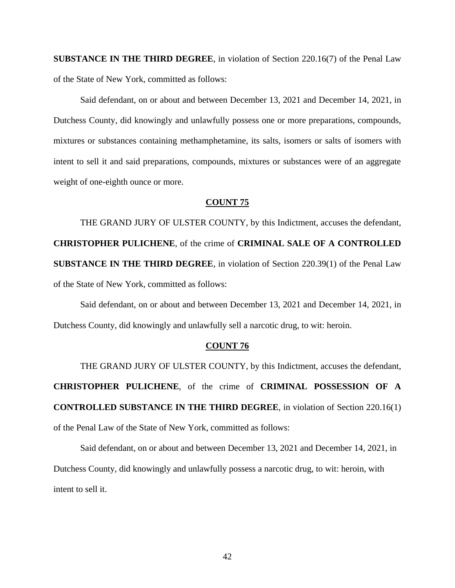**SUBSTANCE IN THE THIRD DEGREE**, in violation of Section 220.16(7) of the Penal Law of the State of New York, committed as follows:

Said defendant, on or about and between December 13, 2021 and December 14, 2021, in Dutchess County, did knowingly and unlawfully possess one or more preparations, compounds, mixtures or substances containing methamphetamine, its salts, isomers or salts of isomers with intent to sell it and said preparations, compounds, mixtures or substances were of an aggregate weight of one-eighth ounce or more.

## **COUNT 75**

THE GRAND JURY OF ULSTER COUNTY, by this Indictment, accuses the defendant, **CHRISTOPHER PULICHENE**, of the crime of **CRIMINAL SALE OF A CONTROLLED SUBSTANCE IN THE THIRD DEGREE**, in violation of Section 220.39(1) of the Penal Law of the State of New York, committed as follows:

Said defendant, on or about and between December 13, 2021 and December 14, 2021, in Dutchess County, did knowingly and unlawfully sell a narcotic drug, to wit: heroin.

# **COUNT 76**

THE GRAND JURY OF ULSTER COUNTY, by this Indictment, accuses the defendant, **CHRISTOPHER PULICHENE**, of the crime of **CRIMINAL POSSESSION OF A CONTROLLED SUBSTANCE IN THE THIRD DEGREE**, in violation of Section 220.16(1) of the Penal Law of the State of New York, committed as follows:

Said defendant, on or about and between December 13, 2021 and December 14, 2021, in Dutchess County, did knowingly and unlawfully possess a narcotic drug, to wit: heroin, with intent to sell it.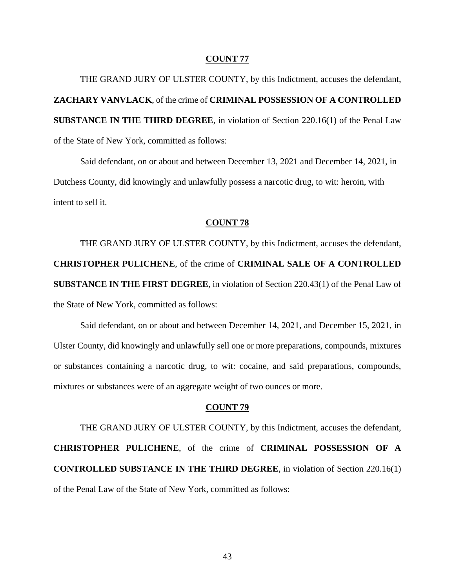THE GRAND JURY OF ULSTER COUNTY, by this Indictment, accuses the defendant, **ZACHARY VANVLACK**, of the crime of **CRIMINAL POSSESSION OF A CONTROLLED SUBSTANCE IN THE THIRD DEGREE**, in violation of Section 220.16(1) of the Penal Law of the State of New York, committed as follows:

Said defendant, on or about and between December 13, 2021 and December 14, 2021, in Dutchess County, did knowingly and unlawfully possess a narcotic drug, to wit: heroin, with intent to sell it.

# **COUNT 78**

THE GRAND JURY OF ULSTER COUNTY, by this Indictment, accuses the defendant, **CHRISTOPHER PULICHENE**, of the crime of **CRIMINAL SALE OF A CONTROLLED SUBSTANCE IN THE FIRST DEGREE**, in violation of Section 220.43(1) of the Penal Law of the State of New York, committed as follows:

Said defendant, on or about and between December 14, 2021, and December 15, 2021, in Ulster County, did knowingly and unlawfully sell one or more preparations, compounds, mixtures or substances containing a narcotic drug, to wit: cocaine, and said preparations, compounds, mixtures or substances were of an aggregate weight of two ounces or more.

## **COUNT 79**

THE GRAND JURY OF ULSTER COUNTY, by this Indictment, accuses the defendant, **CHRISTOPHER PULICHENE**, of the crime of **CRIMINAL POSSESSION OF A CONTROLLED SUBSTANCE IN THE THIRD DEGREE**, in violation of Section 220.16(1) of the Penal Law of the State of New York, committed as follows: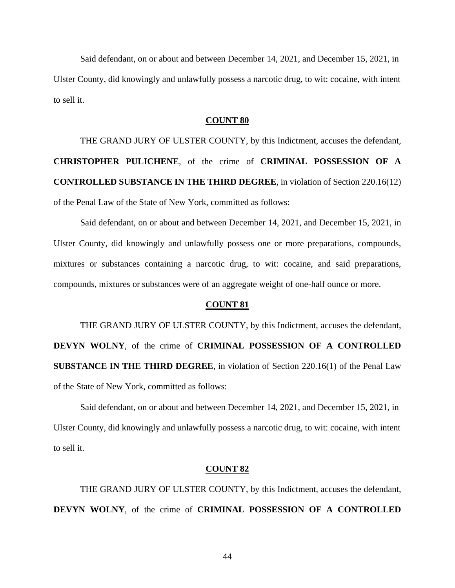Said defendant, on or about and between December 14, 2021, and December 15, 2021, in Ulster County, did knowingly and unlawfully possess a narcotic drug, to wit: cocaine, with intent to sell it.

## **COUNT 80**

THE GRAND JURY OF ULSTER COUNTY, by this Indictment, accuses the defendant, **CHRISTOPHER PULICHENE**, of the crime of **CRIMINAL POSSESSION OF A CONTROLLED SUBSTANCE IN THE THIRD DEGREE**, in violation of Section 220.16(12) of the Penal Law of the State of New York, committed as follows:

Said defendant, on or about and between December 14, 2021, and December 15, 2021, in Ulster County, did knowingly and unlawfully possess one or more preparations, compounds, mixtures or substances containing a narcotic drug, to wit: cocaine, and said preparations, compounds, mixtures or substances were of an aggregate weight of one-half ounce or more.

## **COUNT 81**

THE GRAND JURY OF ULSTER COUNTY, by this Indictment, accuses the defendant, **DEVYN WOLNY**, of the crime of **CRIMINAL POSSESSION OF A CONTROLLED SUBSTANCE IN THE THIRD DEGREE**, in violation of Section 220.16(1) of the Penal Law of the State of New York, committed as follows:

Said defendant, on or about and between December 14, 2021, and December 15, 2021, in Ulster County, did knowingly and unlawfully possess a narcotic drug, to wit: cocaine, with intent to sell it.

### **COUNT 82**

THE GRAND JURY OF ULSTER COUNTY, by this Indictment, accuses the defendant, **DEVYN WOLNY**, of the crime of **CRIMINAL POSSESSION OF A CONTROLLED** 

44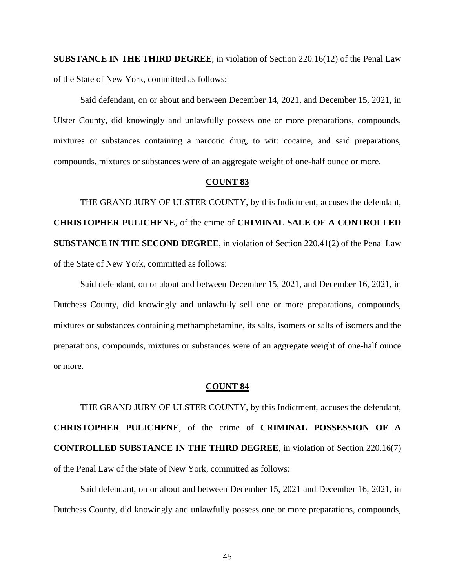**SUBSTANCE IN THE THIRD DEGREE**, in violation of Section 220.16(12) of the Penal Law of the State of New York, committed as follows:

Said defendant, on or about and between December 14, 2021, and December 15, 2021, in Ulster County, did knowingly and unlawfully possess one or more preparations, compounds, mixtures or substances containing a narcotic drug, to wit: cocaine, and said preparations, compounds, mixtures or substances were of an aggregate weight of one-half ounce or more.

## **COUNT 83**

THE GRAND JURY OF ULSTER COUNTY, by this Indictment, accuses the defendant, **CHRISTOPHER PULICHENE**, of the crime of **CRIMINAL SALE OF A CONTROLLED SUBSTANCE IN THE SECOND DEGREE**, in violation of Section 220.41(2) of the Penal Law of the State of New York, committed as follows:

Said defendant, on or about and between December 15, 2021, and December 16, 2021, in Dutchess County, did knowingly and unlawfully sell one or more preparations, compounds, mixtures or substances containing methamphetamine, its salts, isomers or salts of isomers and the preparations, compounds, mixtures or substances were of an aggregate weight of one-half ounce or more.

#### **COUNT 84**

THE GRAND JURY OF ULSTER COUNTY, by this Indictment, accuses the defendant, **CHRISTOPHER PULICHENE**, of the crime of **CRIMINAL POSSESSION OF A CONTROLLED SUBSTANCE IN THE THIRD DEGREE**, in violation of Section 220.16(7) of the Penal Law of the State of New York, committed as follows:

Said defendant, on or about and between December 15, 2021 and December 16, 2021, in Dutchess County, did knowingly and unlawfully possess one or more preparations, compounds,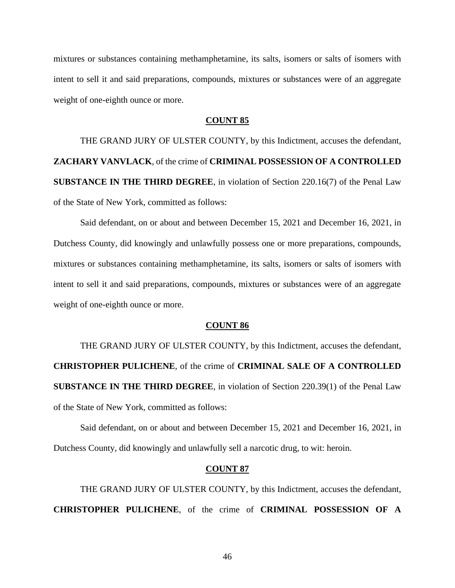mixtures or substances containing methamphetamine, its salts, isomers or salts of isomers with intent to sell it and said preparations, compounds, mixtures or substances were of an aggregate weight of one-eighth ounce or more.

# **COUNT 85**

THE GRAND JURY OF ULSTER COUNTY, by this Indictment, accuses the defendant, **ZACHARY VANVLACK**, of the crime of **CRIMINAL POSSESSION OF A CONTROLLED SUBSTANCE IN THE THIRD DEGREE**, in violation of Section 220.16(7) of the Penal Law of the State of New York, committed as follows:

Said defendant, on or about and between December 15, 2021 and December 16, 2021, in Dutchess County, did knowingly and unlawfully possess one or more preparations, compounds, mixtures or substances containing methamphetamine, its salts, isomers or salts of isomers with intent to sell it and said preparations, compounds, mixtures or substances were of an aggregate weight of one-eighth ounce or more.

## **COUNT 86**

THE GRAND JURY OF ULSTER COUNTY, by this Indictment, accuses the defendant, **CHRISTOPHER PULICHENE**, of the crime of **CRIMINAL SALE OF A CONTROLLED SUBSTANCE IN THE THIRD DEGREE**, in violation of Section 220.39(1) of the Penal Law of the State of New York, committed as follows:

Said defendant, on or about and between December 15, 2021 and December 16, 2021, in Dutchess County, did knowingly and unlawfully sell a narcotic drug, to wit: heroin.

## **COUNT 87**

THE GRAND JURY OF ULSTER COUNTY, by this Indictment, accuses the defendant, **CHRISTOPHER PULICHENE**, of the crime of **CRIMINAL POSSESSION OF A**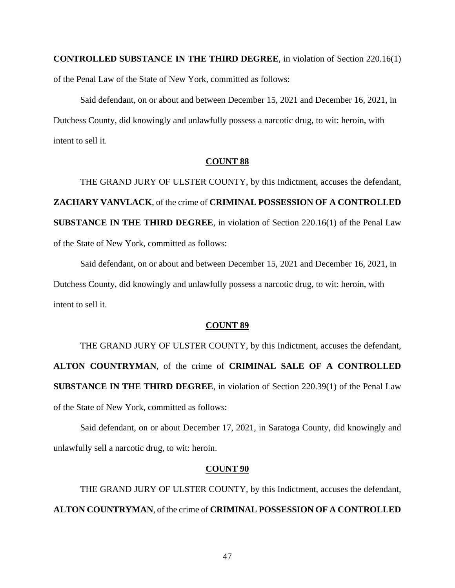**CONTROLLED SUBSTANCE IN THE THIRD DEGREE**, in violation of Section 220.16(1) of the Penal Law of the State of New York, committed as follows:

Said defendant, on or about and between December 15, 2021 and December 16, 2021, in Dutchess County, did knowingly and unlawfully possess a narcotic drug, to wit: heroin, with intent to sell it.

# **COUNT 88**

THE GRAND JURY OF ULSTER COUNTY, by this Indictment, accuses the defendant, **ZACHARY VANVLACK**, of the crime of **CRIMINAL POSSESSION OF A CONTROLLED SUBSTANCE IN THE THIRD DEGREE**, in violation of Section 220.16(1) of the Penal Law of the State of New York, committed as follows:

Said defendant, on or about and between December 15, 2021 and December 16, 2021, in Dutchess County, did knowingly and unlawfully possess a narcotic drug, to wit: heroin, with intent to sell it.

## **COUNT 89**

THE GRAND JURY OF ULSTER COUNTY, by this Indictment, accuses the defendant, **ALTON COUNTRYMAN**, of the crime of **CRIMINAL SALE OF A CONTROLLED SUBSTANCE IN THE THIRD DEGREE**, in violation of Section 220.39(1) of the Penal Law of the State of New York, committed as follows:

Said defendant, on or about December 17, 2021, in Saratoga County, did knowingly and unlawfully sell a narcotic drug, to wit: heroin.

### **COUNT 90**

THE GRAND JURY OF ULSTER COUNTY, by this Indictment, accuses the defendant, **ALTON COUNTRYMAN**, of the crime of **CRIMINAL POSSESSION OF A CONTROLLED**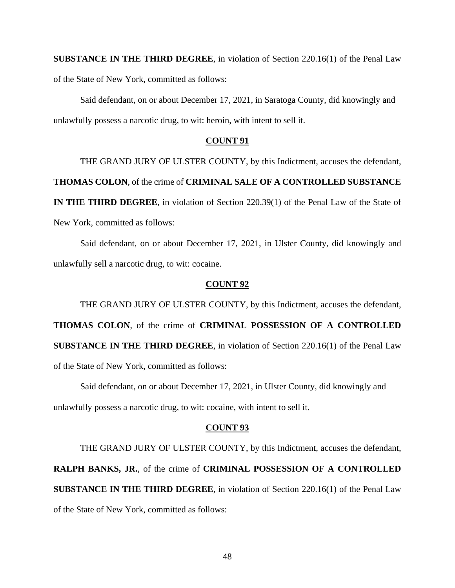**SUBSTANCE IN THE THIRD DEGREE**, in violation of Section 220.16(1) of the Penal Law of the State of New York, committed as follows:

Said defendant, on or about December 17, 2021, in Saratoga County, did knowingly and unlawfully possess a narcotic drug, to wit: heroin, with intent to sell it.

# **COUNT 91**

THE GRAND JURY OF ULSTER COUNTY, by this Indictment, accuses the defendant,

**THOMAS COLON**, of the crime of **CRIMINAL SALE OF A CONTROLLED SUBSTANCE** 

**IN THE THIRD DEGREE**, in violation of Section 220.39(1) of the Penal Law of the State of New York, committed as follows:

Said defendant, on or about December 17, 2021, in Ulster County, did knowingly and unlawfully sell a narcotic drug, to wit: cocaine.

## **COUNT 92**

THE GRAND JURY OF ULSTER COUNTY, by this Indictment, accuses the defendant, **THOMAS COLON**, of the crime of **CRIMINAL POSSESSION OF A CONTROLLED SUBSTANCE IN THE THIRD DEGREE**, in violation of Section 220.16(1) of the Penal Law of the State of New York, committed as follows:

Said defendant, on or about December 17, 2021, in Ulster County, did knowingly and

unlawfully possess a narcotic drug, to wit: cocaine, with intent to sell it.

# **COUNT 93**

THE GRAND JURY OF ULSTER COUNTY, by this Indictment, accuses the defendant, **RALPH BANKS, JR.**, of the crime of **CRIMINAL POSSESSION OF A CONTROLLED SUBSTANCE IN THE THIRD DEGREE**, in violation of Section 220.16(1) of the Penal Law of the State of New York, committed as follows: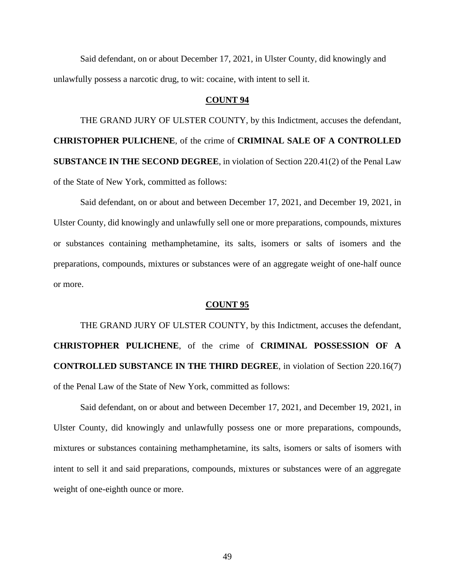Said defendant, on or about December 17, 2021, in Ulster County, did knowingly and unlawfully possess a narcotic drug, to wit: cocaine, with intent to sell it.

## **COUNT 94**

THE GRAND JURY OF ULSTER COUNTY, by this Indictment, accuses the defendant, **CHRISTOPHER PULICHENE**, of the crime of **CRIMINAL SALE OF A CONTROLLED SUBSTANCE IN THE SECOND DEGREE**, in violation of Section 220.41(2) of the Penal Law of the State of New York, committed as follows:

Said defendant, on or about and between December 17, 2021, and December 19, 2021, in Ulster County, did knowingly and unlawfully sell one or more preparations, compounds, mixtures or substances containing methamphetamine, its salts, isomers or salts of isomers and the preparations, compounds, mixtures or substances were of an aggregate weight of one-half ounce or more.

#### **COUNT 95**

THE GRAND JURY OF ULSTER COUNTY, by this Indictment, accuses the defendant, **CHRISTOPHER PULICHENE**, of the crime of **CRIMINAL POSSESSION OF A CONTROLLED SUBSTANCE IN THE THIRD DEGREE**, in violation of Section 220.16(7) of the Penal Law of the State of New York, committed as follows:

Said defendant, on or about and between December 17, 2021, and December 19, 2021, in Ulster County, did knowingly and unlawfully possess one or more preparations, compounds, mixtures or substances containing methamphetamine, its salts, isomers or salts of isomers with intent to sell it and said preparations, compounds, mixtures or substances were of an aggregate weight of one-eighth ounce or more.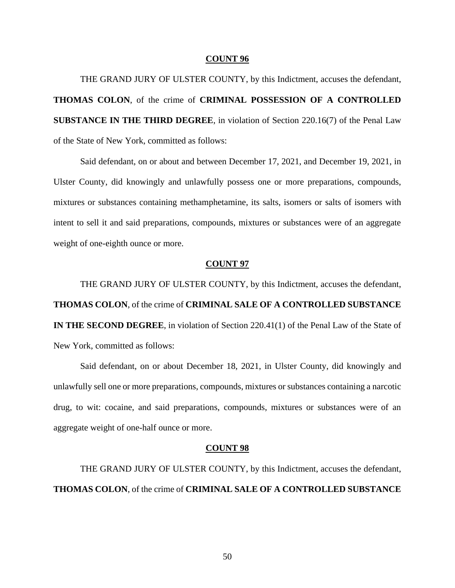THE GRAND JURY OF ULSTER COUNTY, by this Indictment, accuses the defendant, **THOMAS COLON**, of the crime of **CRIMINAL POSSESSION OF A CONTROLLED SUBSTANCE IN THE THIRD DEGREE**, in violation of Section 220.16(7) of the Penal Law of the State of New York, committed as follows:

Said defendant, on or about and between December 17, 2021, and December 19, 2021, in Ulster County, did knowingly and unlawfully possess one or more preparations, compounds, mixtures or substances containing methamphetamine, its salts, isomers or salts of isomers with intent to sell it and said preparations, compounds, mixtures or substances were of an aggregate weight of one-eighth ounce or more.

## **COUNT 97**

THE GRAND JURY OF ULSTER COUNTY, by this Indictment, accuses the defendant, **THOMAS COLON**, of the crime of **CRIMINAL SALE OF A CONTROLLED SUBSTANCE IN THE SECOND DEGREE**, in violation of Section 220.41(1) of the Penal Law of the State of New York, committed as follows:

Said defendant, on or about December 18, 2021, in Ulster County, did knowingly and unlawfully sell one or more preparations, compounds, mixtures or substances containing a narcotic drug, to wit: cocaine, and said preparations, compounds, mixtures or substances were of an aggregate weight of one-half ounce or more.

#### **COUNT 98**

THE GRAND JURY OF ULSTER COUNTY, by this Indictment, accuses the defendant, **THOMAS COLON**, of the crime of **CRIMINAL SALE OF A CONTROLLED SUBSTANCE**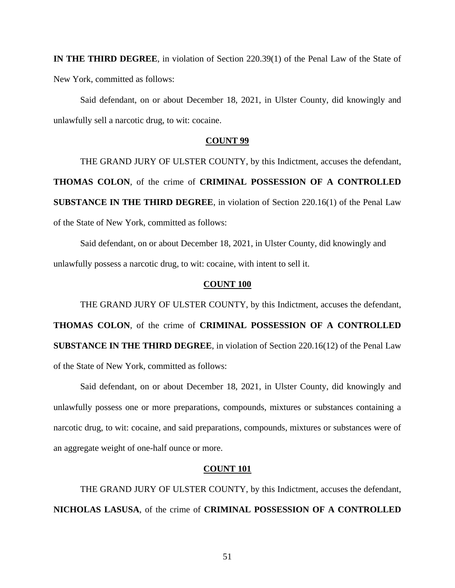**IN THE THIRD DEGREE**, in violation of Section 220.39(1) of the Penal Law of the State of New York, committed as follows:

Said defendant, on or about December 18, 2021, in Ulster County, did knowingly and unlawfully sell a narcotic drug, to wit: cocaine.

## **COUNT 99**

THE GRAND JURY OF ULSTER COUNTY, by this Indictment, accuses the defendant, **THOMAS COLON**, of the crime of **CRIMINAL POSSESSION OF A CONTROLLED SUBSTANCE IN THE THIRD DEGREE**, in violation of Section 220.16(1) of the Penal Law of the State of New York, committed as follows:

Said defendant, on or about December 18, 2021, in Ulster County, did knowingly and unlawfully possess a narcotic drug, to wit: cocaine, with intent to sell it.

# **COUNT 100**

THE GRAND JURY OF ULSTER COUNTY, by this Indictment, accuses the defendant, **THOMAS COLON**, of the crime of **CRIMINAL POSSESSION OF A CONTROLLED SUBSTANCE IN THE THIRD DEGREE**, in violation of Section 220.16(12) of the Penal Law of the State of New York, committed as follows:

Said defendant, on or about December 18, 2021, in Ulster County, did knowingly and unlawfully possess one or more preparations, compounds, mixtures or substances containing a narcotic drug, to wit: cocaine, and said preparations, compounds, mixtures or substances were of an aggregate weight of one-half ounce or more.

## **COUNT 101**

THE GRAND JURY OF ULSTER COUNTY, by this Indictment, accuses the defendant, **NICHOLAS LASUSA**, of the crime of **CRIMINAL POSSESSION OF A CONTROLLED**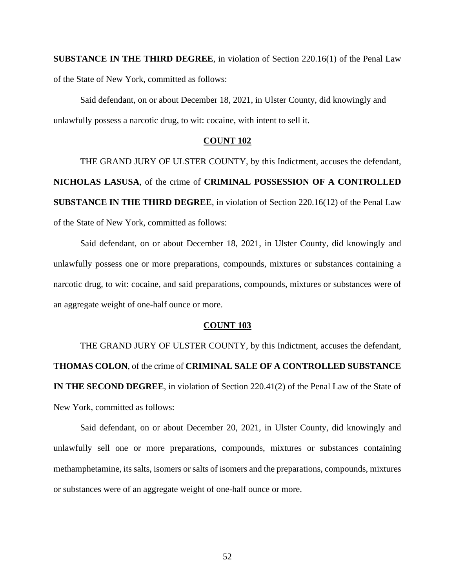**SUBSTANCE IN THE THIRD DEGREE**, in violation of Section 220.16(1) of the Penal Law of the State of New York, committed as follows:

Said defendant, on or about December 18, 2021, in Ulster County, did knowingly and unlawfully possess a narcotic drug, to wit: cocaine, with intent to sell it.

# **COUNT 102**

THE GRAND JURY OF ULSTER COUNTY, by this Indictment, accuses the defendant, **NICHOLAS LASUSA**, of the crime of **CRIMINAL POSSESSION OF A CONTROLLED SUBSTANCE IN THE THIRD DEGREE**, in violation of Section 220.16(12) of the Penal Law of the State of New York, committed as follows:

Said defendant, on or about December 18, 2021, in Ulster County, did knowingly and unlawfully possess one or more preparations, compounds, mixtures or substances containing a narcotic drug, to wit: cocaine, and said preparations, compounds, mixtures or substances were of an aggregate weight of one-half ounce or more.

#### **COUNT 103**

THE GRAND JURY OF ULSTER COUNTY, by this Indictment, accuses the defendant, **THOMAS COLON**, of the crime of **CRIMINAL SALE OF A CONTROLLED SUBSTANCE IN THE SECOND DEGREE**, in violation of Section 220.41(2) of the Penal Law of the State of New York, committed as follows:

Said defendant, on or about December 20, 2021, in Ulster County, did knowingly and unlawfully sell one or more preparations, compounds, mixtures or substances containing methamphetamine, its salts, isomers or salts of isomers and the preparations, compounds, mixtures or substances were of an aggregate weight of one-half ounce or more.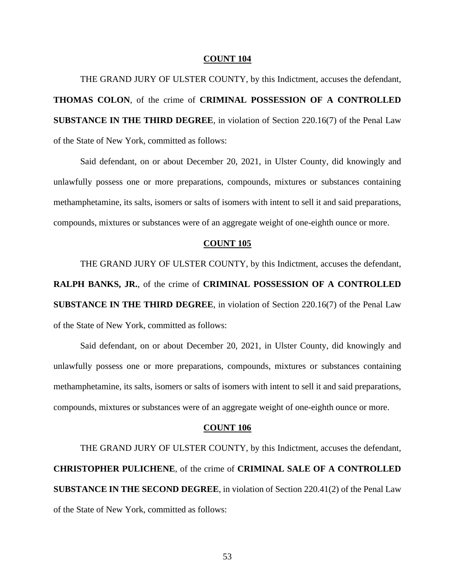THE GRAND JURY OF ULSTER COUNTY, by this Indictment, accuses the defendant, **THOMAS COLON**, of the crime of **CRIMINAL POSSESSION OF A CONTROLLED SUBSTANCE IN THE THIRD DEGREE**, in violation of Section 220.16(7) of the Penal Law of the State of New York, committed as follows:

Said defendant, on or about December 20, 2021, in Ulster County, did knowingly and unlawfully possess one or more preparations, compounds, mixtures or substances containing methamphetamine, its salts, isomers or salts of isomers with intent to sell it and said preparations, compounds, mixtures or substances were of an aggregate weight of one-eighth ounce or more.

## **COUNT 105**

THE GRAND JURY OF ULSTER COUNTY, by this Indictment, accuses the defendant, **RALPH BANKS, JR.**, of the crime of **CRIMINAL POSSESSION OF A CONTROLLED SUBSTANCE IN THE THIRD DEGREE**, in violation of Section 220.16(7) of the Penal Law of the State of New York, committed as follows:

Said defendant, on or about December 20, 2021, in Ulster County, did knowingly and unlawfully possess one or more preparations, compounds, mixtures or substances containing methamphetamine, its salts, isomers or salts of isomers with intent to sell it and said preparations, compounds, mixtures or substances were of an aggregate weight of one-eighth ounce or more.

#### **COUNT 106**

THE GRAND JURY OF ULSTER COUNTY, by this Indictment, accuses the defendant, **CHRISTOPHER PULICHENE**, of the crime of **CRIMINAL SALE OF A CONTROLLED SUBSTANCE IN THE SECOND DEGREE**, in violation of Section 220.41(2) of the Penal Law of the State of New York, committed as follows: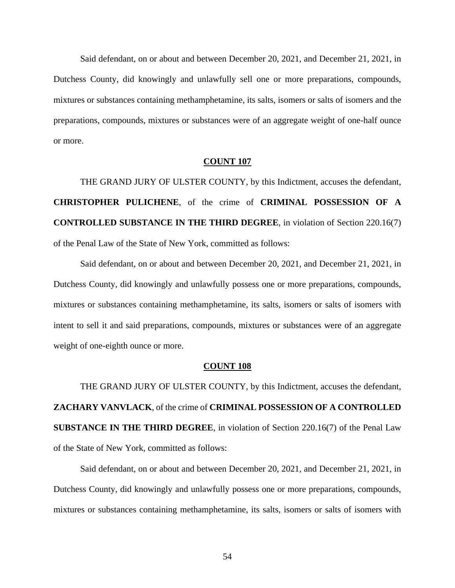Said defendant, on or about and between December 20, 2021, and December 21, 2021, in Dutchess County, did knowingly and unlawfully sell one or more preparations, compounds, mixtures or substances containing methamphetamine, its salts, isomers or salts of isomers and the preparations, compounds, mixtures or substances were of an aggregate weight of one-half ounce or more.

## **COUNT 107**

THE GRAND JURY OF ULSTER COUNTY, by this Indictment, accuses the defendant, **CHRISTOPHER PULICHENE**, of the crime of **CRIMINAL POSSESSION OF A CONTROLLED SUBSTANCE IN THE THIRD DEGREE**, in violation of Section 220.16(7) of the Penal Law of the State of New York, committed as follows:

Said defendant, on or about and between December 20, 2021, and December 21, 2021, in Dutchess County, did knowingly and unlawfully possess one or more preparations, compounds, mixtures or substances containing methamphetamine, its salts, isomers or salts of isomers with intent to sell it and said preparations, compounds, mixtures or substances were of an aggregate weight of one-eighth ounce or more.

## **COUNT 108**

THE GRAND JURY OF ULSTER COUNTY, by this Indictment, accuses the defendant, **ZACHARY VANVLACK**, of the crime of **CRIMINAL POSSESSION OF A CONTROLLED SUBSTANCE IN THE THIRD DEGREE**, in violation of Section 220.16(7) of the Penal Law of the State of New York, committed as follows:

Said defendant, on or about and between December 20, 2021, and December 21, 2021, in Dutchess County, did knowingly and unlawfully possess one or more preparations, compounds, mixtures or substances containing methamphetamine, its salts, isomers or salts of isomers with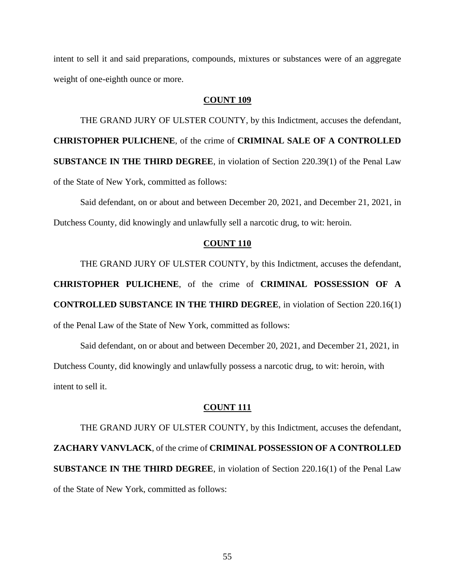intent to sell it and said preparations, compounds, mixtures or substances were of an aggregate weight of one-eighth ounce or more.

# **COUNT 109**

THE GRAND JURY OF ULSTER COUNTY, by this Indictment, accuses the defendant, **CHRISTOPHER PULICHENE**, of the crime of **CRIMINAL SALE OF A CONTROLLED SUBSTANCE IN THE THIRD DEGREE**, in violation of Section 220.39(1) of the Penal Law of the State of New York, committed as follows:

Said defendant, on or about and between December 20, 2021, and December 21, 2021, in Dutchess County, did knowingly and unlawfully sell a narcotic drug, to wit: heroin.

# **COUNT 110**

THE GRAND JURY OF ULSTER COUNTY, by this Indictment, accuses the defendant,

**CHRISTOPHER PULICHENE**, of the crime of **CRIMINAL POSSESSION OF A CONTROLLED SUBSTANCE IN THE THIRD DEGREE**, in violation of Section 220.16(1) of the Penal Law of the State of New York, committed as follows:

Said defendant, on or about and between December 20, 2021, and December 21, 2021, in Dutchess County, did knowingly and unlawfully possess a narcotic drug, to wit: heroin, with intent to sell it.

# **COUNT 111**

THE GRAND JURY OF ULSTER COUNTY, by this Indictment, accuses the defendant, **ZACHARY VANVLACK**, of the crime of **CRIMINAL POSSESSION OF A CONTROLLED SUBSTANCE IN THE THIRD DEGREE**, in violation of Section 220.16(1) of the Penal Law of the State of New York, committed as follows: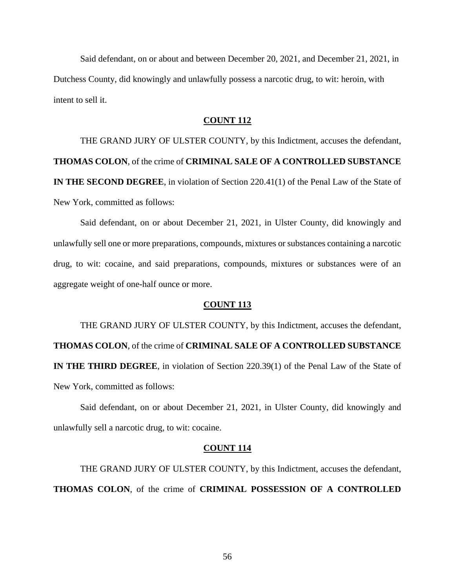Said defendant, on or about and between December 20, 2021, and December 21, 2021, in Dutchess County, did knowingly and unlawfully possess a narcotic drug, to wit: heroin, with intent to sell it.

# **COUNT 112**

THE GRAND JURY OF ULSTER COUNTY, by this Indictment, accuses the defendant, **THOMAS COLON**, of the crime of **CRIMINAL SALE OF A CONTROLLED SUBSTANCE IN THE SECOND DEGREE**, in violation of Section 220.41(1) of the Penal Law of the State of New York, committed as follows:

Said defendant, on or about December 21, 2021, in Ulster County, did knowingly and unlawfully sell one or more preparations, compounds, mixtures or substances containing a narcotic drug, to wit: cocaine, and said preparations, compounds, mixtures or substances were of an aggregate weight of one-half ounce or more.

## **COUNT 113**

THE GRAND JURY OF ULSTER COUNTY, by this Indictment, accuses the defendant, **THOMAS COLON**, of the crime of **CRIMINAL SALE OF A CONTROLLED SUBSTANCE IN THE THIRD DEGREE**, in violation of Section 220.39(1) of the Penal Law of the State of New York, committed as follows:

Said defendant, on or about December 21, 2021, in Ulster County, did knowingly and unlawfully sell a narcotic drug, to wit: cocaine.

## **COUNT 114**

THE GRAND JURY OF ULSTER COUNTY, by this Indictment, accuses the defendant, **THOMAS COLON**, of the crime of **CRIMINAL POSSESSION OF A CONTROLLED**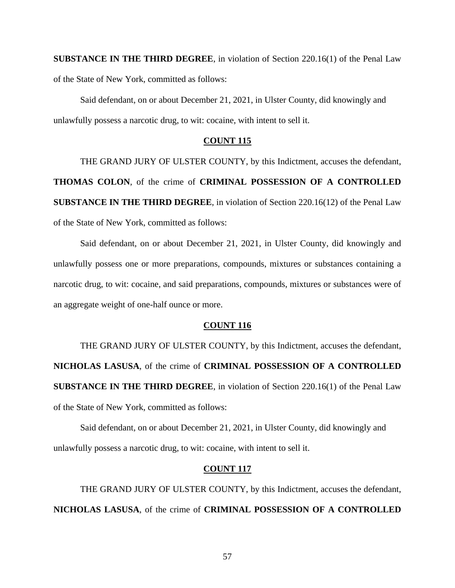**SUBSTANCE IN THE THIRD DEGREE**, in violation of Section 220.16(1) of the Penal Law of the State of New York, committed as follows:

Said defendant, on or about December 21, 2021, in Ulster County, did knowingly and unlawfully possess a narcotic drug, to wit: cocaine, with intent to sell it.

# **COUNT 115**

THE GRAND JURY OF ULSTER COUNTY, by this Indictment, accuses the defendant, **THOMAS COLON**, of the crime of **CRIMINAL POSSESSION OF A CONTROLLED SUBSTANCE IN THE THIRD DEGREE**, in violation of Section 220.16(12) of the Penal Law of the State of New York, committed as follows:

Said defendant, on or about December 21, 2021, in Ulster County, did knowingly and unlawfully possess one or more preparations, compounds, mixtures or substances containing a narcotic drug, to wit: cocaine, and said preparations, compounds, mixtures or substances were of an aggregate weight of one-half ounce or more.

# **COUNT 116**

THE GRAND JURY OF ULSTER COUNTY, by this Indictment, accuses the defendant, **NICHOLAS LASUSA**, of the crime of **CRIMINAL POSSESSION OF A CONTROLLED SUBSTANCE IN THE THIRD DEGREE**, in violation of Section 220.16(1) of the Penal Law of the State of New York, committed as follows:

Said defendant, on or about December 21, 2021, in Ulster County, did knowingly and unlawfully possess a narcotic drug, to wit: cocaine, with intent to sell it.

## **COUNT 117**

THE GRAND JURY OF ULSTER COUNTY, by this Indictment, accuses the defendant, **NICHOLAS LASUSA**, of the crime of **CRIMINAL POSSESSION OF A CONTROLLED**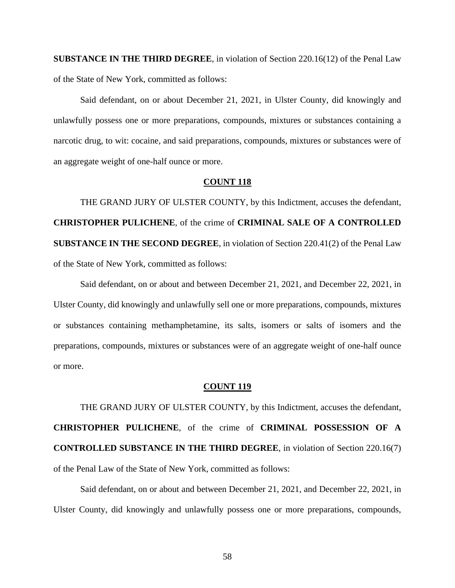**SUBSTANCE IN THE THIRD DEGREE**, in violation of Section 220.16(12) of the Penal Law of the State of New York, committed as follows:

Said defendant, on or about December 21, 2021, in Ulster County, did knowingly and unlawfully possess one or more preparations, compounds, mixtures or substances containing a narcotic drug, to wit: cocaine, and said preparations, compounds, mixtures or substances were of an aggregate weight of one-half ounce or more.

## **COUNT 118**

THE GRAND JURY OF ULSTER COUNTY, by this Indictment, accuses the defendant, **CHRISTOPHER PULICHENE**, of the crime of **CRIMINAL SALE OF A CONTROLLED SUBSTANCE IN THE SECOND DEGREE**, in violation of Section 220.41(2) of the Penal Law of the State of New York, committed as follows:

Said defendant, on or about and between December 21, 2021, and December 22, 2021, in Ulster County, did knowingly and unlawfully sell one or more preparations, compounds, mixtures or substances containing methamphetamine, its salts, isomers or salts of isomers and the preparations, compounds, mixtures or substances were of an aggregate weight of one-half ounce or more.

### **COUNT 119**

THE GRAND JURY OF ULSTER COUNTY, by this Indictment, accuses the defendant, **CHRISTOPHER PULICHENE**, of the crime of **CRIMINAL POSSESSION OF A CONTROLLED SUBSTANCE IN THE THIRD DEGREE**, in violation of Section 220.16(7) of the Penal Law of the State of New York, committed as follows:

Said defendant, on or about and between December 21, 2021, and December 22, 2021, in Ulster County, did knowingly and unlawfully possess one or more preparations, compounds,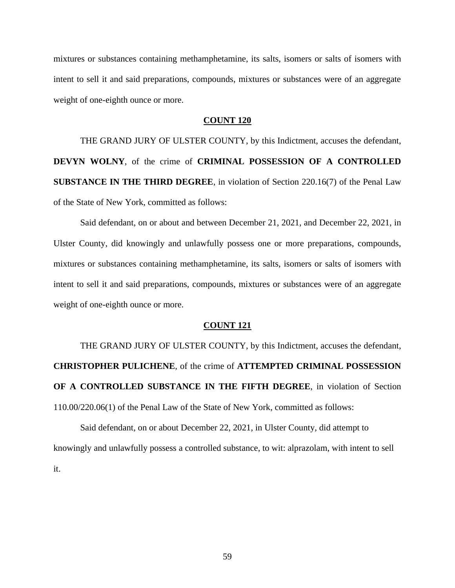mixtures or substances containing methamphetamine, its salts, isomers or salts of isomers with intent to sell it and said preparations, compounds, mixtures or substances were of an aggregate weight of one-eighth ounce or more.

# **COUNT 120**

THE GRAND JURY OF ULSTER COUNTY, by this Indictment, accuses the defendant, **DEVYN WOLNY**, of the crime of **CRIMINAL POSSESSION OF A CONTROLLED SUBSTANCE IN THE THIRD DEGREE**, in violation of Section 220.16(7) of the Penal Law of the State of New York, committed as follows:

Said defendant, on or about and between December 21, 2021, and December 22, 2021, in Ulster County, did knowingly and unlawfully possess one or more preparations, compounds, mixtures or substances containing methamphetamine, its salts, isomers or salts of isomers with intent to sell it and said preparations, compounds, mixtures or substances were of an aggregate weight of one-eighth ounce or more.

## **COUNT 121**

THE GRAND JURY OF ULSTER COUNTY, by this Indictment, accuses the defendant, **CHRISTOPHER PULICHENE**, of the crime of **ATTEMPTED CRIMINAL POSSESSION OF A CONTROLLED SUBSTANCE IN THE FIFTH DEGREE**, in violation of Section 110.00/220.06(1) of the Penal Law of the State of New York, committed as follows:

Said defendant, on or about December 22, 2021, in Ulster County, did attempt to knowingly and unlawfully possess a controlled substance, to wit: alprazolam, with intent to sell it.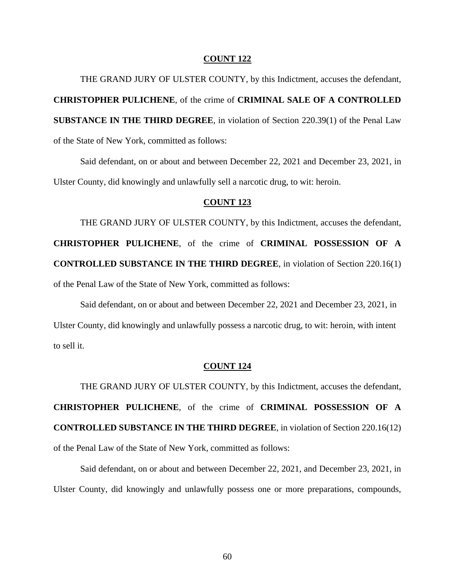THE GRAND JURY OF ULSTER COUNTY, by this Indictment, accuses the defendant, **CHRISTOPHER PULICHENE**, of the crime of **CRIMINAL SALE OF A CONTROLLED SUBSTANCE IN THE THIRD DEGREE**, in violation of Section 220.39(1) of the Penal Law of the State of New York, committed as follows:

Said defendant, on or about and between December 22, 2021 and December 23, 2021, in Ulster County, did knowingly and unlawfully sell a narcotic drug, to wit: heroin.

# **COUNT 123**

THE GRAND JURY OF ULSTER COUNTY, by this Indictment, accuses the defendant, **CHRISTOPHER PULICHENE**, of the crime of **CRIMINAL POSSESSION OF A CONTROLLED SUBSTANCE IN THE THIRD DEGREE**, in violation of Section 220.16(1) of the Penal Law of the State of New York, committed as follows:

Said defendant, on or about and between December 22, 2021 and December 23, 2021, in Ulster County, did knowingly and unlawfully possess a narcotic drug, to wit: heroin, with intent to sell it.

#### **COUNT 124**

THE GRAND JURY OF ULSTER COUNTY, by this Indictment, accuses the defendant, **CHRISTOPHER PULICHENE**, of the crime of **CRIMINAL POSSESSION OF A CONTROLLED SUBSTANCE IN THE THIRD DEGREE**, in violation of Section 220.16(12) of the Penal Law of the State of New York, committed as follows:

Said defendant, on or about and between December 22, 2021, and December 23, 2021, in Ulster County, did knowingly and unlawfully possess one or more preparations, compounds,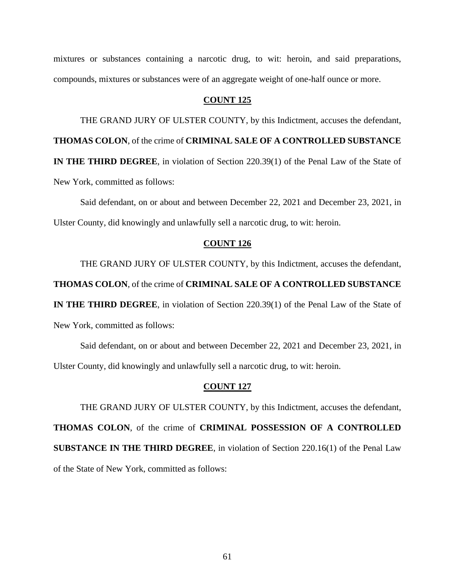mixtures or substances containing a narcotic drug, to wit: heroin, and said preparations, compounds, mixtures or substances were of an aggregate weight of one-half ounce or more.

# **COUNT 125**

THE GRAND JURY OF ULSTER COUNTY, by this Indictment, accuses the defendant,

**THOMAS COLON**, of the crime of **CRIMINAL SALE OF A CONTROLLED SUBSTANCE** 

**IN THE THIRD DEGREE**, in violation of Section 220.39(1) of the Penal Law of the State of New York, committed as follows:

Said defendant, on or about and between December 22, 2021 and December 23, 2021, in Ulster County, did knowingly and unlawfully sell a narcotic drug, to wit: heroin.

# **COUNT 126**

THE GRAND JURY OF ULSTER COUNTY, by this Indictment, accuses the defendant,

**THOMAS COLON**, of the crime of **CRIMINAL SALE OF A CONTROLLED SUBSTANCE** 

**IN THE THIRD DEGREE**, in violation of Section 220.39(1) of the Penal Law of the State of New York, committed as follows:

Said defendant, on or about and between December 22, 2021 and December 23, 2021, in Ulster County, did knowingly and unlawfully sell a narcotic drug, to wit: heroin.

### **COUNT 127**

THE GRAND JURY OF ULSTER COUNTY, by this Indictment, accuses the defendant, **THOMAS COLON**, of the crime of **CRIMINAL POSSESSION OF A CONTROLLED SUBSTANCE IN THE THIRD DEGREE**, in violation of Section 220.16(1) of the Penal Law of the State of New York, committed as follows: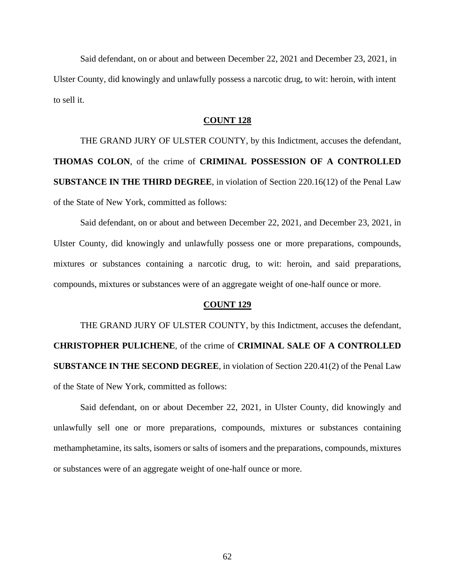Said defendant, on or about and between December 22, 2021 and December 23, 2021, in Ulster County, did knowingly and unlawfully possess a narcotic drug, to wit: heroin, with intent to sell it.

## **COUNT 128**

THE GRAND JURY OF ULSTER COUNTY, by this Indictment, accuses the defendant, **THOMAS COLON**, of the crime of **CRIMINAL POSSESSION OF A CONTROLLED SUBSTANCE IN THE THIRD DEGREE**, in violation of Section 220.16(12) of the Penal Law of the State of New York, committed as follows:

Said defendant, on or about and between December 22, 2021, and December 23, 2021, in Ulster County, did knowingly and unlawfully possess one or more preparations, compounds, mixtures or substances containing a narcotic drug, to wit: heroin, and said preparations, compounds, mixtures or substances were of an aggregate weight of one-half ounce or more.

# **COUNT 129**

THE GRAND JURY OF ULSTER COUNTY, by this Indictment, accuses the defendant, **CHRISTOPHER PULICHENE**, of the crime of **CRIMINAL SALE OF A CONTROLLED SUBSTANCE IN THE SECOND DEGREE**, in violation of Section 220.41(2) of the Penal Law of the State of New York, committed as follows:

Said defendant, on or about December 22, 2021, in Ulster County, did knowingly and unlawfully sell one or more preparations, compounds, mixtures or substances containing methamphetamine, its salts, isomers or salts of isomers and the preparations, compounds, mixtures or substances were of an aggregate weight of one-half ounce or more.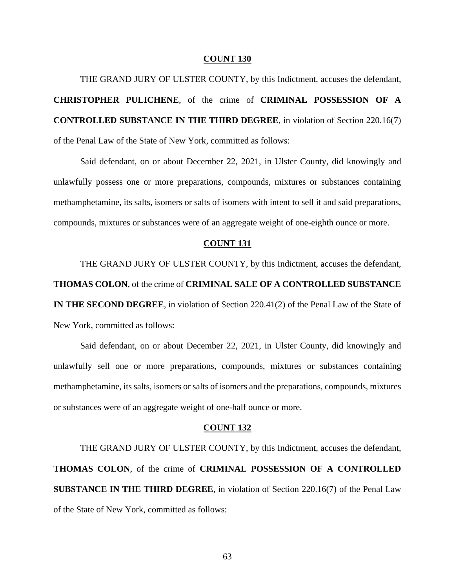THE GRAND JURY OF ULSTER COUNTY, by this Indictment, accuses the defendant, **CHRISTOPHER PULICHENE**, of the crime of **CRIMINAL POSSESSION OF A CONTROLLED SUBSTANCE IN THE THIRD DEGREE**, in violation of Section 220.16(7) of the Penal Law of the State of New York, committed as follows:

Said defendant, on or about December 22, 2021, in Ulster County, did knowingly and unlawfully possess one or more preparations, compounds, mixtures or substances containing methamphetamine, its salts, isomers or salts of isomers with intent to sell it and said preparations, compounds, mixtures or substances were of an aggregate weight of one-eighth ounce or more.

## **COUNT 131**

THE GRAND JURY OF ULSTER COUNTY, by this Indictment, accuses the defendant, **THOMAS COLON**, of the crime of **CRIMINAL SALE OF A CONTROLLED SUBSTANCE IN THE SECOND DEGREE**, in violation of Section 220.41(2) of the Penal Law of the State of New York, committed as follows:

Said defendant, on or about December 22, 2021, in Ulster County, did knowingly and unlawfully sell one or more preparations, compounds, mixtures or substances containing methamphetamine, its salts, isomers or salts of isomers and the preparations, compounds, mixtures or substances were of an aggregate weight of one-half ounce or more.

#### **COUNT 132**

THE GRAND JURY OF ULSTER COUNTY, by this Indictment, accuses the defendant, **THOMAS COLON**, of the crime of **CRIMINAL POSSESSION OF A CONTROLLED SUBSTANCE IN THE THIRD DEGREE**, in violation of Section 220.16(7) of the Penal Law of the State of New York, committed as follows:

63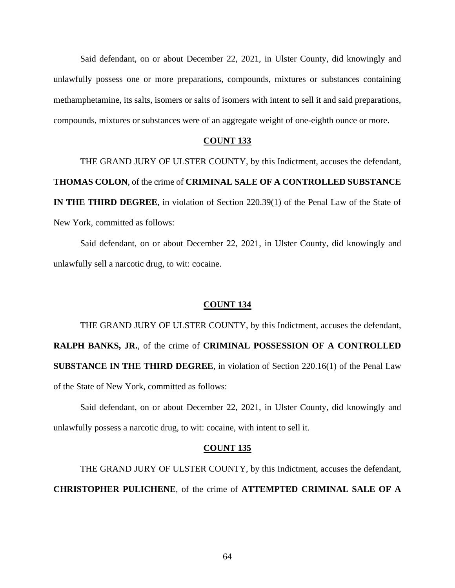Said defendant, on or about December 22, 2021, in Ulster County, did knowingly and unlawfully possess one or more preparations, compounds, mixtures or substances containing methamphetamine, its salts, isomers or salts of isomers with intent to sell it and said preparations, compounds, mixtures or substances were of an aggregate weight of one-eighth ounce or more.

# **COUNT 133**

THE GRAND JURY OF ULSTER COUNTY, by this Indictment, accuses the defendant, **THOMAS COLON**, of the crime of **CRIMINAL SALE OF A CONTROLLED SUBSTANCE IN THE THIRD DEGREE**, in violation of Section 220.39(1) of the Penal Law of the State of New York, committed as follows:

Said defendant, on or about December 22, 2021, in Ulster County, did knowingly and unlawfully sell a narcotic drug, to wit: cocaine.

#### **COUNT 134**

THE GRAND JURY OF ULSTER COUNTY, by this Indictment, accuses the defendant, **RALPH BANKS, JR.**, of the crime of **CRIMINAL POSSESSION OF A CONTROLLED SUBSTANCE IN THE THIRD DEGREE**, in violation of Section 220.16(1) of the Penal Law of the State of New York, committed as follows:

Said defendant, on or about December 22, 2021, in Ulster County, did knowingly and unlawfully possess a narcotic drug, to wit: cocaine, with intent to sell it.

#### **COUNT 135**

THE GRAND JURY OF ULSTER COUNTY, by this Indictment, accuses the defendant, **CHRISTOPHER PULICHENE**, of the crime of **ATTEMPTED CRIMINAL SALE OF A**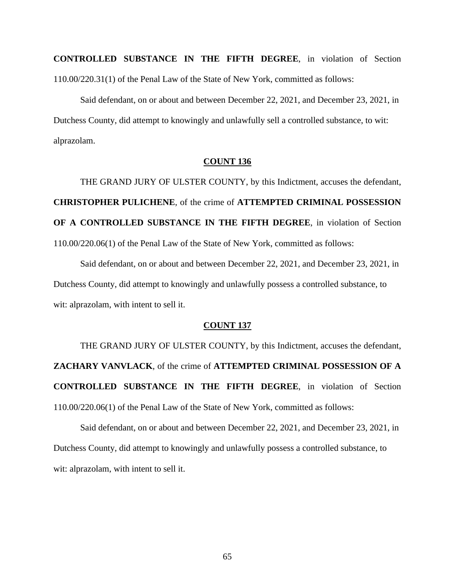**CONTROLLED SUBSTANCE IN THE FIFTH DEGREE**, in violation of Section 110.00/220.31(1) of the Penal Law of the State of New York, committed as follows:

Said defendant, on or about and between December 22, 2021, and December 23, 2021, in Dutchess County, did attempt to knowingly and unlawfully sell a controlled substance, to wit: alprazolam.

# **COUNT 136**

THE GRAND JURY OF ULSTER COUNTY, by this Indictment, accuses the defendant, **CHRISTOPHER PULICHENE**, of the crime of **ATTEMPTED CRIMINAL POSSESSION OF A CONTROLLED SUBSTANCE IN THE FIFTH DEGREE**, in violation of Section 110.00/220.06(1) of the Penal Law of the State of New York, committed as follows:

Said defendant, on or about and between December 22, 2021, and December 23, 2021, in Dutchess County, did attempt to knowingly and unlawfully possess a controlled substance, to wit: alprazolam, with intent to sell it.

# **COUNT 137**

THE GRAND JURY OF ULSTER COUNTY, by this Indictment, accuses the defendant, **ZACHARY VANVLACK**, of the crime of **ATTEMPTED CRIMINAL POSSESSION OF A CONTROLLED SUBSTANCE IN THE FIFTH DEGREE**, in violation of Section 110.00/220.06(1) of the Penal Law of the State of New York, committed as follows:

Said defendant, on or about and between December 22, 2021, and December 23, 2021, in Dutchess County, did attempt to knowingly and unlawfully possess a controlled substance, to wit: alprazolam, with intent to sell it.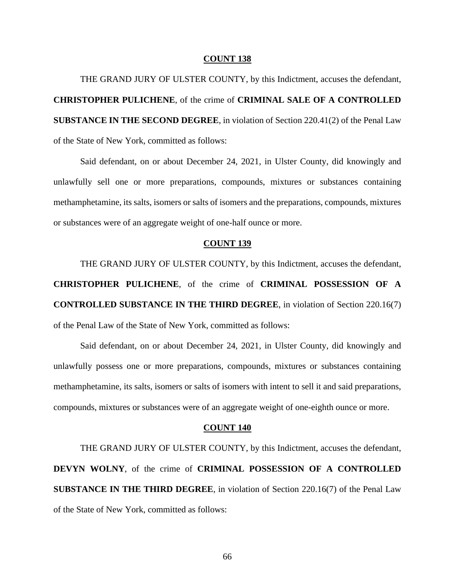THE GRAND JURY OF ULSTER COUNTY, by this Indictment, accuses the defendant, **CHRISTOPHER PULICHENE**, of the crime of **CRIMINAL SALE OF A CONTROLLED SUBSTANCE IN THE SECOND DEGREE**, in violation of Section 220.41(2) of the Penal Law of the State of New York, committed as follows:

Said defendant, on or about December 24, 2021, in Ulster County, did knowingly and unlawfully sell one or more preparations, compounds, mixtures or substances containing methamphetamine, its salts, isomers or salts of isomers and the preparations, compounds, mixtures or substances were of an aggregate weight of one-half ounce or more.

## **COUNT 139**

THE GRAND JURY OF ULSTER COUNTY, by this Indictment, accuses the defendant, **CHRISTOPHER PULICHENE**, of the crime of **CRIMINAL POSSESSION OF A CONTROLLED SUBSTANCE IN THE THIRD DEGREE**, in violation of Section 220.16(7) of the Penal Law of the State of New York, committed as follows:

Said defendant, on or about December 24, 2021, in Ulster County, did knowingly and unlawfully possess one or more preparations, compounds, mixtures or substances containing methamphetamine, its salts, isomers or salts of isomers with intent to sell it and said preparations, compounds, mixtures or substances were of an aggregate weight of one-eighth ounce or more.

#### **COUNT 140**

THE GRAND JURY OF ULSTER COUNTY, by this Indictment, accuses the defendant, **DEVYN WOLNY**, of the crime of **CRIMINAL POSSESSION OF A CONTROLLED SUBSTANCE IN THE THIRD DEGREE**, in violation of Section 220.16(7) of the Penal Law of the State of New York, committed as follows: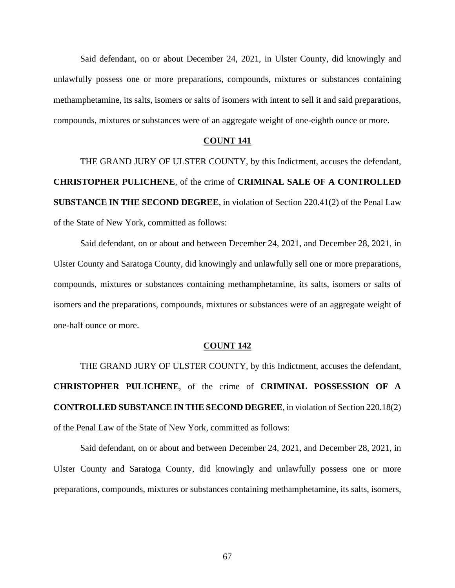Said defendant, on or about December 24, 2021, in Ulster County, did knowingly and unlawfully possess one or more preparations, compounds, mixtures or substances containing methamphetamine, its salts, isomers or salts of isomers with intent to sell it and said preparations, compounds, mixtures or substances were of an aggregate weight of one-eighth ounce or more.

# **COUNT 141**

THE GRAND JURY OF ULSTER COUNTY, by this Indictment, accuses the defendant, **CHRISTOPHER PULICHENE**, of the crime of **CRIMINAL SALE OF A CONTROLLED SUBSTANCE IN THE SECOND DEGREE**, in violation of Section 220.41(2) of the Penal Law of the State of New York, committed as follows:

Said defendant, on or about and between December 24, 2021, and December 28, 2021, in Ulster County and Saratoga County, did knowingly and unlawfully sell one or more preparations, compounds, mixtures or substances containing methamphetamine, its salts, isomers or salts of isomers and the preparations, compounds, mixtures or substances were of an aggregate weight of one-half ounce or more.

#### **COUNT 142**

THE GRAND JURY OF ULSTER COUNTY, by this Indictment, accuses the defendant, **CHRISTOPHER PULICHENE**, of the crime of **CRIMINAL POSSESSION OF A CONTROLLED SUBSTANCE IN THE SECOND DEGREE**, in violation of Section 220.18(2) of the Penal Law of the State of New York, committed as follows:

Said defendant, on or about and between December 24, 2021, and December 28, 2021, in Ulster County and Saratoga County, did knowingly and unlawfully possess one or more preparations, compounds, mixtures or substances containing methamphetamine, its salts, isomers,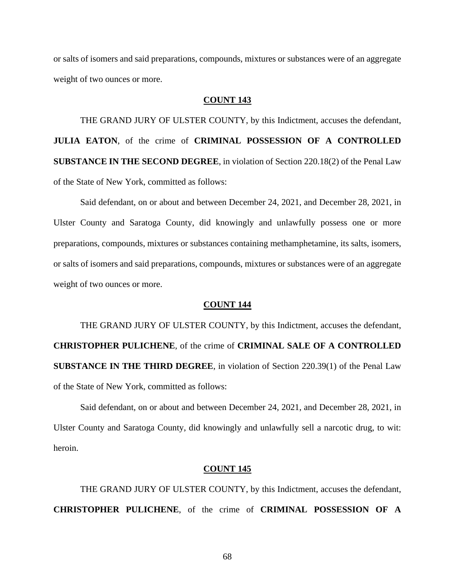or salts of isomers and said preparations, compounds, mixtures or substances were of an aggregate weight of two ounces or more.

# **COUNT 143**

THE GRAND JURY OF ULSTER COUNTY, by this Indictment, accuses the defendant, **JULIA EATON**, of the crime of **CRIMINAL POSSESSION OF A CONTROLLED SUBSTANCE IN THE SECOND DEGREE**, in violation of Section 220.18(2) of the Penal Law of the State of New York, committed as follows:

Said defendant, on or about and between December 24, 2021, and December 28, 2021, in Ulster County and Saratoga County, did knowingly and unlawfully possess one or more preparations, compounds, mixtures or substances containing methamphetamine, its salts, isomers, or salts of isomers and said preparations, compounds, mixtures or substances were of an aggregate weight of two ounces or more.

## **COUNT 144**

THE GRAND JURY OF ULSTER COUNTY, by this Indictment, accuses the defendant, **CHRISTOPHER PULICHENE**, of the crime of **CRIMINAL SALE OF A CONTROLLED SUBSTANCE IN THE THIRD DEGREE**, in violation of Section 220.39(1) of the Penal Law of the State of New York, committed as follows:

Said defendant, on or about and between December 24, 2021, and December 28, 2021, in Ulster County and Saratoga County, did knowingly and unlawfully sell a narcotic drug, to wit: heroin.

### **COUNT 145**

THE GRAND JURY OF ULSTER COUNTY, by this Indictment, accuses the defendant, **CHRISTOPHER PULICHENE**, of the crime of **CRIMINAL POSSESSION OF A** 

68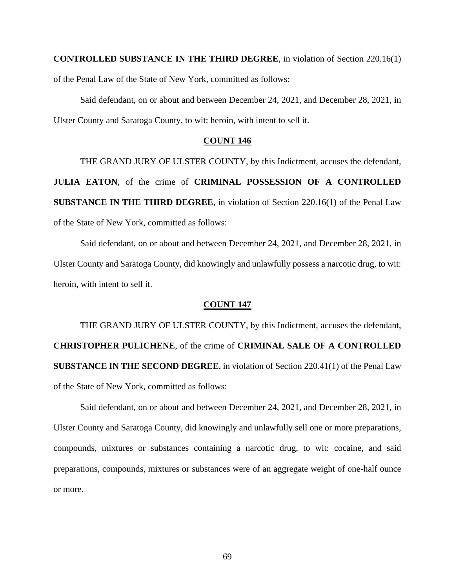**CONTROLLED SUBSTANCE IN THE THIRD DEGREE**, in violation of Section 220.16(1) of the Penal Law of the State of New York, committed as follows:

Said defendant, on or about and between December 24, 2021, and December 28, 2021, in Ulster County and Saratoga County, to wit: heroin, with intent to sell it.

# **COUNT 146**

THE GRAND JURY OF ULSTER COUNTY, by this Indictment, accuses the defendant, **JULIA EATON**, of the crime of **CRIMINAL POSSESSION OF A CONTROLLED SUBSTANCE IN THE THIRD DEGREE**, in violation of Section 220.16(1) of the Penal Law of the State of New York, committed as follows:

Said defendant, on or about and between December 24, 2021, and December 28, 2021, in Ulster County and Saratoga County, did knowingly and unlawfully possess a narcotic drug, to wit: heroin, with intent to sell it.

#### **COUNT 147**

THE GRAND JURY OF ULSTER COUNTY, by this Indictment, accuses the defendant, **CHRISTOPHER PULICHENE**, of the crime of **CRIMINAL SALE OF A CONTROLLED SUBSTANCE IN THE SECOND DEGREE**, in violation of Section 220.41(1) of the Penal Law of the State of New York, committed as follows:

Said defendant, on or about and between December 24, 2021, and December 28, 2021, in Ulster County and Saratoga County, did knowingly and unlawfully sell one or more preparations, compounds, mixtures or substances containing a narcotic drug, to wit: cocaine, and said preparations, compounds, mixtures or substances were of an aggregate weight of one-half ounce or more.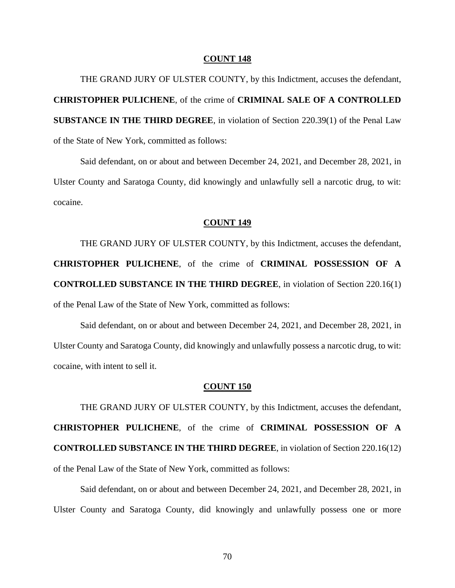THE GRAND JURY OF ULSTER COUNTY, by this Indictment, accuses the defendant, **CHRISTOPHER PULICHENE**, of the crime of **CRIMINAL SALE OF A CONTROLLED SUBSTANCE IN THE THIRD DEGREE**, in violation of Section 220.39(1) of the Penal Law of the State of New York, committed as follows:

Said defendant, on or about and between December 24, 2021, and December 28, 2021, in Ulster County and Saratoga County, did knowingly and unlawfully sell a narcotic drug, to wit: cocaine.

## **COUNT 149**

THE GRAND JURY OF ULSTER COUNTY, by this Indictment, accuses the defendant, **CHRISTOPHER PULICHENE**, of the crime of **CRIMINAL POSSESSION OF A CONTROLLED SUBSTANCE IN THE THIRD DEGREE**, in violation of Section 220.16(1) of the Penal Law of the State of New York, committed as follows:

Said defendant, on or about and between December 24, 2021, and December 28, 2021, in Ulster County and Saratoga County, did knowingly and unlawfully possess a narcotic drug, to wit: cocaine, with intent to sell it.

## **COUNT 150**

THE GRAND JURY OF ULSTER COUNTY, by this Indictment, accuses the defendant, **CHRISTOPHER PULICHENE**, of the crime of **CRIMINAL POSSESSION OF A CONTROLLED SUBSTANCE IN THE THIRD DEGREE**, in violation of Section 220.16(12) of the Penal Law of the State of New York, committed as follows:

Said defendant, on or about and between December 24, 2021, and December 28, 2021, in Ulster County and Saratoga County, did knowingly and unlawfully possess one or more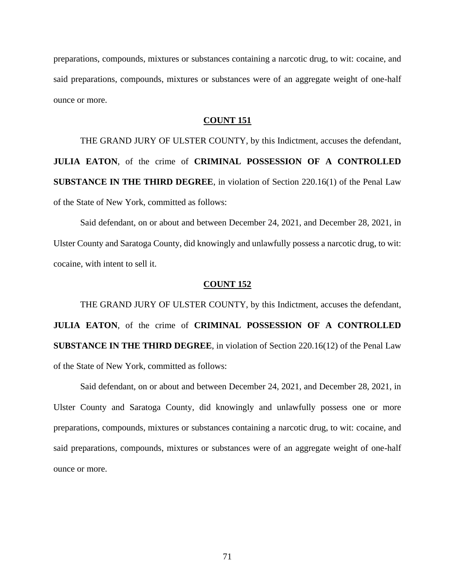preparations, compounds, mixtures or substances containing a narcotic drug, to wit: cocaine, and said preparations, compounds, mixtures or substances were of an aggregate weight of one-half ounce or more.

# **COUNT 151**

THE GRAND JURY OF ULSTER COUNTY, by this Indictment, accuses the defendant, **JULIA EATON**, of the crime of **CRIMINAL POSSESSION OF A CONTROLLED SUBSTANCE IN THE THIRD DEGREE**, in violation of Section 220.16(1) of the Penal Law of the State of New York, committed as follows:

Said defendant, on or about and between December 24, 2021, and December 28, 2021, in Ulster County and Saratoga County, did knowingly and unlawfully possess a narcotic drug, to wit: cocaine, with intent to sell it.

## **COUNT 152**

THE GRAND JURY OF ULSTER COUNTY, by this Indictment, accuses the defendant, **JULIA EATON**, of the crime of **CRIMINAL POSSESSION OF A CONTROLLED SUBSTANCE IN THE THIRD DEGREE**, in violation of Section 220.16(12) of the Penal Law of the State of New York, committed as follows:

Said defendant, on or about and between December 24, 2021, and December 28, 2021, in Ulster County and Saratoga County, did knowingly and unlawfully possess one or more preparations, compounds, mixtures or substances containing a narcotic drug, to wit: cocaine, and said preparations, compounds, mixtures or substances were of an aggregate weight of one-half ounce or more.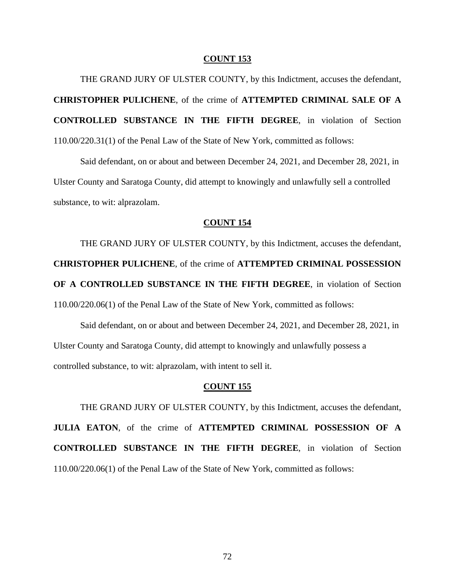THE GRAND JURY OF ULSTER COUNTY, by this Indictment, accuses the defendant, **CHRISTOPHER PULICHENE**, of the crime of **ATTEMPTED CRIMINAL SALE OF A CONTROLLED SUBSTANCE IN THE FIFTH DEGREE**, in violation of Section 110.00/220.31(1) of the Penal Law of the State of New York, committed as follows:

Said defendant, on or about and between December 24, 2021, and December 28, 2021, in Ulster County and Saratoga County, did attempt to knowingly and unlawfully sell a controlled substance, to wit: alprazolam.

## **COUNT 154**

THE GRAND JURY OF ULSTER COUNTY, by this Indictment, accuses the defendant, **CHRISTOPHER PULICHENE**, of the crime of **ATTEMPTED CRIMINAL POSSESSION OF A CONTROLLED SUBSTANCE IN THE FIFTH DEGREE**, in violation of Section 110.00/220.06(1) of the Penal Law of the State of New York, committed as follows:

Said defendant, on or about and between December 24, 2021, and December 28, 2021, in Ulster County and Saratoga County, did attempt to knowingly and unlawfully possess a controlled substance, to wit: alprazolam, with intent to sell it.

## **COUNT 155**

THE GRAND JURY OF ULSTER COUNTY, by this Indictment, accuses the defendant, **JULIA EATON**, of the crime of **ATTEMPTED CRIMINAL POSSESSION OF A CONTROLLED SUBSTANCE IN THE FIFTH DEGREE**, in violation of Section 110.00/220.06(1) of the Penal Law of the State of New York, committed as follows: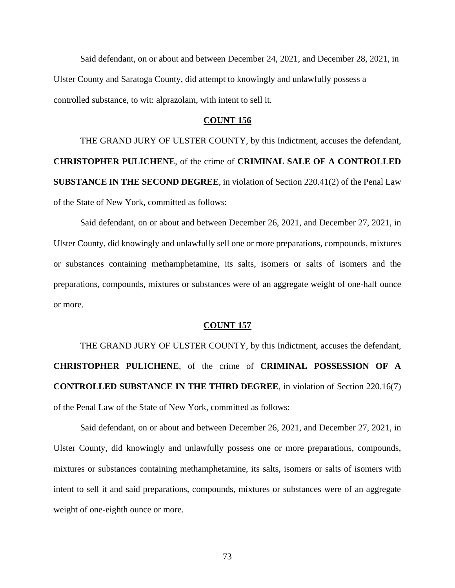Said defendant, on or about and between December 24, 2021, and December 28, 2021, in Ulster County and Saratoga County, did attempt to knowingly and unlawfully possess a controlled substance, to wit: alprazolam, with intent to sell it.

### **COUNT 156**

THE GRAND JURY OF ULSTER COUNTY, by this Indictment, accuses the defendant, **CHRISTOPHER PULICHENE**, of the crime of **CRIMINAL SALE OF A CONTROLLED SUBSTANCE IN THE SECOND DEGREE**, in violation of Section 220.41(2) of the Penal Law of the State of New York, committed as follows:

Said defendant, on or about and between December 26, 2021, and December 27, 2021, in Ulster County, did knowingly and unlawfully sell one or more preparations, compounds, mixtures or substances containing methamphetamine, its salts, isomers or salts of isomers and the preparations, compounds, mixtures or substances were of an aggregate weight of one-half ounce or more.

### **COUNT 157**

THE GRAND JURY OF ULSTER COUNTY, by this Indictment, accuses the defendant, **CHRISTOPHER PULICHENE**, of the crime of **CRIMINAL POSSESSION OF A CONTROLLED SUBSTANCE IN THE THIRD DEGREE**, in violation of Section 220.16(7) of the Penal Law of the State of New York, committed as follows:

Said defendant, on or about and between December 26, 2021, and December 27, 2021, in Ulster County, did knowingly and unlawfully possess one or more preparations, compounds, mixtures or substances containing methamphetamine, its salts, isomers or salts of isomers with intent to sell it and said preparations, compounds, mixtures or substances were of an aggregate weight of one-eighth ounce or more.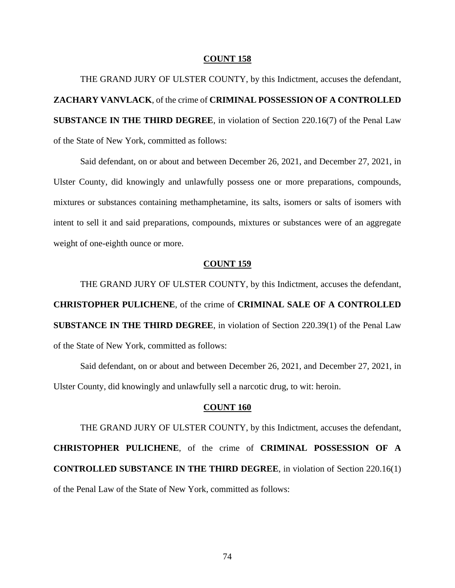THE GRAND JURY OF ULSTER COUNTY, by this Indictment, accuses the defendant, **ZACHARY VANVLACK**, of the crime of **CRIMINAL POSSESSION OF A CONTROLLED SUBSTANCE IN THE THIRD DEGREE**, in violation of Section 220.16(7) of the Penal Law of the State of New York, committed as follows:

Said defendant, on or about and between December 26, 2021, and December 27, 2021, in Ulster County, did knowingly and unlawfully possess one or more preparations, compounds, mixtures or substances containing methamphetamine, its salts, isomers or salts of isomers with intent to sell it and said preparations, compounds, mixtures or substances were of an aggregate weight of one-eighth ounce or more.

# **COUNT 159**

THE GRAND JURY OF ULSTER COUNTY, by this Indictment, accuses the defendant, **CHRISTOPHER PULICHENE**, of the crime of **CRIMINAL SALE OF A CONTROLLED SUBSTANCE IN THE THIRD DEGREE**, in violation of Section 220.39(1) of the Penal Law of the State of New York, committed as follows:

Said defendant, on or about and between December 26, 2021, and December 27, 2021, in Ulster County, did knowingly and unlawfully sell a narcotic drug, to wit: heroin.

# **COUNT 160**

THE GRAND JURY OF ULSTER COUNTY, by this Indictment, accuses the defendant, **CHRISTOPHER PULICHENE**, of the crime of **CRIMINAL POSSESSION OF A CONTROLLED SUBSTANCE IN THE THIRD DEGREE**, in violation of Section 220.16(1) of the Penal Law of the State of New York, committed as follows: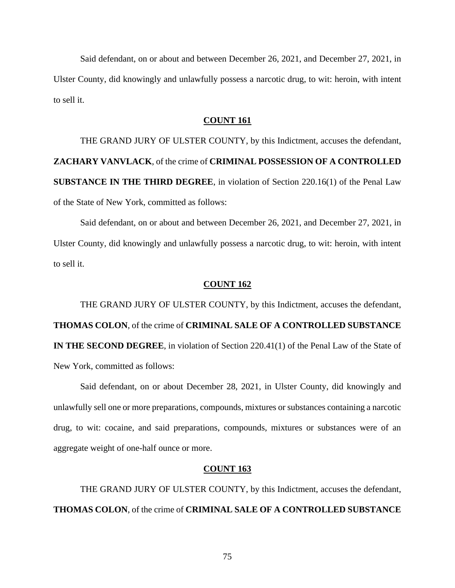Said defendant, on or about and between December 26, 2021, and December 27, 2021, in Ulster County, did knowingly and unlawfully possess a narcotic drug, to wit: heroin, with intent to sell it.

# **COUNT 161**

THE GRAND JURY OF ULSTER COUNTY, by this Indictment, accuses the defendant, **ZACHARY VANVLACK**, of the crime of **CRIMINAL POSSESSION OF A CONTROLLED SUBSTANCE IN THE THIRD DEGREE**, in violation of Section 220.16(1) of the Penal Law of the State of New York, committed as follows:

Said defendant, on or about and between December 26, 2021, and December 27, 2021, in Ulster County, did knowingly and unlawfully possess a narcotic drug, to wit: heroin, with intent to sell it.

### **COUNT 162**

THE GRAND JURY OF ULSTER COUNTY, by this Indictment, accuses the defendant, **THOMAS COLON**, of the crime of **CRIMINAL SALE OF A CONTROLLED SUBSTANCE IN THE SECOND DEGREE**, in violation of Section 220.41(1) of the Penal Law of the State of New York, committed as follows:

Said defendant, on or about December 28, 2021, in Ulster County, did knowingly and unlawfully sell one or more preparations, compounds, mixtures or substances containing a narcotic drug, to wit: cocaine, and said preparations, compounds, mixtures or substances were of an aggregate weight of one-half ounce or more.

### **COUNT 163**

THE GRAND JURY OF ULSTER COUNTY, by this Indictment, accuses the defendant, **THOMAS COLON**, of the crime of **CRIMINAL SALE OF A CONTROLLED SUBSTANCE**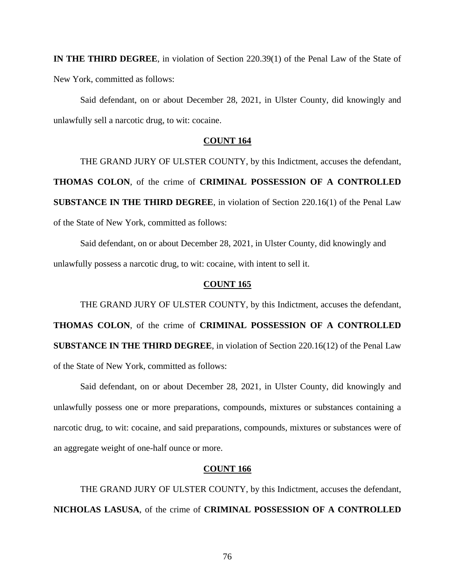**IN THE THIRD DEGREE**, in violation of Section 220.39(1) of the Penal Law of the State of New York, committed as follows:

Said defendant, on or about December 28, 2021, in Ulster County, did knowingly and unlawfully sell a narcotic drug, to wit: cocaine.

# **COUNT 164**

THE GRAND JURY OF ULSTER COUNTY, by this Indictment, accuses the defendant, **THOMAS COLON**, of the crime of **CRIMINAL POSSESSION OF A CONTROLLED SUBSTANCE IN THE THIRD DEGREE**, in violation of Section 220.16(1) of the Penal Law of the State of New York, committed as follows:

Said defendant, on or about December 28, 2021, in Ulster County, did knowingly and unlawfully possess a narcotic drug, to wit: cocaine, with intent to sell it.

# **COUNT 165**

THE GRAND JURY OF ULSTER COUNTY, by this Indictment, accuses the defendant, **THOMAS COLON**, of the crime of **CRIMINAL POSSESSION OF A CONTROLLED SUBSTANCE IN THE THIRD DEGREE**, in violation of Section 220.16(12) of the Penal Law of the State of New York, committed as follows:

Said defendant, on or about December 28, 2021, in Ulster County, did knowingly and unlawfully possess one or more preparations, compounds, mixtures or substances containing a narcotic drug, to wit: cocaine, and said preparations, compounds, mixtures or substances were of an aggregate weight of one-half ounce or more.

### **COUNT 166**

THE GRAND JURY OF ULSTER COUNTY, by this Indictment, accuses the defendant, **NICHOLAS LASUSA**, of the crime of **CRIMINAL POSSESSION OF A CONTROLLED**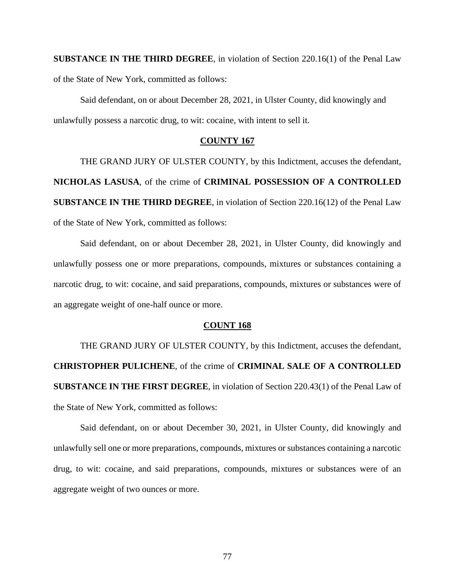**SUBSTANCE IN THE THIRD DEGREE**, in violation of Section 220.16(1) of the Penal Law of the State of New York, committed as follows:

Said defendant, on or about December 28, 2021, in Ulster County, did knowingly and unlawfully possess a narcotic drug, to wit: cocaine, with intent to sell it.

# **COUNTY 167**

THE GRAND JURY OF ULSTER COUNTY, by this Indictment, accuses the defendant, **NICHOLAS LASUSA**, of the crime of **CRIMINAL POSSESSION OF A CONTROLLED SUBSTANCE IN THE THIRD DEGREE**, in violation of Section 220.16(12) of the Penal Law of the State of New York, committed as follows:

Said defendant, on or about December 28, 2021, in Ulster County, did knowingly and unlawfully possess one or more preparations, compounds, mixtures or substances containing a narcotic drug, to wit: cocaine, and said preparations, compounds, mixtures or substances were of an aggregate weight of one-half ounce or more.

# **COUNT 168**

THE GRAND JURY OF ULSTER COUNTY, by this Indictment, accuses the defendant, **CHRISTOPHER PULICHENE**, of the crime of **CRIMINAL SALE OF A CONTROLLED SUBSTANCE IN THE FIRST DEGREE**, in violation of Section 220.43(1) of the Penal Law of the State of New York, committed as follows:

Said defendant, on or about December 30, 2021, in Ulster County, did knowingly and unlawfully sell one or more preparations, compounds, mixtures or substances containing a narcotic drug, to wit: cocaine, and said preparations, compounds, mixtures or substances were of an aggregate weight of two ounces or more.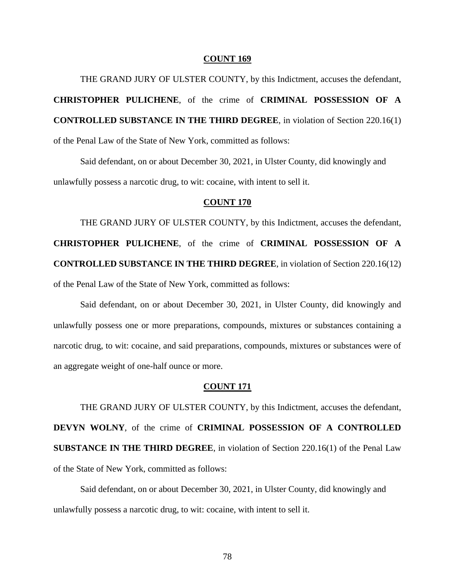THE GRAND JURY OF ULSTER COUNTY, by this Indictment, accuses the defendant, **CHRISTOPHER PULICHENE**, of the crime of **CRIMINAL POSSESSION OF A CONTROLLED SUBSTANCE IN THE THIRD DEGREE**, in violation of Section 220.16(1) of the Penal Law of the State of New York, committed as follows:

Said defendant, on or about December 30, 2021, in Ulster County, did knowingly and unlawfully possess a narcotic drug, to wit: cocaine, with intent to sell it.

# **COUNT 170**

THE GRAND JURY OF ULSTER COUNTY, by this Indictment, accuses the defendant, **CHRISTOPHER PULICHENE**, of the crime of **CRIMINAL POSSESSION OF A CONTROLLED SUBSTANCE IN THE THIRD DEGREE**, in violation of Section 220.16(12) of the Penal Law of the State of New York, committed as follows:

Said defendant, on or about December 30, 2021, in Ulster County, did knowingly and unlawfully possess one or more preparations, compounds, mixtures or substances containing a narcotic drug, to wit: cocaine, and said preparations, compounds, mixtures or substances were of an aggregate weight of one-half ounce or more.

## **COUNT 171**

THE GRAND JURY OF ULSTER COUNTY, by this Indictment, accuses the defendant, **DEVYN WOLNY**, of the crime of **CRIMINAL POSSESSION OF A CONTROLLED SUBSTANCE IN THE THIRD DEGREE**, in violation of Section 220.16(1) of the Penal Law of the State of New York, committed as follows:

Said defendant, on or about December 30, 2021, in Ulster County, did knowingly and unlawfully possess a narcotic drug, to wit: cocaine, with intent to sell it.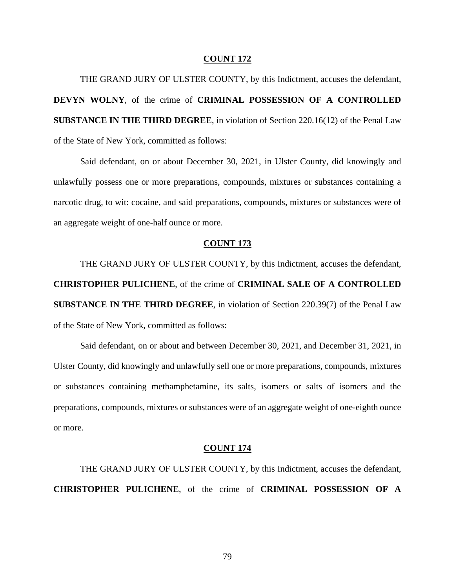THE GRAND JURY OF ULSTER COUNTY, by this Indictment, accuses the defendant, **DEVYN WOLNY**, of the crime of **CRIMINAL POSSESSION OF A CONTROLLED SUBSTANCE IN THE THIRD DEGREE**, in violation of Section 220.16(12) of the Penal Law of the State of New York, committed as follows:

Said defendant, on or about December 30, 2021, in Ulster County, did knowingly and unlawfully possess one or more preparations, compounds, mixtures or substances containing a narcotic drug, to wit: cocaine, and said preparations, compounds, mixtures or substances were of an aggregate weight of one-half ounce or more.

### **COUNT 173**

THE GRAND JURY OF ULSTER COUNTY, by this Indictment, accuses the defendant, **CHRISTOPHER PULICHENE**, of the crime of **CRIMINAL SALE OF A CONTROLLED SUBSTANCE IN THE THIRD DEGREE**, in violation of Section 220.39(7) of the Penal Law of the State of New York, committed as follows:

Said defendant, on or about and between December 30, 2021, and December 31, 2021, in Ulster County, did knowingly and unlawfully sell one or more preparations, compounds, mixtures or substances containing methamphetamine, its salts, isomers or salts of isomers and the preparations, compounds, mixtures or substances were of an aggregate weight of one-eighth ounce or more.

### **COUNT 174**

THE GRAND JURY OF ULSTER COUNTY, by this Indictment, accuses the defendant, **CHRISTOPHER PULICHENE**, of the crime of **CRIMINAL POSSESSION OF A**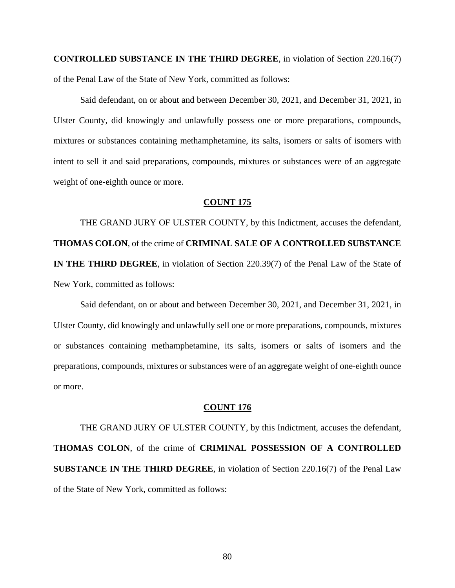**CONTROLLED SUBSTANCE IN THE THIRD DEGREE**, in violation of Section 220.16(7) of the Penal Law of the State of New York, committed as follows:

Said defendant, on or about and between December 30, 2021, and December 31, 2021, in Ulster County, did knowingly and unlawfully possess one or more preparations, compounds, mixtures or substances containing methamphetamine, its salts, isomers or salts of isomers with intent to sell it and said preparations, compounds, mixtures or substances were of an aggregate weight of one-eighth ounce or more.

### **COUNT 175**

THE GRAND JURY OF ULSTER COUNTY, by this Indictment, accuses the defendant, **THOMAS COLON**, of the crime of **CRIMINAL SALE OF A CONTROLLED SUBSTANCE IN THE THIRD DEGREE**, in violation of Section 220.39(7) of the Penal Law of the State of New York, committed as follows:

Said defendant, on or about and between December 30, 2021, and December 31, 2021, in Ulster County, did knowingly and unlawfully sell one or more preparations, compounds, mixtures or substances containing methamphetamine, its salts, isomers or salts of isomers and the preparations, compounds, mixtures or substances were of an aggregate weight of one-eighth ounce or more.

# **COUNT 176**

THE GRAND JURY OF ULSTER COUNTY, by this Indictment, accuses the defendant, **THOMAS COLON**, of the crime of **CRIMINAL POSSESSION OF A CONTROLLED SUBSTANCE IN THE THIRD DEGREE**, in violation of Section 220.16(7) of the Penal Law of the State of New York, committed as follows: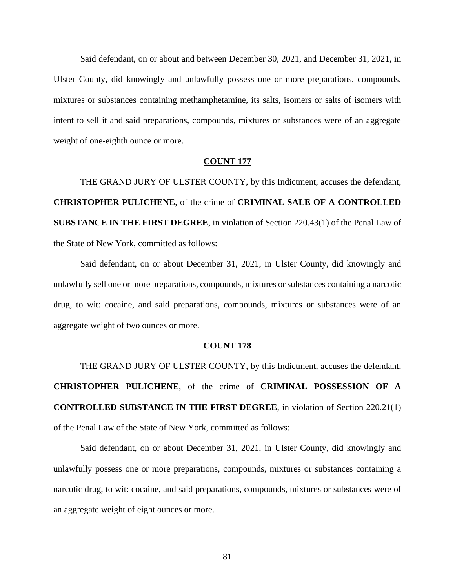Said defendant, on or about and between December 30, 2021, and December 31, 2021, in Ulster County, did knowingly and unlawfully possess one or more preparations, compounds, mixtures or substances containing methamphetamine, its salts, isomers or salts of isomers with intent to sell it and said preparations, compounds, mixtures or substances were of an aggregate weight of one-eighth ounce or more.

## **COUNT 177**

THE GRAND JURY OF ULSTER COUNTY, by this Indictment, accuses the defendant, **CHRISTOPHER PULICHENE**, of the crime of **CRIMINAL SALE OF A CONTROLLED SUBSTANCE IN THE FIRST DEGREE**, in violation of Section 220.43(1) of the Penal Law of the State of New York, committed as follows:

Said defendant, on or about December 31, 2021, in Ulster County, did knowingly and unlawfully sell one or more preparations, compounds, mixtures or substances containing a narcotic drug, to wit: cocaine, and said preparations, compounds, mixtures or substances were of an aggregate weight of two ounces or more.

### **COUNT 178**

THE GRAND JURY OF ULSTER COUNTY, by this Indictment, accuses the defendant, **CHRISTOPHER PULICHENE**, of the crime of **CRIMINAL POSSESSION OF A CONTROLLED SUBSTANCE IN THE FIRST DEGREE**, in violation of Section 220.21(1) of the Penal Law of the State of New York, committed as follows:

Said defendant, on or about December 31, 2021, in Ulster County, did knowingly and unlawfully possess one or more preparations, compounds, mixtures or substances containing a narcotic drug, to wit: cocaine, and said preparations, compounds, mixtures or substances were of an aggregate weight of eight ounces or more.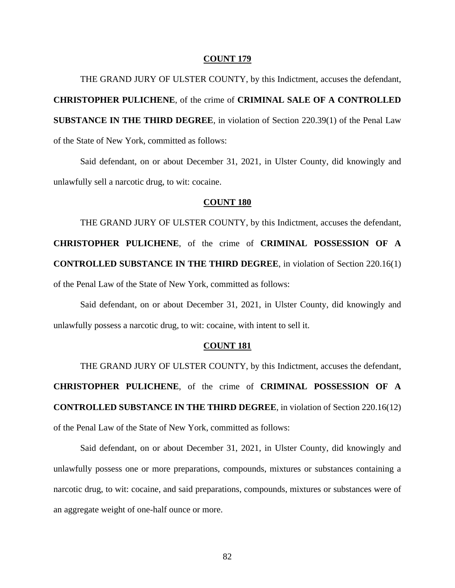THE GRAND JURY OF ULSTER COUNTY, by this Indictment, accuses the defendant, **CHRISTOPHER PULICHENE**, of the crime of **CRIMINAL SALE OF A CONTROLLED SUBSTANCE IN THE THIRD DEGREE**, in violation of Section 220.39(1) of the Penal Law of the State of New York, committed as follows:

Said defendant, on or about December 31, 2021, in Ulster County, did knowingly and unlawfully sell a narcotic drug, to wit: cocaine.

# **COUNT 180**

THE GRAND JURY OF ULSTER COUNTY, by this Indictment, accuses the defendant, **CHRISTOPHER PULICHENE**, of the crime of **CRIMINAL POSSESSION OF A CONTROLLED SUBSTANCE IN THE THIRD DEGREE**, in violation of Section 220.16(1) of the Penal Law of the State of New York, committed as follows:

Said defendant, on or about December 31, 2021, in Ulster County, did knowingly and unlawfully possess a narcotic drug, to wit: cocaine, with intent to sell it.

### **COUNT 181**

THE GRAND JURY OF ULSTER COUNTY, by this Indictment, accuses the defendant, **CHRISTOPHER PULICHENE**, of the crime of **CRIMINAL POSSESSION OF A CONTROLLED SUBSTANCE IN THE THIRD DEGREE**, in violation of Section 220.16(12) of the Penal Law of the State of New York, committed as follows:

Said defendant, on or about December 31, 2021, in Ulster County, did knowingly and unlawfully possess one or more preparations, compounds, mixtures or substances containing a narcotic drug, to wit: cocaine, and said preparations, compounds, mixtures or substances were of an aggregate weight of one-half ounce or more.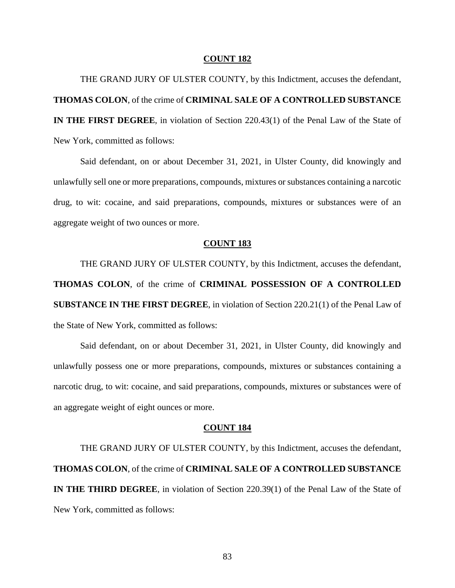THE GRAND JURY OF ULSTER COUNTY, by this Indictment, accuses the defendant, **THOMAS COLON**, of the crime of **CRIMINAL SALE OF A CONTROLLED SUBSTANCE IN THE FIRST DEGREE**, in violation of Section 220.43(1) of the Penal Law of the State of New York, committed as follows:

Said defendant, on or about December 31, 2021, in Ulster County, did knowingly and unlawfully sell one or more preparations, compounds, mixtures or substances containing a narcotic drug, to wit: cocaine, and said preparations, compounds, mixtures or substances were of an aggregate weight of two ounces or more.

### **COUNT 183**

THE GRAND JURY OF ULSTER COUNTY, by this Indictment, accuses the defendant, **THOMAS COLON**, of the crime of **CRIMINAL POSSESSION OF A CONTROLLED SUBSTANCE IN THE FIRST DEGREE**, in violation of Section 220.21(1) of the Penal Law of the State of New York, committed as follows:

Said defendant, on or about December 31, 2021, in Ulster County, did knowingly and unlawfully possess one or more preparations, compounds, mixtures or substances containing a narcotic drug, to wit: cocaine, and said preparations, compounds, mixtures or substances were of an aggregate weight of eight ounces or more.

### **COUNT 184**

THE GRAND JURY OF ULSTER COUNTY, by this Indictment, accuses the defendant, **THOMAS COLON**, of the crime of **CRIMINAL SALE OF A CONTROLLED SUBSTANCE IN THE THIRD DEGREE**, in violation of Section 220.39(1) of the Penal Law of the State of New York, committed as follows: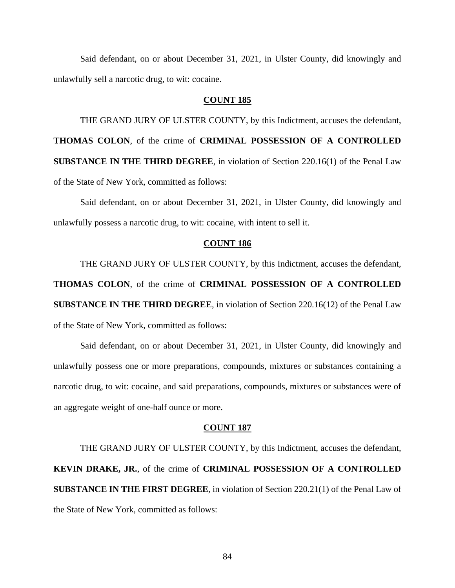Said defendant, on or about December 31, 2021, in Ulster County, did knowingly and unlawfully sell a narcotic drug, to wit: cocaine.

# **COUNT 185**

THE GRAND JURY OF ULSTER COUNTY, by this Indictment, accuses the defendant, **THOMAS COLON**, of the crime of **CRIMINAL POSSESSION OF A CONTROLLED SUBSTANCE IN THE THIRD DEGREE**, in violation of Section 220.16(1) of the Penal Law of the State of New York, committed as follows:

Said defendant, on or about December 31, 2021, in Ulster County, did knowingly and unlawfully possess a narcotic drug, to wit: cocaine, with intent to sell it.

# **COUNT 186**

THE GRAND JURY OF ULSTER COUNTY, by this Indictment, accuses the defendant, **THOMAS COLON**, of the crime of **CRIMINAL POSSESSION OF A CONTROLLED SUBSTANCE IN THE THIRD DEGREE**, in violation of Section 220.16(12) of the Penal Law of the State of New York, committed as follows:

Said defendant, on or about December 31, 2021, in Ulster County, did knowingly and unlawfully possess one or more preparations, compounds, mixtures or substances containing a narcotic drug, to wit: cocaine, and said preparations, compounds, mixtures or substances were of an aggregate weight of one-half ounce or more.

#### **COUNT 187**

THE GRAND JURY OF ULSTER COUNTY, by this Indictment, accuses the defendant, **KEVIN DRAKE, JR.**, of the crime of **CRIMINAL POSSESSION OF A CONTROLLED SUBSTANCE IN THE FIRST DEGREE**, in violation of Section 220.21(1) of the Penal Law of the State of New York, committed as follows: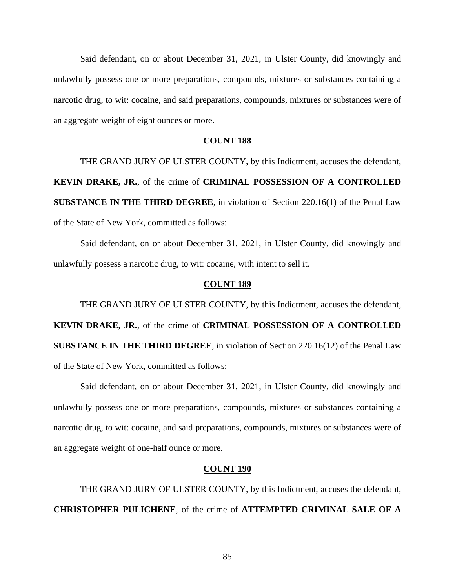Said defendant, on or about December 31, 2021, in Ulster County, did knowingly and unlawfully possess one or more preparations, compounds, mixtures or substances containing a narcotic drug, to wit: cocaine, and said preparations, compounds, mixtures or substances were of an aggregate weight of eight ounces or more.

# **COUNT 188**

THE GRAND JURY OF ULSTER COUNTY, by this Indictment, accuses the defendant, **KEVIN DRAKE, JR.**, of the crime of **CRIMINAL POSSESSION OF A CONTROLLED SUBSTANCE IN THE THIRD DEGREE**, in violation of Section 220.16(1) of the Penal Law of the State of New York, committed as follows:

Said defendant, on or about December 31, 2021, in Ulster County, did knowingly and unlawfully possess a narcotic drug, to wit: cocaine, with intent to sell it.

### **COUNT 189**

THE GRAND JURY OF ULSTER COUNTY, by this Indictment, accuses the defendant, **KEVIN DRAKE, JR.**, of the crime of **CRIMINAL POSSESSION OF A CONTROLLED SUBSTANCE IN THE THIRD DEGREE**, in violation of Section 220.16(12) of the Penal Law of the State of New York, committed as follows:

Said defendant, on or about December 31, 2021, in Ulster County, did knowingly and unlawfully possess one or more preparations, compounds, mixtures or substances containing a narcotic drug, to wit: cocaine, and said preparations, compounds, mixtures or substances were of an aggregate weight of one-half ounce or more.

### **COUNT 190**

THE GRAND JURY OF ULSTER COUNTY, by this Indictment, accuses the defendant, **CHRISTOPHER PULICHENE**, of the crime of **ATTEMPTED CRIMINAL SALE OF A**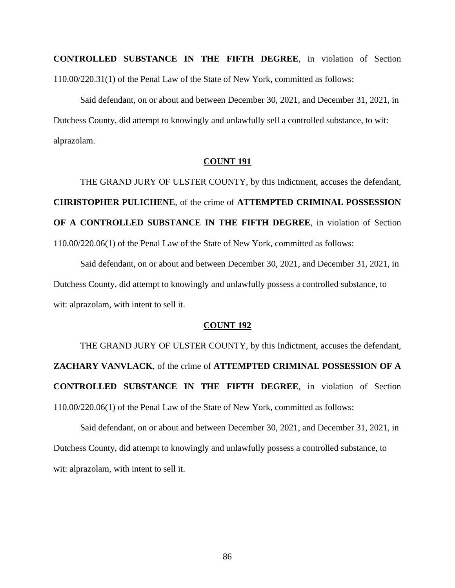**CONTROLLED SUBSTANCE IN THE FIFTH DEGREE**, in violation of Section 110.00/220.31(1) of the Penal Law of the State of New York, committed as follows:

Said defendant, on or about and between December 30, 2021, and December 31, 2021, in Dutchess County, did attempt to knowingly and unlawfully sell a controlled substance, to wit: alprazolam.

# **COUNT 191**

THE GRAND JURY OF ULSTER COUNTY, by this Indictment, accuses the defendant, **CHRISTOPHER PULICHENE**, of the crime of **ATTEMPTED CRIMINAL POSSESSION OF A CONTROLLED SUBSTANCE IN THE FIFTH DEGREE**, in violation of Section 110.00/220.06(1) of the Penal Law of the State of New York, committed as follows:

Said defendant, on or about and between December 30, 2021, and December 31, 2021, in Dutchess County, did attempt to knowingly and unlawfully possess a controlled substance, to wit: alprazolam, with intent to sell it.

# **COUNT 192**

THE GRAND JURY OF ULSTER COUNTY, by this Indictment, accuses the defendant, **ZACHARY VANVLACK**, of the crime of **ATTEMPTED CRIMINAL POSSESSION OF A CONTROLLED SUBSTANCE IN THE FIFTH DEGREE**, in violation of Section 110.00/220.06(1) of the Penal Law of the State of New York, committed as follows:

Said defendant, on or about and between December 30, 2021, and December 31, 2021, in Dutchess County, did attempt to knowingly and unlawfully possess a controlled substance, to wit: alprazolam, with intent to sell it.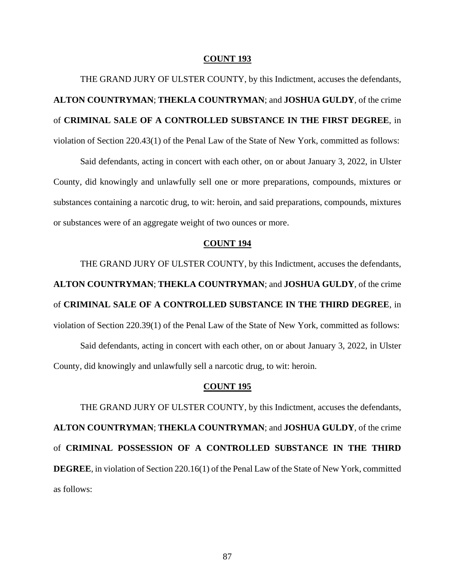THE GRAND JURY OF ULSTER COUNTY, by this Indictment, accuses the defendants, **ALTON COUNTRYMAN**; **THEKLA COUNTRYMAN**; and **JOSHUA GULDY**, of the crime of **CRIMINAL SALE OF A CONTROLLED SUBSTANCE IN THE FIRST DEGREE**, in violation of Section 220.43(1) of the Penal Law of the State of New York, committed as follows:

Said defendants, acting in concert with each other, on or about January 3, 2022, in Ulster County, did knowingly and unlawfully sell one or more preparations, compounds, mixtures or substances containing a narcotic drug, to wit: heroin, and said preparations, compounds, mixtures or substances were of an aggregate weight of two ounces or more.

# **COUNT 194**

THE GRAND JURY OF ULSTER COUNTY, by this Indictment, accuses the defendants, **ALTON COUNTRYMAN**; **THEKLA COUNTRYMAN**; and **JOSHUA GULDY**, of the crime of **CRIMINAL SALE OF A CONTROLLED SUBSTANCE IN THE THIRD DEGREE**, in violation of Section 220.39(1) of the Penal Law of the State of New York, committed as follows:

Said defendants, acting in concert with each other, on or about January 3, 2022, in Ulster County, did knowingly and unlawfully sell a narcotic drug, to wit: heroin.

## **COUNT 195**

THE GRAND JURY OF ULSTER COUNTY, by this Indictment, accuses the defendants, **ALTON COUNTRYMAN**; **THEKLA COUNTRYMAN**; and **JOSHUA GULDY**, of the crime of **CRIMINAL POSSESSION OF A CONTROLLED SUBSTANCE IN THE THIRD DEGREE**, in violation of Section 220.16(1) of the Penal Law of the State of New York, committed as follows: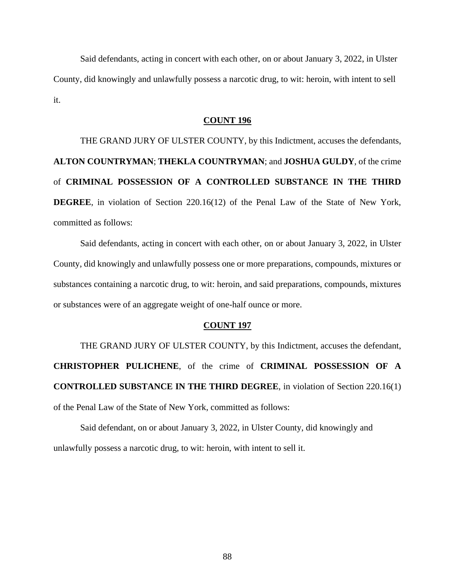Said defendants, acting in concert with each other, on or about January 3, 2022, in Ulster County, did knowingly and unlawfully possess a narcotic drug, to wit: heroin, with intent to sell it.

# **COUNT 196**

THE GRAND JURY OF ULSTER COUNTY, by this Indictment, accuses the defendants, **ALTON COUNTRYMAN**; **THEKLA COUNTRYMAN**; and **JOSHUA GULDY**, of the crime of **CRIMINAL POSSESSION OF A CONTROLLED SUBSTANCE IN THE THIRD DEGREE**, in violation of Section 220.16(12) of the Penal Law of the State of New York, committed as follows:

Said defendants, acting in concert with each other, on or about January 3, 2022, in Ulster County, did knowingly and unlawfully possess one or more preparations, compounds, mixtures or substances containing a narcotic drug, to wit: heroin, and said preparations, compounds, mixtures or substances were of an aggregate weight of one-half ounce or more.

#### **COUNT 197**

THE GRAND JURY OF ULSTER COUNTY, by this Indictment, accuses the defendant, **CHRISTOPHER PULICHENE**, of the crime of **CRIMINAL POSSESSION OF A CONTROLLED SUBSTANCE IN THE THIRD DEGREE**, in violation of Section 220.16(1) of the Penal Law of the State of New York, committed as follows:

Said defendant, on or about January 3, 2022, in Ulster County, did knowingly and unlawfully possess a narcotic drug, to wit: heroin, with intent to sell it.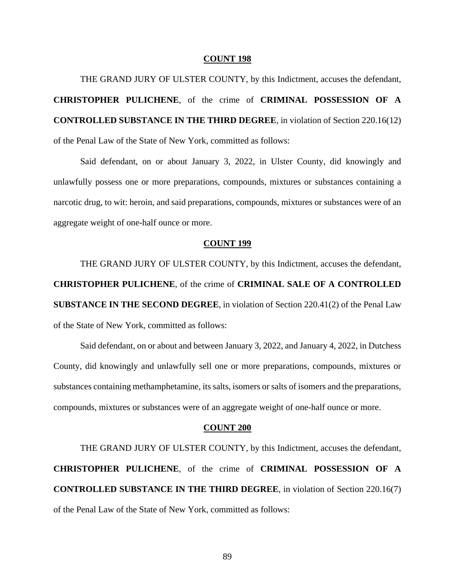THE GRAND JURY OF ULSTER COUNTY, by this Indictment, accuses the defendant, **CHRISTOPHER PULICHENE**, of the crime of **CRIMINAL POSSESSION OF A CONTROLLED SUBSTANCE IN THE THIRD DEGREE**, in violation of Section 220.16(12) of the Penal Law of the State of New York, committed as follows:

Said defendant, on or about January 3, 2022, in Ulster County, did knowingly and unlawfully possess one or more preparations, compounds, mixtures or substances containing a narcotic drug, to wit: heroin, and said preparations, compounds, mixtures or substances were of an aggregate weight of one-half ounce or more.

### **COUNT 199**

THE GRAND JURY OF ULSTER COUNTY, by this Indictment, accuses the defendant, **CHRISTOPHER PULICHENE**, of the crime of **CRIMINAL SALE OF A CONTROLLED SUBSTANCE IN THE SECOND DEGREE**, in violation of Section 220.41(2) of the Penal Law of the State of New York, committed as follows:

Said defendant, on or about and between January 3, 2022, and January 4, 2022, in Dutchess County, did knowingly and unlawfully sell one or more preparations, compounds, mixtures or substances containing methamphetamine, its salts, isomers or salts of isomers and the preparations, compounds, mixtures or substances were of an aggregate weight of one-half ounce or more.

#### **COUNT 200**

THE GRAND JURY OF ULSTER COUNTY, by this Indictment, accuses the defendant, **CHRISTOPHER PULICHENE**, of the crime of **CRIMINAL POSSESSION OF A CONTROLLED SUBSTANCE IN THE THIRD DEGREE**, in violation of Section 220.16(7) of the Penal Law of the State of New York, committed as follows: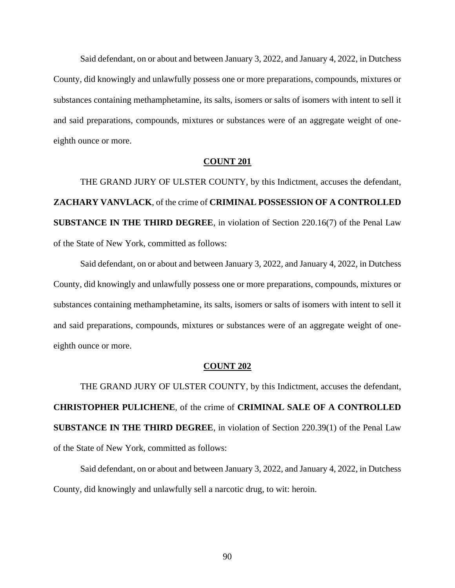Said defendant, on or about and between January 3, 2022, and January 4, 2022, in Dutchess County, did knowingly and unlawfully possess one or more preparations, compounds, mixtures or substances containing methamphetamine, its salts, isomers or salts of isomers with intent to sell it and said preparations, compounds, mixtures or substances were of an aggregate weight of oneeighth ounce or more.

## **COUNT 201**

THE GRAND JURY OF ULSTER COUNTY, by this Indictment, accuses the defendant, **ZACHARY VANVLACK**, of the crime of **CRIMINAL POSSESSION OF A CONTROLLED SUBSTANCE IN THE THIRD DEGREE**, in violation of Section 220.16(7) of the Penal Law of the State of New York, committed as follows:

Said defendant, on or about and between January 3, 2022, and January 4, 2022, in Dutchess County, did knowingly and unlawfully possess one or more preparations, compounds, mixtures or substances containing methamphetamine, its salts, isomers or salts of isomers with intent to sell it and said preparations, compounds, mixtures or substances were of an aggregate weight of oneeighth ounce or more.

#### **COUNT 202**

THE GRAND JURY OF ULSTER COUNTY, by this Indictment, accuses the defendant, **CHRISTOPHER PULICHENE**, of the crime of **CRIMINAL SALE OF A CONTROLLED SUBSTANCE IN THE THIRD DEGREE**, in violation of Section 220.39(1) of the Penal Law of the State of New York, committed as follows:

Said defendant, on or about and between January 3, 2022, and January 4, 2022, in Dutchess County, did knowingly and unlawfully sell a narcotic drug, to wit: heroin.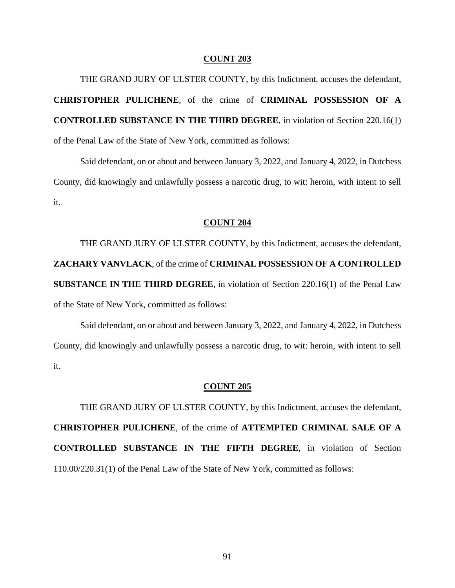THE GRAND JURY OF ULSTER COUNTY, by this Indictment, accuses the defendant, **CHRISTOPHER PULICHENE**, of the crime of **CRIMINAL POSSESSION OF A CONTROLLED SUBSTANCE IN THE THIRD DEGREE**, in violation of Section 220.16(1) of the Penal Law of the State of New York, committed as follows:

Said defendant, on or about and between January 3, 2022, and January 4, 2022, in Dutchess County, did knowingly and unlawfully possess a narcotic drug, to wit: heroin, with intent to sell it.

### **COUNT 204**

THE GRAND JURY OF ULSTER COUNTY, by this Indictment, accuses the defendant, **ZACHARY VANVLACK**, of the crime of **CRIMINAL POSSESSION OF A CONTROLLED SUBSTANCE IN THE THIRD DEGREE**, in violation of Section 220.16(1) of the Penal Law of the State of New York, committed as follows:

Said defendant, on or about and between January 3, 2022, and January 4, 2022, in Dutchess County, did knowingly and unlawfully possess a narcotic drug, to wit: heroin, with intent to sell it.

## **COUNT 205**

THE GRAND JURY OF ULSTER COUNTY, by this Indictment, accuses the defendant, **CHRISTOPHER PULICHENE**, of the crime of **ATTEMPTED CRIMINAL SALE OF A CONTROLLED SUBSTANCE IN THE FIFTH DEGREE**, in violation of Section 110.00/220.31(1) of the Penal Law of the State of New York, committed as follows: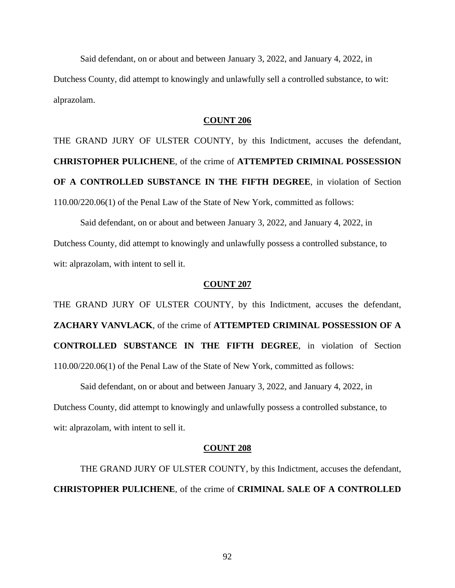Said defendant, on or about and between January 3, 2022, and January 4, 2022, in Dutchess County, did attempt to knowingly and unlawfully sell a controlled substance, to wit: alprazolam.

# **COUNT 206**

THE GRAND JURY OF ULSTER COUNTY, by this Indictment, accuses the defendant, **CHRISTOPHER PULICHENE**, of the crime of **ATTEMPTED CRIMINAL POSSESSION OF A CONTROLLED SUBSTANCE IN THE FIFTH DEGREE**, in violation of Section 110.00/220.06(1) of the Penal Law of the State of New York, committed as follows:

Said defendant, on or about and between January 3, 2022, and January 4, 2022, in Dutchess County, did attempt to knowingly and unlawfully possess a controlled substance, to wit: alprazolam, with intent to sell it.

# **COUNT 207**

THE GRAND JURY OF ULSTER COUNTY, by this Indictment, accuses the defendant, **ZACHARY VANVLACK**, of the crime of **ATTEMPTED CRIMINAL POSSESSION OF A CONTROLLED SUBSTANCE IN THE FIFTH DEGREE**, in violation of Section 110.00/220.06(1) of the Penal Law of the State of New York, committed as follows:

Said defendant, on or about and between January 3, 2022, and January 4, 2022, in Dutchess County, did attempt to knowingly and unlawfully possess a controlled substance, to wit: alprazolam, with intent to sell it.

#### **COUNT 208**

THE GRAND JURY OF ULSTER COUNTY, by this Indictment, accuses the defendant, **CHRISTOPHER PULICHENE**, of the crime of **CRIMINAL SALE OF A CONTROLLED** 

92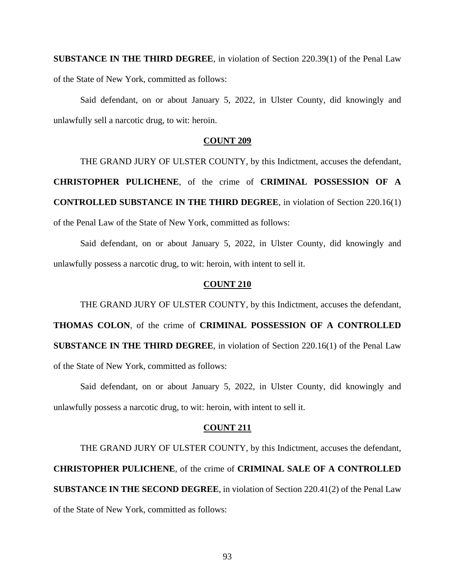**SUBSTANCE IN THE THIRD DEGREE**, in violation of Section 220.39(1) of the Penal Law of the State of New York, committed as follows:

Said defendant, on or about January 5, 2022, in Ulster County, did knowingly and unlawfully sell a narcotic drug, to wit: heroin.

# **COUNT 209**

THE GRAND JURY OF ULSTER COUNTY, by this Indictment, accuses the defendant, **CHRISTOPHER PULICHENE**, of the crime of **CRIMINAL POSSESSION OF A CONTROLLED SUBSTANCE IN THE THIRD DEGREE**, in violation of Section 220.16(1) of the Penal Law of the State of New York, committed as follows:

Said defendant, on or about January 5, 2022, in Ulster County, did knowingly and unlawfully possess a narcotic drug, to wit: heroin, with intent to sell it.

# **COUNT 210**

THE GRAND JURY OF ULSTER COUNTY, by this Indictment, accuses the defendant, **THOMAS COLON**, of the crime of **CRIMINAL POSSESSION OF A CONTROLLED SUBSTANCE IN THE THIRD DEGREE**, in violation of Section 220.16(1) of the Penal Law of the State of New York, committed as follows:

Said defendant, on or about January 5, 2022, in Ulster County, did knowingly and unlawfully possess a narcotic drug, to wit: heroin, with intent to sell it.

# **COUNT 211**

THE GRAND JURY OF ULSTER COUNTY, by this Indictment, accuses the defendant, **CHRISTOPHER PULICHENE**, of the crime of **CRIMINAL SALE OF A CONTROLLED SUBSTANCE IN THE SECOND DEGREE**, in violation of Section 220.41(2) of the Penal Law of the State of New York, committed as follows: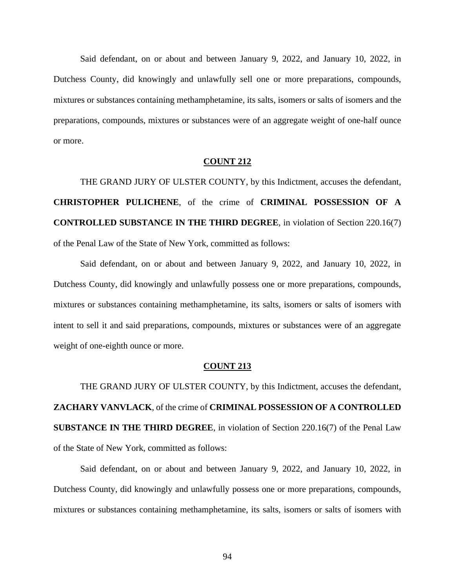Said defendant, on or about and between January 9, 2022, and January 10, 2022, in Dutchess County, did knowingly and unlawfully sell one or more preparations, compounds, mixtures or substances containing methamphetamine, its salts, isomers or salts of isomers and the preparations, compounds, mixtures or substances were of an aggregate weight of one-half ounce or more.

# **COUNT 212**

THE GRAND JURY OF ULSTER COUNTY, by this Indictment, accuses the defendant, **CHRISTOPHER PULICHENE**, of the crime of **CRIMINAL POSSESSION OF A CONTROLLED SUBSTANCE IN THE THIRD DEGREE**, in violation of Section 220.16(7) of the Penal Law of the State of New York, committed as follows:

Said defendant, on or about and between January 9, 2022, and January 10, 2022, in Dutchess County, did knowingly and unlawfully possess one or more preparations, compounds, mixtures or substances containing methamphetamine, its salts, isomers or salts of isomers with intent to sell it and said preparations, compounds, mixtures or substances were of an aggregate weight of one-eighth ounce or more.

### **COUNT 213**

THE GRAND JURY OF ULSTER COUNTY, by this Indictment, accuses the defendant, **ZACHARY VANVLACK**, of the crime of **CRIMINAL POSSESSION OF A CONTROLLED SUBSTANCE IN THE THIRD DEGREE**, in violation of Section 220.16(7) of the Penal Law of the State of New York, committed as follows:

Said defendant, on or about and between January 9, 2022, and January 10, 2022, in Dutchess County, did knowingly and unlawfully possess one or more preparations, compounds, mixtures or substances containing methamphetamine, its salts, isomers or salts of isomers with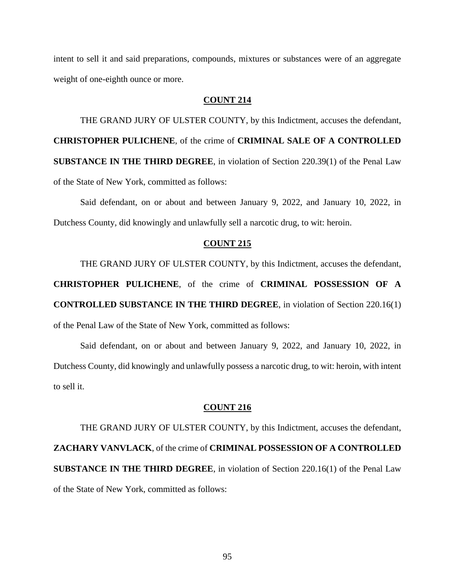intent to sell it and said preparations, compounds, mixtures or substances were of an aggregate weight of one-eighth ounce or more.

# **COUNT 214**

THE GRAND JURY OF ULSTER COUNTY, by this Indictment, accuses the defendant, **CHRISTOPHER PULICHENE**, of the crime of **CRIMINAL SALE OF A CONTROLLED SUBSTANCE IN THE THIRD DEGREE**, in violation of Section 220.39(1) of the Penal Law of the State of New York, committed as follows:

Said defendant, on or about and between January 9, 2022, and January 10, 2022, in Dutchess County, did knowingly and unlawfully sell a narcotic drug, to wit: heroin.

### **COUNT 215**

THE GRAND JURY OF ULSTER COUNTY, by this Indictment, accuses the defendant,

**CHRISTOPHER PULICHENE**, of the crime of **CRIMINAL POSSESSION OF A CONTROLLED SUBSTANCE IN THE THIRD DEGREE**, in violation of Section 220.16(1) of the Penal Law of the State of New York, committed as follows:

Said defendant, on or about and between January 9, 2022, and January 10, 2022, in Dutchess County, did knowingly and unlawfully possess a narcotic drug, to wit: heroin, with intent to sell it.

# **COUNT 216**

THE GRAND JURY OF ULSTER COUNTY, by this Indictment, accuses the defendant, **ZACHARY VANVLACK**, of the crime of **CRIMINAL POSSESSION OF A CONTROLLED SUBSTANCE IN THE THIRD DEGREE**, in violation of Section 220.16(1) of the Penal Law of the State of New York, committed as follows: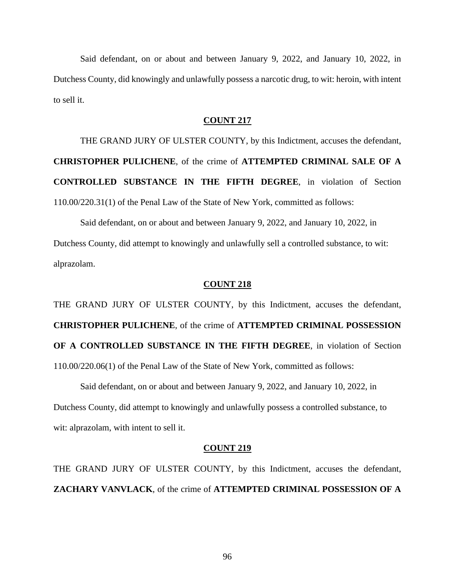Said defendant, on or about and between January 9, 2022, and January 10, 2022, in Dutchess County, did knowingly and unlawfully possess a narcotic drug, to wit: heroin, with intent to sell it.

# **COUNT 217**

THE GRAND JURY OF ULSTER COUNTY, by this Indictment, accuses the defendant, **CHRISTOPHER PULICHENE**, of the crime of **ATTEMPTED CRIMINAL SALE OF A CONTROLLED SUBSTANCE IN THE FIFTH DEGREE**, in violation of Section 110.00/220.31(1) of the Penal Law of the State of New York, committed as follows:

Said defendant, on or about and between January 9, 2022, and January 10, 2022, in Dutchess County, did attempt to knowingly and unlawfully sell a controlled substance, to wit: alprazolam.

### **COUNT 218**

THE GRAND JURY OF ULSTER COUNTY, by this Indictment, accuses the defendant, **CHRISTOPHER PULICHENE**, of the crime of **ATTEMPTED CRIMINAL POSSESSION OF A CONTROLLED SUBSTANCE IN THE FIFTH DEGREE**, in violation of Section 110.00/220.06(1) of the Penal Law of the State of New York, committed as follows:

Said defendant, on or about and between January 9, 2022, and January 10, 2022, in Dutchess County, did attempt to knowingly and unlawfully possess a controlled substance, to wit: alprazolam, with intent to sell it.

#### **COUNT 219**

THE GRAND JURY OF ULSTER COUNTY, by this Indictment, accuses the defendant, **ZACHARY VANVLACK**, of the crime of **ATTEMPTED CRIMINAL POSSESSION OF A** 

96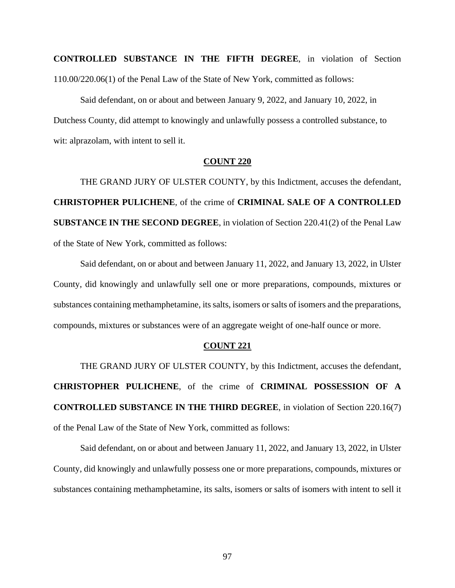**CONTROLLED SUBSTANCE IN THE FIFTH DEGREE**, in violation of Section 110.00/220.06(1) of the Penal Law of the State of New York, committed as follows:

Said defendant, on or about and between January 9, 2022, and January 10, 2022, in Dutchess County, did attempt to knowingly and unlawfully possess a controlled substance, to wit: alprazolam, with intent to sell it.

# **COUNT 220**

THE GRAND JURY OF ULSTER COUNTY, by this Indictment, accuses the defendant, **CHRISTOPHER PULICHENE**, of the crime of **CRIMINAL SALE OF A CONTROLLED SUBSTANCE IN THE SECOND DEGREE**, in violation of Section 220.41(2) of the Penal Law of the State of New York, committed as follows:

Said defendant, on or about and between January 11, 2022, and January 13, 2022, in Ulster County, did knowingly and unlawfully sell one or more preparations, compounds, mixtures or substances containing methamphetamine, its salts, isomers or salts of isomers and the preparations, compounds, mixtures or substances were of an aggregate weight of one-half ounce or more.

# **COUNT 221**

THE GRAND JURY OF ULSTER COUNTY, by this Indictment, accuses the defendant, **CHRISTOPHER PULICHENE**, of the crime of **CRIMINAL POSSESSION OF A CONTROLLED SUBSTANCE IN THE THIRD DEGREE**, in violation of Section 220.16(7) of the Penal Law of the State of New York, committed as follows:

Said defendant, on or about and between January 11, 2022, and January 13, 2022, in Ulster County, did knowingly and unlawfully possess one or more preparations, compounds, mixtures or substances containing methamphetamine, its salts, isomers or salts of isomers with intent to sell it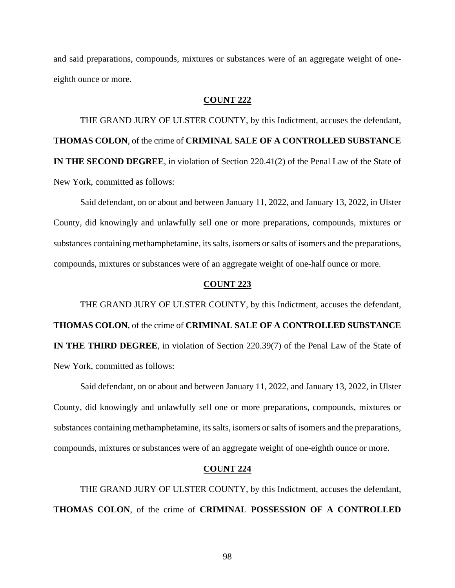and said preparations, compounds, mixtures or substances were of an aggregate weight of oneeighth ounce or more.

# **COUNT 222**

THE GRAND JURY OF ULSTER COUNTY, by this Indictment, accuses the defendant, **THOMAS COLON**, of the crime of **CRIMINAL SALE OF A CONTROLLED SUBSTANCE IN THE SECOND DEGREE**, in violation of Section 220.41(2) of the Penal Law of the State of New York, committed as follows:

Said defendant, on or about and between January 11, 2022, and January 13, 2022, in Ulster County, did knowingly and unlawfully sell one or more preparations, compounds, mixtures or substances containing methamphetamine, its salts, isomers or salts of isomers and the preparations, compounds, mixtures or substances were of an aggregate weight of one-half ounce or more.

# **COUNT 223**

THE GRAND JURY OF ULSTER COUNTY, by this Indictment, accuses the defendant, **THOMAS COLON**, of the crime of **CRIMINAL SALE OF A CONTROLLED SUBSTANCE IN THE THIRD DEGREE**, in violation of Section 220.39(7) of the Penal Law of the State of New York, committed as follows:

Said defendant, on or about and between January 11, 2022, and January 13, 2022, in Ulster County, did knowingly and unlawfully sell one or more preparations, compounds, mixtures or substances containing methamphetamine, its salts, isomers or salts of isomers and the preparations, compounds, mixtures or substances were of an aggregate weight of one-eighth ounce or more.

# **COUNT 224**

THE GRAND JURY OF ULSTER COUNTY, by this Indictment, accuses the defendant, **THOMAS COLON**, of the crime of **CRIMINAL POSSESSION OF A CONTROLLED**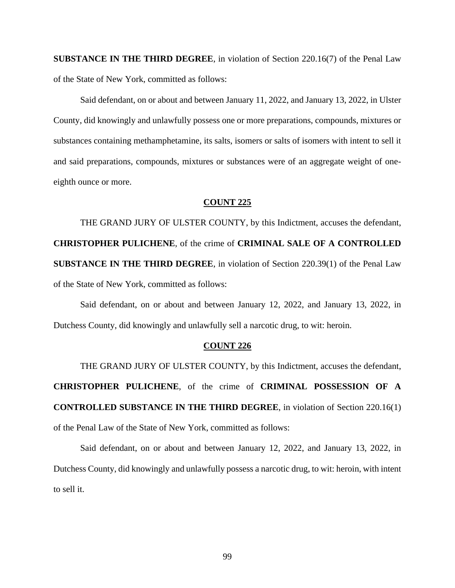**SUBSTANCE IN THE THIRD DEGREE**, in violation of Section 220.16(7) of the Penal Law of the State of New York, committed as follows:

Said defendant, on or about and between January 11, 2022, and January 13, 2022, in Ulster County, did knowingly and unlawfully possess one or more preparations, compounds, mixtures or substances containing methamphetamine, its salts, isomers or salts of isomers with intent to sell it and said preparations, compounds, mixtures or substances were of an aggregate weight of oneeighth ounce or more.

### **COUNT 225**

THE GRAND JURY OF ULSTER COUNTY, by this Indictment, accuses the defendant, **CHRISTOPHER PULICHENE**, of the crime of **CRIMINAL SALE OF A CONTROLLED SUBSTANCE IN THE THIRD DEGREE**, in violation of Section 220.39(1) of the Penal Law of the State of New York, committed as follows:

Said defendant, on or about and between January 12, 2022, and January 13, 2022, in Dutchess County, did knowingly and unlawfully sell a narcotic drug, to wit: heroin.

#### **COUNT 226**

THE GRAND JURY OF ULSTER COUNTY, by this Indictment, accuses the defendant, **CHRISTOPHER PULICHENE**, of the crime of **CRIMINAL POSSESSION OF A CONTROLLED SUBSTANCE IN THE THIRD DEGREE**, in violation of Section 220.16(1) of the Penal Law of the State of New York, committed as follows:

Said defendant, on or about and between January 12, 2022, and January 13, 2022, in Dutchess County, did knowingly and unlawfully possess a narcotic drug, to wit: heroin, with intent to sell it.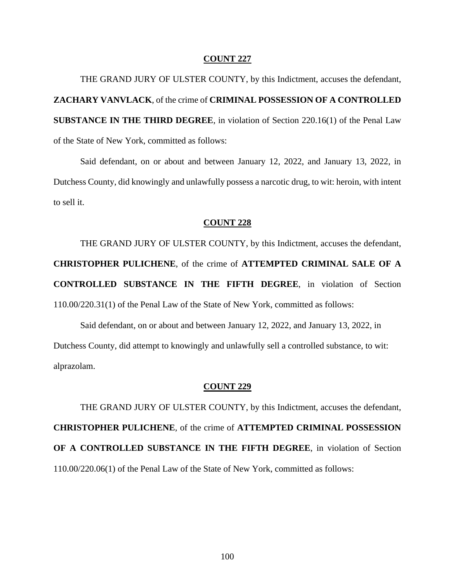THE GRAND JURY OF ULSTER COUNTY, by this Indictment, accuses the defendant, **ZACHARY VANVLACK**, of the crime of **CRIMINAL POSSESSION OF A CONTROLLED SUBSTANCE IN THE THIRD DEGREE**, in violation of Section 220.16(1) of the Penal Law of the State of New York, committed as follows:

Said defendant, on or about and between January 12, 2022, and January 13, 2022, in Dutchess County, did knowingly and unlawfully possess a narcotic drug, to wit: heroin, with intent to sell it.

### **COUNT 228**

THE GRAND JURY OF ULSTER COUNTY, by this Indictment, accuses the defendant, **CHRISTOPHER PULICHENE**, of the crime of **ATTEMPTED CRIMINAL SALE OF A CONTROLLED SUBSTANCE IN THE FIFTH DEGREE**, in violation of Section 110.00/220.31(1) of the Penal Law of the State of New York, committed as follows:

Said defendant, on or about and between January 12, 2022, and January 13, 2022, in Dutchess County, did attempt to knowingly and unlawfully sell a controlled substance, to wit: alprazolam.

## **COUNT 229**

THE GRAND JURY OF ULSTER COUNTY, by this Indictment, accuses the defendant, **CHRISTOPHER PULICHENE**, of the crime of **ATTEMPTED CRIMINAL POSSESSION OF A CONTROLLED SUBSTANCE IN THE FIFTH DEGREE**, in violation of Section 110.00/220.06(1) of the Penal Law of the State of New York, committed as follows: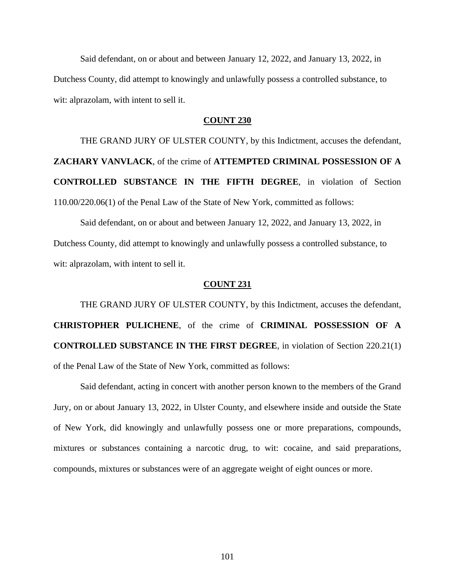Said defendant, on or about and between January 12, 2022, and January 13, 2022, in Dutchess County, did attempt to knowingly and unlawfully possess a controlled substance, to wit: alprazolam, with intent to sell it.

# **COUNT 230**

THE GRAND JURY OF ULSTER COUNTY, by this Indictment, accuses the defendant, **ZACHARY VANVLACK**, of the crime of **ATTEMPTED CRIMINAL POSSESSION OF A CONTROLLED SUBSTANCE IN THE FIFTH DEGREE**, in violation of Section 110.00/220.06(1) of the Penal Law of the State of New York, committed as follows:

Said defendant, on or about and between January 12, 2022, and January 13, 2022, in Dutchess County, did attempt to knowingly and unlawfully possess a controlled substance, to wit: alprazolam, with intent to sell it.

# **COUNT 231**

THE GRAND JURY OF ULSTER COUNTY, by this Indictment, accuses the defendant, **CHRISTOPHER PULICHENE**, of the crime of **CRIMINAL POSSESSION OF A CONTROLLED SUBSTANCE IN THE FIRST DEGREE**, in violation of Section 220.21(1) of the Penal Law of the State of New York, committed as follows:

Said defendant, acting in concert with another person known to the members of the Grand Jury, on or about January 13, 2022, in Ulster County, and elsewhere inside and outside the State of New York, did knowingly and unlawfully possess one or more preparations, compounds, mixtures or substances containing a narcotic drug, to wit: cocaine, and said preparations, compounds, mixtures or substances were of an aggregate weight of eight ounces or more.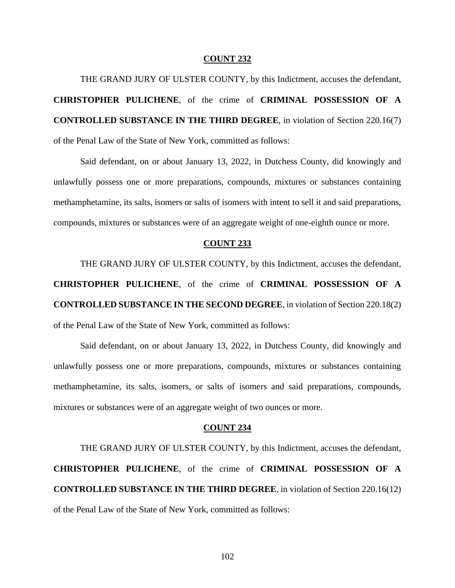THE GRAND JURY OF ULSTER COUNTY, by this Indictment, accuses the defendant, **CHRISTOPHER PULICHENE**, of the crime of **CRIMINAL POSSESSION OF A CONTROLLED SUBSTANCE IN THE THIRD DEGREE**, in violation of Section 220.16(7) of the Penal Law of the State of New York, committed as follows:

Said defendant, on or about January 13, 2022, in Dutchess County, did knowingly and unlawfully possess one or more preparations, compounds, mixtures or substances containing methamphetamine, its salts, isomers or salts of isomers with intent to sell it and said preparations, compounds, mixtures or substances were of an aggregate weight of one-eighth ounce or more.

### **COUNT 233**

THE GRAND JURY OF ULSTER COUNTY, by this Indictment, accuses the defendant, **CHRISTOPHER PULICHENE**, of the crime of **CRIMINAL POSSESSION OF A CONTROLLED SUBSTANCE IN THE SECOND DEGREE**, in violation of Section 220.18(2) of the Penal Law of the State of New York, committed as follows:

Said defendant, on or about January 13, 2022, in Dutchess County, did knowingly and unlawfully possess one or more preparations, compounds, mixtures or substances containing methamphetamine, its salts, isomers, or salts of isomers and said preparations, compounds, mixtures or substances were of an aggregate weight of two ounces or more.

#### **COUNT 234**

THE GRAND JURY OF ULSTER COUNTY, by this Indictment, accuses the defendant, **CHRISTOPHER PULICHENE**, of the crime of **CRIMINAL POSSESSION OF A CONTROLLED SUBSTANCE IN THE THIRD DEGREE**, in violation of Section 220.16(12) of the Penal Law of the State of New York, committed as follows: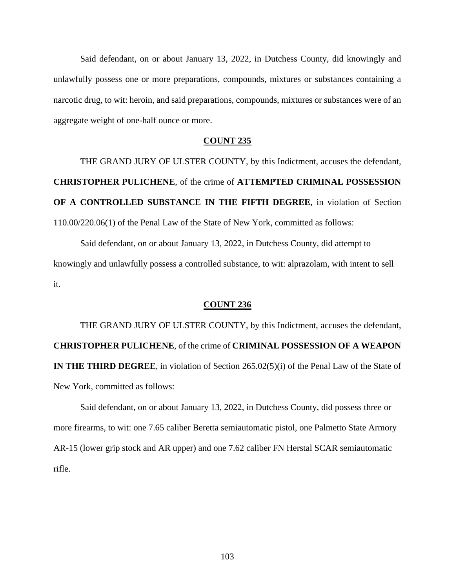Said defendant, on or about January 13, 2022, in Dutchess County, did knowingly and unlawfully possess one or more preparations, compounds, mixtures or substances containing a narcotic drug, to wit: heroin, and said preparations, compounds, mixtures or substances were of an aggregate weight of one-half ounce or more.

# **COUNT 235**

THE GRAND JURY OF ULSTER COUNTY, by this Indictment, accuses the defendant, **CHRISTOPHER PULICHENE**, of the crime of **ATTEMPTED CRIMINAL POSSESSION OF A CONTROLLED SUBSTANCE IN THE FIFTH DEGREE**, in violation of Section 110.00/220.06(1) of the Penal Law of the State of New York, committed as follows:

Said defendant, on or about January 13, 2022, in Dutchess County, did attempt to knowingly and unlawfully possess a controlled substance, to wit: alprazolam, with intent to sell it.

#### **COUNT 236**

THE GRAND JURY OF ULSTER COUNTY, by this Indictment, accuses the defendant, **CHRISTOPHER PULICHENE**, of the crime of **CRIMINAL POSSESSION OF A WEAPON IN THE THIRD DEGREE**, in violation of Section 265.02(5)(i) of the Penal Law of the State of New York, committed as follows:

Said defendant, on or about January 13, 2022, in Dutchess County, did possess three or more firearms, to wit: one 7.65 caliber Beretta semiautomatic pistol, one Palmetto State Armory AR-15 (lower grip stock and AR upper) and one 7.62 caliber FN Herstal SCAR semiautomatic rifle.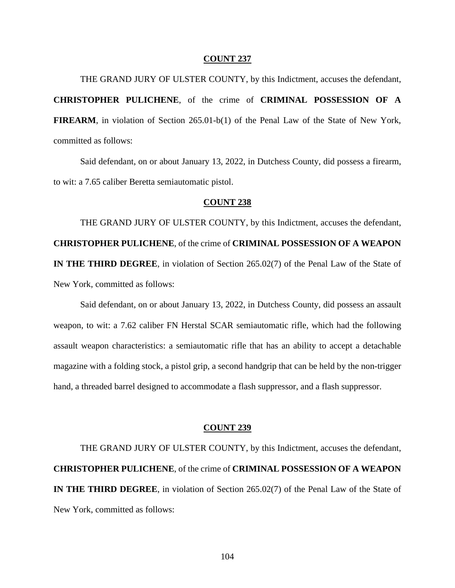THE GRAND JURY OF ULSTER COUNTY, by this Indictment, accuses the defendant, **CHRISTOPHER PULICHENE**, of the crime of **CRIMINAL POSSESSION OF A FIREARM**, in violation of Section 265.01-b(1) of the Penal Law of the State of New York, committed as follows:

Said defendant, on or about January 13, 2022, in Dutchess County, did possess a firearm, to wit: a 7.65 caliber Beretta semiautomatic pistol.

# **COUNT 238**

THE GRAND JURY OF ULSTER COUNTY, by this Indictment, accuses the defendant, **CHRISTOPHER PULICHENE**, of the crime of **CRIMINAL POSSESSION OF A WEAPON IN THE THIRD DEGREE**, in violation of Section 265.02(7) of the Penal Law of the State of New York, committed as follows:

Said defendant, on or about January 13, 2022, in Dutchess County, did possess an assault weapon, to wit: a 7.62 caliber FN Herstal SCAR semiautomatic rifle, which had the following assault weapon characteristics: a semiautomatic rifle that has an ability to accept a detachable magazine with a folding stock, a pistol grip, a second handgrip that can be held by the non-trigger hand, a threaded barrel designed to accommodate a flash suppressor, and a flash suppressor.

#### **COUNT 239**

THE GRAND JURY OF ULSTER COUNTY, by this Indictment, accuses the defendant, **CHRISTOPHER PULICHENE**, of the crime of **CRIMINAL POSSESSION OF A WEAPON IN THE THIRD DEGREE**, in violation of Section 265.02(7) of the Penal Law of the State of New York, committed as follows: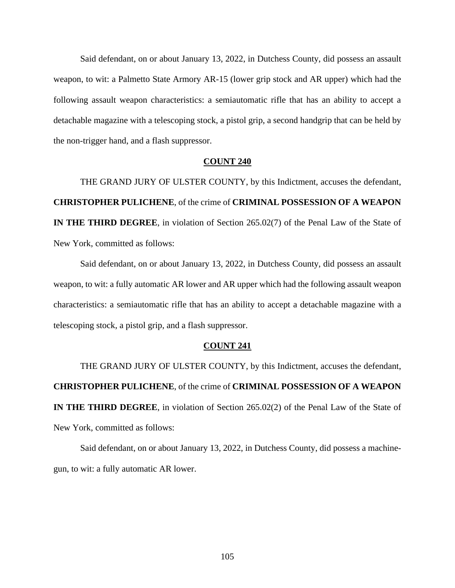Said defendant, on or about January 13, 2022, in Dutchess County, did possess an assault weapon, to wit: a Palmetto State Armory AR-15 (lower grip stock and AR upper) which had the following assault weapon characteristics: a semiautomatic rifle that has an ability to accept a detachable magazine with a telescoping stock, a pistol grip, a second handgrip that can be held by the non-trigger hand, and a flash suppressor.

### **COUNT 240**

THE GRAND JURY OF ULSTER COUNTY, by this Indictment, accuses the defendant, **CHRISTOPHER PULICHENE**, of the crime of **CRIMINAL POSSESSION OF A WEAPON IN THE THIRD DEGREE**, in violation of Section 265.02(7) of the Penal Law of the State of New York, committed as follows:

Said defendant, on or about January 13, 2022, in Dutchess County, did possess an assault weapon, to wit: a fully automatic AR lower and AR upper which had the following assault weapon characteristics: a semiautomatic rifle that has an ability to accept a detachable magazine with a telescoping stock, a pistol grip, and a flash suppressor.

### **COUNT 241**

THE GRAND JURY OF ULSTER COUNTY, by this Indictment, accuses the defendant, **CHRISTOPHER PULICHENE**, of the crime of **CRIMINAL POSSESSION OF A WEAPON IN THE THIRD DEGREE**, in violation of Section 265.02(2) of the Penal Law of the State of New York, committed as follows:

Said defendant, on or about January 13, 2022, in Dutchess County, did possess a machinegun, to wit: a fully automatic AR lower.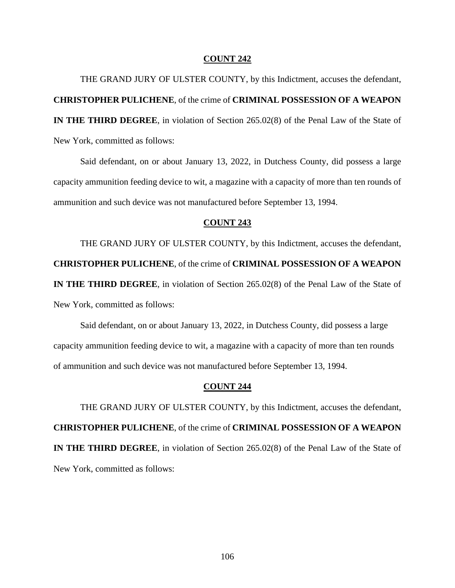THE GRAND JURY OF ULSTER COUNTY, by this Indictment, accuses the defendant, **CHRISTOPHER PULICHENE**, of the crime of **CRIMINAL POSSESSION OF A WEAPON IN THE THIRD DEGREE**, in violation of Section 265.02(8) of the Penal Law of the State of New York, committed as follows:

Said defendant, on or about January 13, 2022, in Dutchess County, did possess a large capacity ammunition feeding device to wit, a magazine with a capacity of more than ten rounds of ammunition and such device was not manufactured before September 13, 1994.

# **COUNT 243**

THE GRAND JURY OF ULSTER COUNTY, by this Indictment, accuses the defendant, **CHRISTOPHER PULICHENE**, of the crime of **CRIMINAL POSSESSION OF A WEAPON IN THE THIRD DEGREE**, in violation of Section 265.02(8) of the Penal Law of the State of New York, committed as follows:

Said defendant, on or about January 13, 2022, in Dutchess County, did possess a large capacity ammunition feeding device to wit, a magazine with a capacity of more than ten rounds of ammunition and such device was not manufactured before September 13, 1994.

## **COUNT 244**

THE GRAND JURY OF ULSTER COUNTY, by this Indictment, accuses the defendant, **CHRISTOPHER PULICHENE**, of the crime of **CRIMINAL POSSESSION OF A WEAPON IN THE THIRD DEGREE**, in violation of Section 265.02(8) of the Penal Law of the State of New York, committed as follows: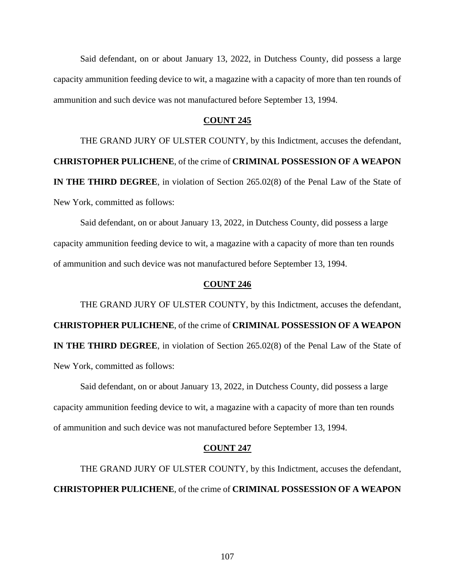Said defendant, on or about January 13, 2022, in Dutchess County, did possess a large capacity ammunition feeding device to wit, a magazine with a capacity of more than ten rounds of ammunition and such device was not manufactured before September 13, 1994.

# **COUNT 245**

THE GRAND JURY OF ULSTER COUNTY, by this Indictment, accuses the defendant, **CHRISTOPHER PULICHENE**, of the crime of **CRIMINAL POSSESSION OF A WEAPON IN THE THIRD DEGREE**, in violation of Section 265.02(8) of the Penal Law of the State of New York, committed as follows:

Said defendant, on or about January 13, 2022, in Dutchess County, did possess a large capacity ammunition feeding device to wit, a magazine with a capacity of more than ten rounds of ammunition and such device was not manufactured before September 13, 1994.

# **COUNT 246**

THE GRAND JURY OF ULSTER COUNTY, by this Indictment, accuses the defendant, **CHRISTOPHER PULICHENE**, of the crime of **CRIMINAL POSSESSION OF A WEAPON IN THE THIRD DEGREE**, in violation of Section 265.02(8) of the Penal Law of the State of New York, committed as follows:

Said defendant, on or about January 13, 2022, in Dutchess County, did possess a large capacity ammunition feeding device to wit, a magazine with a capacity of more than ten rounds of ammunition and such device was not manufactured before September 13, 1994.

#### **COUNT 247**

THE GRAND JURY OF ULSTER COUNTY, by this Indictment, accuses the defendant, **CHRISTOPHER PULICHENE**, of the crime of **CRIMINAL POSSESSION OF A WEAPON**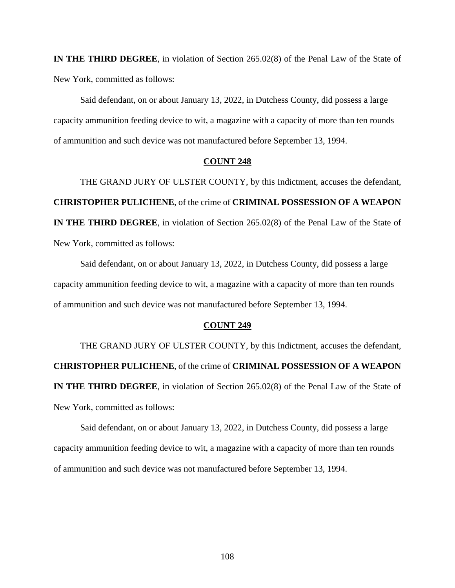**IN THE THIRD DEGREE**, in violation of Section 265.02(8) of the Penal Law of the State of New York, committed as follows:

Said defendant, on or about January 13, 2022, in Dutchess County, did possess a large capacity ammunition feeding device to wit, a magazine with a capacity of more than ten rounds of ammunition and such device was not manufactured before September 13, 1994.

# **COUNT 248**

THE GRAND JURY OF ULSTER COUNTY, by this Indictment, accuses the defendant, **CHRISTOPHER PULICHENE**, of the crime of **CRIMINAL POSSESSION OF A WEAPON IN THE THIRD DEGREE**, in violation of Section 265.02(8) of the Penal Law of the State of New York, committed as follows:

Said defendant, on or about January 13, 2022, in Dutchess County, did possess a large capacity ammunition feeding device to wit, a magazine with a capacity of more than ten rounds of ammunition and such device was not manufactured before September 13, 1994.

#### **COUNT 249**

THE GRAND JURY OF ULSTER COUNTY, by this Indictment, accuses the defendant, **CHRISTOPHER PULICHENE**, of the crime of **CRIMINAL POSSESSION OF A WEAPON IN THE THIRD DEGREE**, in violation of Section 265.02(8) of the Penal Law of the State of New York, committed as follows:

Said defendant, on or about January 13, 2022, in Dutchess County, did possess a large capacity ammunition feeding device to wit, a magazine with a capacity of more than ten rounds of ammunition and such device was not manufactured before September 13, 1994.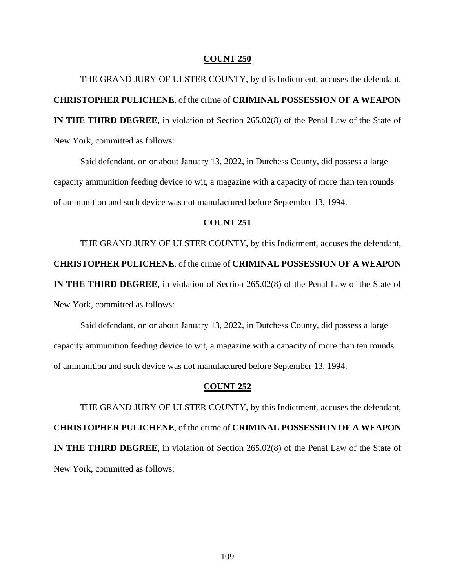THE GRAND JURY OF ULSTER COUNTY, by this Indictment, accuses the defendant, **CHRISTOPHER PULICHENE**, of the crime of **CRIMINAL POSSESSION OF A WEAPON IN THE THIRD DEGREE**, in violation of Section 265.02(8) of the Penal Law of the State of New York, committed as follows:

Said defendant, on or about January 13, 2022, in Dutchess County, did possess a large capacity ammunition feeding device to wit, a magazine with a capacity of more than ten rounds of ammunition and such device was not manufactured before September 13, 1994.

# **COUNT 251**

THE GRAND JURY OF ULSTER COUNTY, by this Indictment, accuses the defendant, **CHRISTOPHER PULICHENE**, of the crime of **CRIMINAL POSSESSION OF A WEAPON IN THE THIRD DEGREE**, in violation of Section 265.02(8) of the Penal Law of the State of New York, committed as follows:

Said defendant, on or about January 13, 2022, in Dutchess County, did possess a large capacity ammunition feeding device to wit, a magazine with a capacity of more than ten rounds of ammunition and such device was not manufactured before September 13, 1994.

## **COUNT 252**

THE GRAND JURY OF ULSTER COUNTY, by this Indictment, accuses the defendant, **CHRISTOPHER PULICHENE**, of the crime of **CRIMINAL POSSESSION OF A WEAPON IN THE THIRD DEGREE**, in violation of Section 265.02(8) of the Penal Law of the State of New York, committed as follows: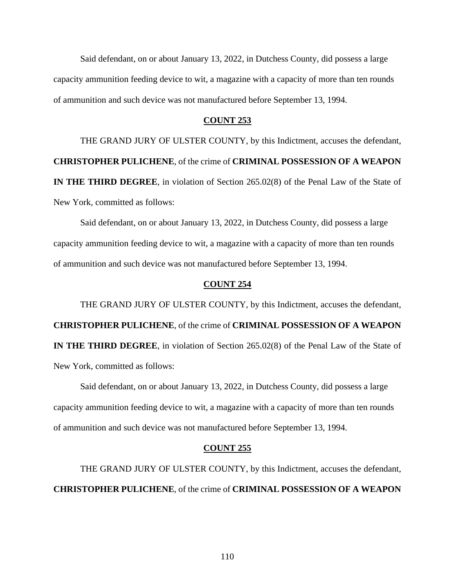Said defendant, on or about January 13, 2022, in Dutchess County, did possess a large capacity ammunition feeding device to wit, a magazine with a capacity of more than ten rounds of ammunition and such device was not manufactured before September 13, 1994.

## **COUNT 253**

THE GRAND JURY OF ULSTER COUNTY, by this Indictment, accuses the defendant, **CHRISTOPHER PULICHENE**, of the crime of **CRIMINAL POSSESSION OF A WEAPON IN THE THIRD DEGREE**, in violation of Section 265.02(8) of the Penal Law of the State of New York, committed as follows:

Said defendant, on or about January 13, 2022, in Dutchess County, did possess a large capacity ammunition feeding device to wit, a magazine with a capacity of more than ten rounds of ammunition and such device was not manufactured before September 13, 1994.

## **COUNT 254**

THE GRAND JURY OF ULSTER COUNTY, by this Indictment, accuses the defendant, **CHRISTOPHER PULICHENE**, of the crime of **CRIMINAL POSSESSION OF A WEAPON IN THE THIRD DEGREE**, in violation of Section 265.02(8) of the Penal Law of the State of New York, committed as follows:

Said defendant, on or about January 13, 2022, in Dutchess County, did possess a large capacity ammunition feeding device to wit, a magazine with a capacity of more than ten rounds of ammunition and such device was not manufactured before September 13, 1994.

### **COUNT 255**

THE GRAND JURY OF ULSTER COUNTY, by this Indictment, accuses the defendant, **CHRISTOPHER PULICHENE**, of the crime of **CRIMINAL POSSESSION OF A WEAPON**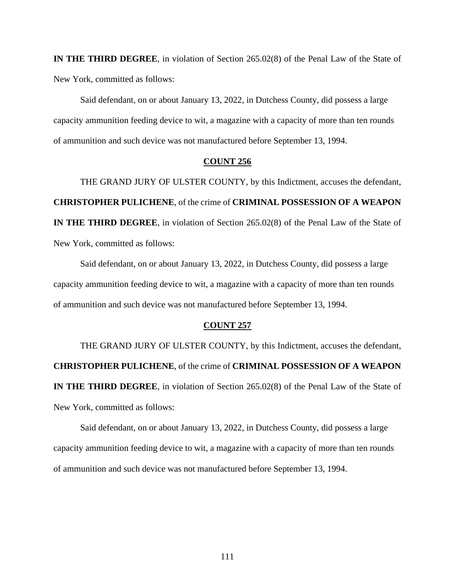**IN THE THIRD DEGREE**, in violation of Section 265.02(8) of the Penal Law of the State of New York, committed as follows:

Said defendant, on or about January 13, 2022, in Dutchess County, did possess a large capacity ammunition feeding device to wit, a magazine with a capacity of more than ten rounds of ammunition and such device was not manufactured before September 13, 1994.

## **COUNT 256**

THE GRAND JURY OF ULSTER COUNTY, by this Indictment, accuses the defendant, **CHRISTOPHER PULICHENE**, of the crime of **CRIMINAL POSSESSION OF A WEAPON IN THE THIRD DEGREE**, in violation of Section 265.02(8) of the Penal Law of the State of New York, committed as follows:

Said defendant, on or about January 13, 2022, in Dutchess County, did possess a large capacity ammunition feeding device to wit, a magazine with a capacity of more than ten rounds of ammunition and such device was not manufactured before September 13, 1994.

### **COUNT 257**

THE GRAND JURY OF ULSTER COUNTY, by this Indictment, accuses the defendant, **CHRISTOPHER PULICHENE**, of the crime of **CRIMINAL POSSESSION OF A WEAPON IN THE THIRD DEGREE**, in violation of Section 265.02(8) of the Penal Law of the State of New York, committed as follows:

Said defendant, on or about January 13, 2022, in Dutchess County, did possess a large capacity ammunition feeding device to wit, a magazine with a capacity of more than ten rounds of ammunition and such device was not manufactured before September 13, 1994.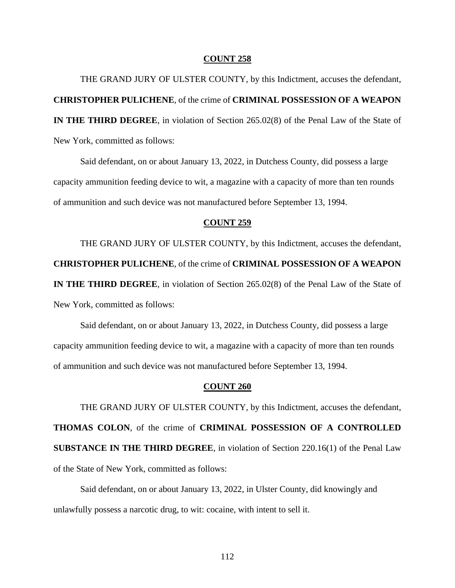THE GRAND JURY OF ULSTER COUNTY, by this Indictment, accuses the defendant, **CHRISTOPHER PULICHENE**, of the crime of **CRIMINAL POSSESSION OF A WEAPON IN THE THIRD DEGREE**, in violation of Section 265.02(8) of the Penal Law of the State of New York, committed as follows:

Said defendant, on or about January 13, 2022, in Dutchess County, did possess a large capacity ammunition feeding device to wit, a magazine with a capacity of more than ten rounds of ammunition and such device was not manufactured before September 13, 1994.

## **COUNT 259**

THE GRAND JURY OF ULSTER COUNTY, by this Indictment, accuses the defendant, **CHRISTOPHER PULICHENE**, of the crime of **CRIMINAL POSSESSION OF A WEAPON IN THE THIRD DEGREE**, in violation of Section 265.02(8) of the Penal Law of the State of New York, committed as follows:

Said defendant, on or about January 13, 2022, in Dutchess County, did possess a large capacity ammunition feeding device to wit, a magazine with a capacity of more than ten rounds of ammunition and such device was not manufactured before September 13, 1994.

## **COUNT 260**

THE GRAND JURY OF ULSTER COUNTY, by this Indictment, accuses the defendant, **THOMAS COLON**, of the crime of **CRIMINAL POSSESSION OF A CONTROLLED SUBSTANCE IN THE THIRD DEGREE**, in violation of Section 220.16(1) of the Penal Law of the State of New York, committed as follows:

Said defendant, on or about January 13, 2022, in Ulster County, did knowingly and unlawfully possess a narcotic drug, to wit: cocaine, with intent to sell it.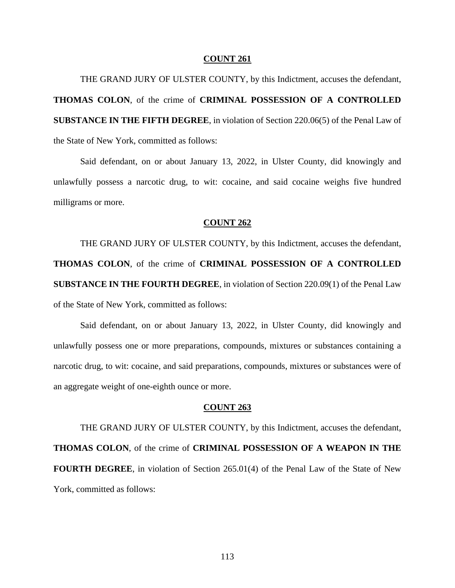THE GRAND JURY OF ULSTER COUNTY, by this Indictment, accuses the defendant, **THOMAS COLON**, of the crime of **CRIMINAL POSSESSION OF A CONTROLLED SUBSTANCE IN THE FIFTH DEGREE**, in violation of Section 220.06(5) of the Penal Law of the State of New York, committed as follows:

Said defendant, on or about January 13, 2022, in Ulster County, did knowingly and unlawfully possess a narcotic drug, to wit: cocaine, and said cocaine weighs five hundred milligrams or more.

### **COUNT 262**

THE GRAND JURY OF ULSTER COUNTY, by this Indictment, accuses the defendant, **THOMAS COLON**, of the crime of **CRIMINAL POSSESSION OF A CONTROLLED SUBSTANCE IN THE FOURTH DEGREE**, in violation of Section 220.09(1) of the Penal Law of the State of New York, committed as follows:

Said defendant, on or about January 13, 2022, in Ulster County, did knowingly and unlawfully possess one or more preparations, compounds, mixtures or substances containing a narcotic drug, to wit: cocaine, and said preparations, compounds, mixtures or substances were of an aggregate weight of one-eighth ounce or more.

### **COUNT 263**

THE GRAND JURY OF ULSTER COUNTY, by this Indictment, accuses the defendant, **THOMAS COLON**, of the crime of **CRIMINAL POSSESSION OF A WEAPON IN THE FOURTH DEGREE**, in violation of Section 265.01(4) of the Penal Law of the State of New York, committed as follows: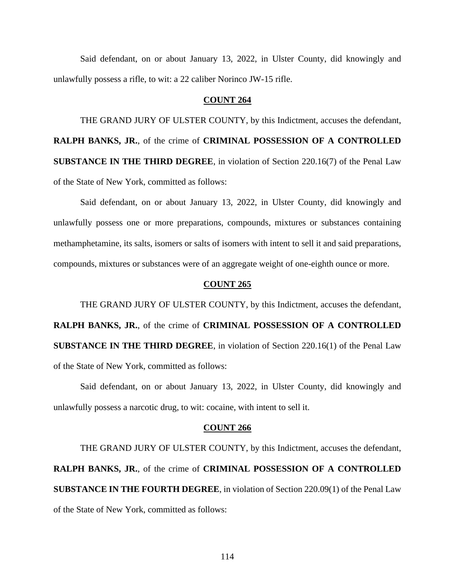Said defendant, on or about January 13, 2022, in Ulster County, did knowingly and unlawfully possess a rifle, to wit: a 22 caliber Norinco JW-15 rifle.

# **COUNT 264**

THE GRAND JURY OF ULSTER COUNTY, by this Indictment, accuses the defendant, **RALPH BANKS, JR.**, of the crime of **CRIMINAL POSSESSION OF A CONTROLLED SUBSTANCE IN THE THIRD DEGREE**, in violation of Section 220.16(7) of the Penal Law of the State of New York, committed as follows:

Said defendant, on or about January 13, 2022, in Ulster County, did knowingly and unlawfully possess one or more preparations, compounds, mixtures or substances containing methamphetamine, its salts, isomers or salts of isomers with intent to sell it and said preparations, compounds, mixtures or substances were of an aggregate weight of one-eighth ounce or more.

### **COUNT 265**

THE GRAND JURY OF ULSTER COUNTY, by this Indictment, accuses the defendant, **RALPH BANKS, JR.**, of the crime of **CRIMINAL POSSESSION OF A CONTROLLED SUBSTANCE IN THE THIRD DEGREE**, in violation of Section 220.16(1) of the Penal Law of the State of New York, committed as follows:

Said defendant, on or about January 13, 2022, in Ulster County, did knowingly and unlawfully possess a narcotic drug, to wit: cocaine, with intent to sell it.

### **COUNT 266**

THE GRAND JURY OF ULSTER COUNTY, by this Indictment, accuses the defendant, **RALPH BANKS, JR.**, of the crime of **CRIMINAL POSSESSION OF A CONTROLLED SUBSTANCE IN THE FOURTH DEGREE**, in violation of Section 220.09(1) of the Penal Law of the State of New York, committed as follows: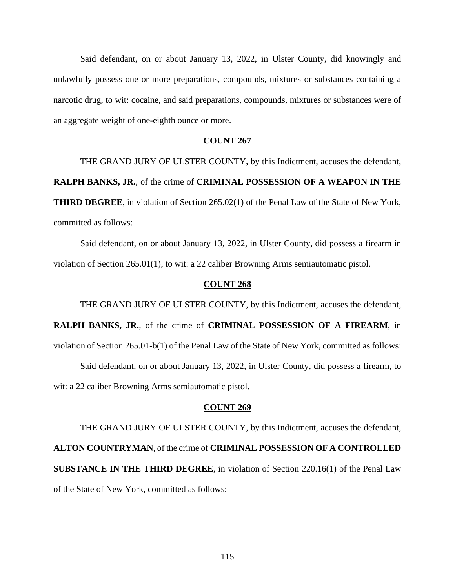Said defendant, on or about January 13, 2022, in Ulster County, did knowingly and unlawfully possess one or more preparations, compounds, mixtures or substances containing a narcotic drug, to wit: cocaine, and said preparations, compounds, mixtures or substances were of an aggregate weight of one-eighth ounce or more.

## **COUNT 267**

THE GRAND JURY OF ULSTER COUNTY, by this Indictment, accuses the defendant, **RALPH BANKS, JR.**, of the crime of **CRIMINAL POSSESSION OF A WEAPON IN THE THIRD DEGREE**, in violation of Section 265.02(1) of the Penal Law of the State of New York, committed as follows:

Said defendant, on or about January 13, 2022, in Ulster County, did possess a firearm in violation of Section 265.01(1), to wit: a 22 caliber Browning Arms semiautomatic pistol.

## **COUNT 268**

THE GRAND JURY OF ULSTER COUNTY, by this Indictment, accuses the defendant, **RALPH BANKS, JR.**, of the crime of **CRIMINAL POSSESSION OF A FIREARM**, in violation of Section 265.01-b(1) of the Penal Law of the State of New York, committed as follows: Said defendant, on or about January 13, 2022, in Ulster County, did possess a firearm, to wit: a 22 caliber Browning Arms semiautomatic pistol.

### **COUNT 269**

THE GRAND JURY OF ULSTER COUNTY, by this Indictment, accuses the defendant, **ALTON COUNTRYMAN**, of the crime of **CRIMINAL POSSESSION OF A CONTROLLED SUBSTANCE IN THE THIRD DEGREE**, in violation of Section 220.16(1) of the Penal Law of the State of New York, committed as follows: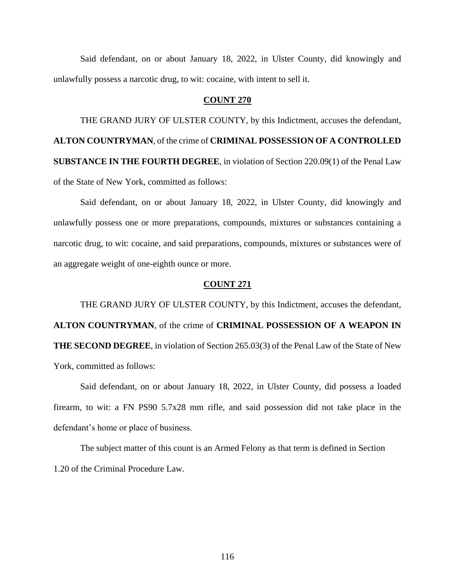Said defendant, on or about January 18, 2022, in Ulster County, did knowingly and unlawfully possess a narcotic drug, to wit: cocaine, with intent to sell it.

# **COUNT 270**

THE GRAND JURY OF ULSTER COUNTY, by this Indictment, accuses the defendant, **ALTON COUNTRYMAN**, of the crime of **CRIMINAL POSSESSION OF A CONTROLLED SUBSTANCE IN THE FOURTH DEGREE**, in violation of Section 220.09(1) of the Penal Law of the State of New York, committed as follows:

Said defendant, on or about January 18, 2022, in Ulster County, did knowingly and unlawfully possess one or more preparations, compounds, mixtures or substances containing a narcotic drug, to wit: cocaine, and said preparations, compounds, mixtures or substances were of an aggregate weight of one-eighth ounce or more.

## **COUNT 271**

THE GRAND JURY OF ULSTER COUNTY, by this Indictment, accuses the defendant, **ALTON COUNTRYMAN**, of the crime of **CRIMINAL POSSESSION OF A WEAPON IN THE SECOND DEGREE**, in violation of Section 265.03(3) of the Penal Law of the State of New York, committed as follows:

Said defendant, on or about January 18, 2022, in Ulster County, did possess a loaded firearm, to wit: a FN PS90 5.7x28 mm rifle, and said possession did not take place in the defendant's home or place of business.

The subject matter of this count is an Armed Felony as that term is defined in Section 1.20 of the Criminal Procedure Law.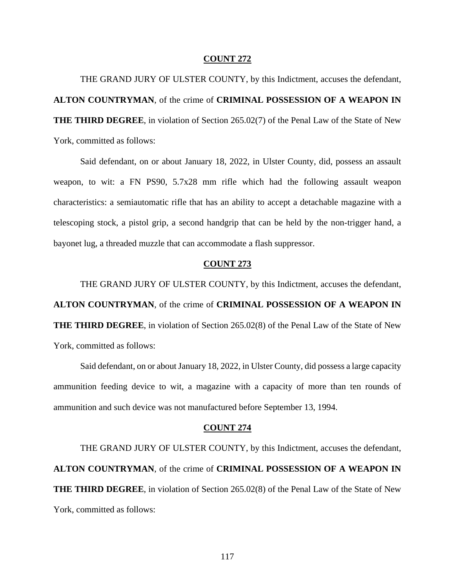THE GRAND JURY OF ULSTER COUNTY, by this Indictment, accuses the defendant, **ALTON COUNTRYMAN**, of the crime of **CRIMINAL POSSESSION OF A WEAPON IN THE THIRD DEGREE**, in violation of Section 265.02(7) of the Penal Law of the State of New York, committed as follows:

Said defendant, on or about January 18, 2022, in Ulster County, did, possess an assault weapon, to wit: a FN PS90, 5.7x28 mm rifle which had the following assault weapon characteristics: a semiautomatic rifle that has an ability to accept a detachable magazine with a telescoping stock, a pistol grip, a second handgrip that can be held by the non-trigger hand, a bayonet lug, a threaded muzzle that can accommodate a flash suppressor.

# **COUNT 273**

THE GRAND JURY OF ULSTER COUNTY, by this Indictment, accuses the defendant, **ALTON COUNTRYMAN**, of the crime of **CRIMINAL POSSESSION OF A WEAPON IN THE THIRD DEGREE**, in violation of Section 265.02(8) of the Penal Law of the State of New York, committed as follows:

Said defendant, on or about January 18, 2022, in Ulster County, did possess a large capacity ammunition feeding device to wit, a magazine with a capacity of more than ten rounds of ammunition and such device was not manufactured before September 13, 1994.

### **COUNT 274**

THE GRAND JURY OF ULSTER COUNTY, by this Indictment, accuses the defendant, **ALTON COUNTRYMAN**, of the crime of **CRIMINAL POSSESSION OF A WEAPON IN THE THIRD DEGREE**, in violation of Section 265.02(8) of the Penal Law of the State of New York, committed as follows: